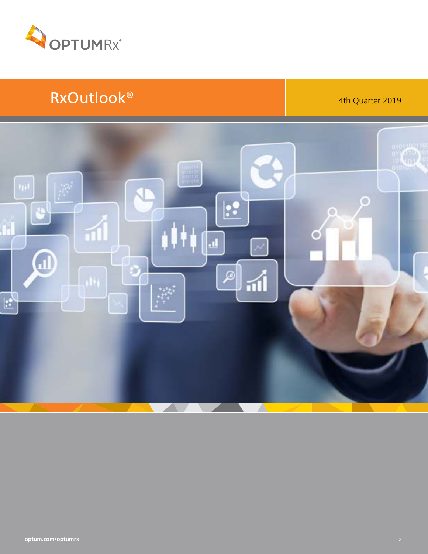

# RxOutlook® 1999 | 4th Quarter 2019

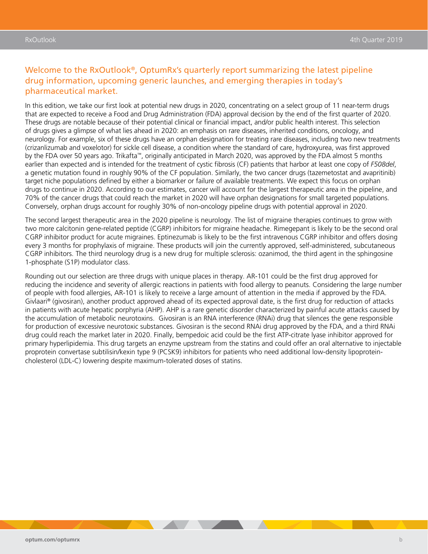### Welcome to the RxOutlook®, OptumRx's quarterly report summarizing the latest pipeline drug information, upcoming generic launches, and emerging therapies in today's pharmaceutical market.

In this edition, we take our first look at potential new drugs in 2020, concentrating on a select group of 11 near-term drugs that are expected to receive a Food and Drug Administration (FDA) approval decision by the end of the first quarter of 2020. These drugs are notable because of their potential clinical or financial impact, and/or public health interest. This selection of drugs gives a glimpse of what lies ahead in 2020: an emphasis on rare diseases, inherited conditions, oncology, and neurology. For example, six of these drugs have an orphan designation for treating rare diseases, including two new treatments (crizanlizumab and voxelotor) for sickle cell disease, a condition where the standard of care, hydroxyurea, was first approved by the FDA over 50 years ago. Trikafta™, originally anticipated in March 2020, was approved by the FDA almost 5 months earlier than expected and is intended for the treatment of cystic fibrosis (CF) patients that harbor at least one copy of *F508del*, a genetic mutation found in roughly 90% of the CF population. Similarly, the two cancer drugs (tazemetostat and avapritinib) target niche populations defined by either a biomarker or failure of available treatments. We expect this focus on orphan drugs to continue in 2020. According to our estimates, cancer will account for the largest therapeutic area in the pipeline, and 70% of the cancer drugs that could reach the market in 2020 will have orphan designations for small targeted populations. Conversely, orphan drugs account for roughly 30% of non-oncology pipeline drugs with potential approval in 2020.

The second largest therapeutic area in the 2020 pipeline is neurology. The list of migraine therapies continues to grow with two more calcitonin gene-related peptide (CGRP) inhibitors for migraine headache. Rimegepant is likely to be the second oral CGRP inhibitor product for acute migraines. Eptinezumab is likely to be the first intravenous CGRP inhibitor and offers dosing every 3 months for prophylaxis of migraine. These products will join the currently approved, self-administered, subcutaneous CGRP inhibitors. The third neurology drug is a new drug for multiple sclerosis: ozanimod, the third agent in the sphingosine 1-phosphate (S1P) modulator class.

Rounding out our selection are three drugs with unique places in therapy. AR-101 could be the first drug approved for reducing the incidence and severity of allergic reactions in patients with food allergy to peanuts. Considering the large number of people with food allergies, AR-101 is likely to receive a large amount of attention in the media if approved by the FDA. Givlaari® (givosiran), another product approved ahead of its expected approval date, is the first drug for reduction of attacks in patients with acute hepatic porphyria (AHP). AHP is a rare genetic disorder characterized by painful acute attacks caused by the accumulation of metabolic neurotoxins. Givosiran is an RNA interference (RNAi) drug that silences the gene responsible for production of excessive neurotoxic substances. Givosiran is the second RNAi drug approved by the FDA, and a third RNAi drug could reach the market later in 2020. Finally, bempedoic acid could be the first ATP-citrate lyase inhibitor approved for primary hyperlipidemia. This drug targets an enzyme upstream from the statins and could offer an oral alternative to injectable proprotein convertase subtilisin/kexin type 9 (PCSK9) inhibitors for patients who need additional low-density lipoproteincholesterol (LDL-C) lowering despite maximum-tolerated doses of statins.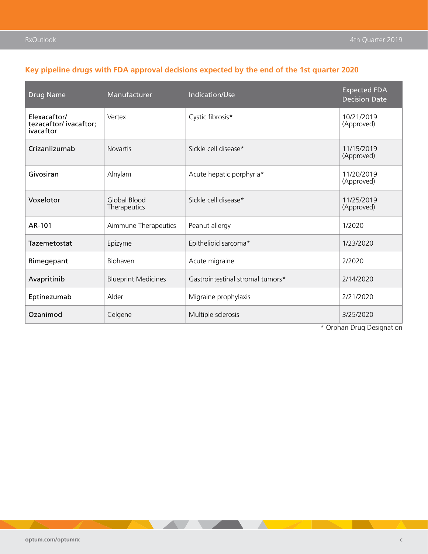### **Key pipeline drugs with FDA approval decisions expected by the end of the 1st quarter 2020**

| <b>Drug Name</b>                                   | Manufacturer                 | Indication/Use                   | <b>Expected FDA</b><br><b>Decision Date</b> |
|----------------------------------------------------|------------------------------|----------------------------------|---------------------------------------------|
| Elexacaftor/<br>tezacaftor/ivacaftor;<br>ivacaftor | Vertex                       | Cystic fibrosis*                 | 10/21/2019<br>(Approved)                    |
| Crizanlizumab                                      | <b>Novartis</b>              | Sickle cell disease*             | 11/15/2019<br>(Approved)                    |
| Givosiran                                          | Alnylam                      | Acute hepatic porphyria*         | 11/20/2019<br>(Approved)                    |
| Voxelotor                                          | Global Blood<br>Therapeutics | Sickle cell disease*             | 11/25/2019<br>(Approved)                    |
| AR-101                                             | Aimmune Therapeutics         | Peanut allergy                   | 1/2020                                      |
| Tazemetostat                                       | Epizyme                      | Epithelioid sarcoma*             | 1/23/2020                                   |
| Rimegepant                                         | Biohaven                     | Acute migraine                   | 2/2020                                      |
| Avapritinib                                        | <b>Blueprint Medicines</b>   | Gastrointestinal stromal tumors* | 2/14/2020                                   |
| Eptinezumab                                        | Alder                        | Migraine prophylaxis             | 2/21/2020                                   |
| Ozanimod                                           | Celgene                      | Multiple sclerosis               | 3/25/2020                                   |

\* Orphan Drug Designation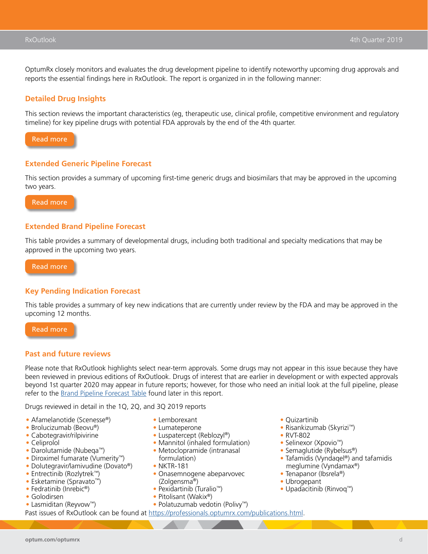OptumRx closely monitors and evaluates the drug development pipeline to identify noteworthy upcoming drug approvals and reports the essential findings here in RxOutlook. The report is organized in in the following manner:

#### **Detailed Drug Insights**

This section reviews the important characteristics (eg, therapeutic use, clinical profile, competitive environment and regulatory timeline) for key pipeline drugs with potential FDA approvals by the end of the 4th quarter.



#### **Extended Generic Pipeline Forecast**

This section provides a summary of upcoming first-time generic drugs and biosimilars that may be approved in the upcoming two years.

[Read more](#page-27-0)

#### **Extended Brand Pipeline Forecast**

This table provides a summary of developmental drugs, including both traditional and specialty medications that may be approved in the upcoming two years.

[Read more](#page-33-0)

#### **Key Pending Indication Forecast**

This table provides a summary of key new indications that are currently under review by the FDA and may be approved in the upcoming 12 months.

[Read more](#page-62-0)

#### **Past and future reviews**

Please note that RxOutlook highlights select near-term approvals. Some drugs may not appear in this issue because they have been reviewed in previous editions of RxOutlook. Drugs of interest that are earlier in development or with expected approvals beyond 1st quarter 2020 may appear in future reports; however, for those who need an initial look at the full pipeline, please refer to the [Brand Pipeline Forecast Table](#page-33-0) found later in this report.

Drugs reviewed in detail in the 1Q, 2Q, and 3Q 2019 reports

- Afamelanotide (Scenesse®)
- Brolucizumab (Beovu®)
- Cabotegravir/rilpivirine
- Celiprolol
- Darolutamide (Nubeqa™)
- Diroximel fumarate (Vumerity™)
- Dolutegravir/lamivudine (Dovato®)
- Entrectinib (Rozlytrek™)
- Esketamine (Spravato™)
- Fedratinib (Inrebic<sup>®</sup>)
- Golodirsen
- Lasmiditan (Reyvow™)
- Lemborexant
- Lumateperone
- Luspatercept (Reblozyl®)
- Mannitol (inhaled formulation) • Metoclopramide (intranasal
- formulation)
- NKTR-181
- Onasemnogene abeparvovec (Zolgensma®)
- Pexidartinib (Turalio™)
- Pitolisant (Wakix®)
- Polatuzumab vedotin (Polivy™)
- Past issues of RxOutlook can be found at [https://professionals.optumrx.com/publications.html.](https://professionals.optumrx.com/publications.html)
- Quizartinib
- Risankizumab (Skyrizi™)
- RVT-802
- Selinexor (Xpovio™)
- Semaglutide (Rybelsus®)
- Tafamidis (Vyndaqel®) and tafamidis meglumine (Vyndamax®)
- Tenapanor (Ibsrela®)
- Ubrogepant
- Upadacitinib (Rinvoq™)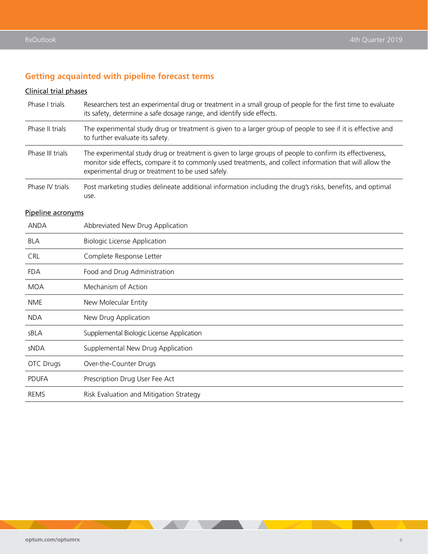### **Getting acquainted with pipeline forecast terms**

### Clinical trial phases

| Phase I trials    | Researchers test an experimental drug or treatment in a small group of people for the first time to evaluate<br>its safety, determine a safe dosage range, and identify side effects.                                                                                       |
|-------------------|-----------------------------------------------------------------------------------------------------------------------------------------------------------------------------------------------------------------------------------------------------------------------------|
| Phase II trials   | The experimental study drug or treatment is given to a larger group of people to see if it is effective and<br>to further evaluate its safety.                                                                                                                              |
| Phase III trials  | The experimental study drug or treatment is given to large groups of people to confirm its effectiveness,<br>monitor side effects, compare it to commonly used treatments, and collect information that will allow the<br>experimental drug or treatment to be used safely. |
| Phase IV trials   | Post marketing studies delineate additional information including the drug's risks, benefits, and optimal<br>use.                                                                                                                                                           |
| Pipeline acronyms |                                                                                                                                                                                                                                                                             |
| <b>ANDA</b>       | Abbreviated New Drug Application                                                                                                                                                                                                                                            |
| <b>BLA</b>        | <b>Biologic License Application</b>                                                                                                                                                                                                                                         |
| CRL               | Complete Response Letter                                                                                                                                                                                                                                                    |
| <b>FDA</b>        | Food and Drug Administration                                                                                                                                                                                                                                                |
| <b>MOA</b>        | Mechanism of Action                                                                                                                                                                                                                                                         |
| <b>NME</b>        | New Molecular Entity                                                                                                                                                                                                                                                        |
| <b>NDA</b>        | New Drug Application                                                                                                                                                                                                                                                        |
| sBLA              | Supplemental Biologic License Application                                                                                                                                                                                                                                   |
| sNDA              | Supplemental New Drug Application                                                                                                                                                                                                                                           |
| <b>OTC Drugs</b>  | Over-the-Counter Drugs                                                                                                                                                                                                                                                      |
| <b>PDUFA</b>      | Prescription Drug User Fee Act                                                                                                                                                                                                                                              |
| <b>REMS</b>       | Risk Evaluation and Mitigation Strategy                                                                                                                                                                                                                                     |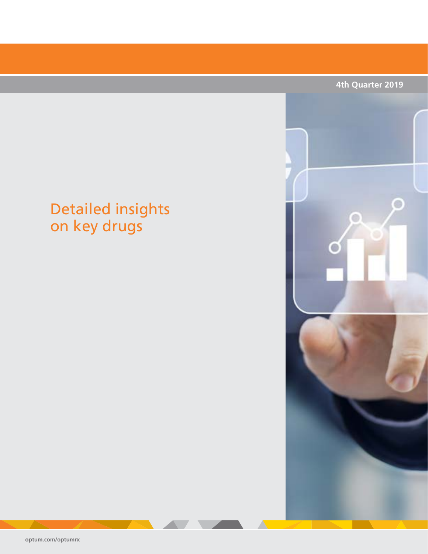

# <span id="page-5-0"></span>Detailed insights on key drugs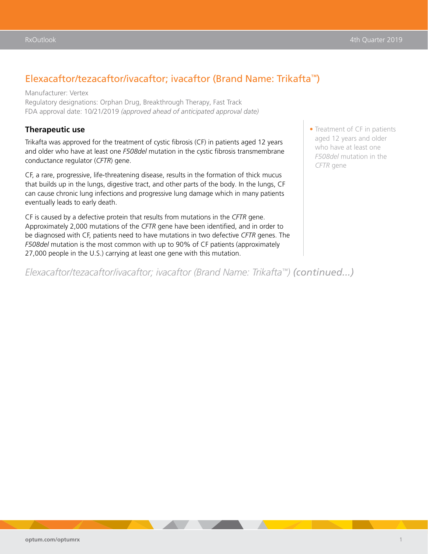### Elexacaftor/tezacaftor/ivacaftor; ivacaftor (Brand Name: Trikafta™)

Manufacturer: Vertex Regulatory designations: Orphan Drug, Breakthrough Therapy, Fast Track FDA approval date: 10/21/2019 *(approved ahead of anticipated approval date)*

#### **Therapeutic use**

Trikafta was approved for the treatment of cystic fibrosis (CF) in patients aged 12 years and older who have at least one *F508del* mutation in the cystic fibrosis transmembrane conductance regulator (*CFTR*) gene.

CF, a rare, progressive, life-threatening disease, results in the formation of thick mucus that builds up in the lungs, digestive tract, and other parts of the body. In the lungs, CF can cause chronic lung infections and progressive lung damage which in many patients eventually leads to early death.

CF is caused by a defective protein that results from mutations in the *CFTR* gene. Approximately 2,000 mutations of the *CFTR* gene have been identified, and in order to be diagnosed with CF, patients need to have mutations in two defective *CFTR* genes. The *F508del* mutation is the most common with up to 90% of CF patients (approximately 27,000 people in the U.S.) carrying at least one gene with this mutation.

*Elexacaftor/tezacaftor/ivacaftor; ivacaftor (Brand Name: Trikafta™) (continued...)*

• Treatment of CF in patients aged 12 years and older who have at least one *F508del* mutation in the *CFTR* gene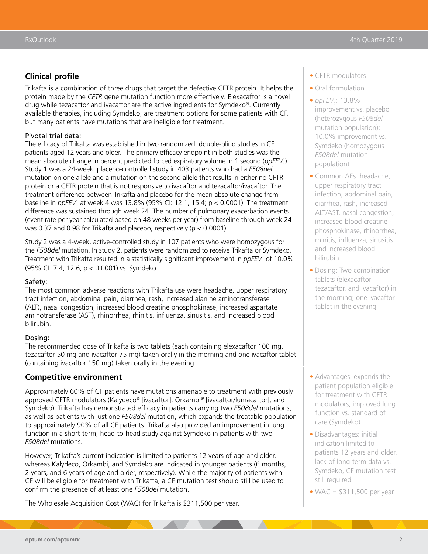### **Clinical profile**

Trikafta is a combination of three drugs that target the defective CFTR protein. It helps the protein made by the *CFTR* gene mutation function more effectively. Elexacaftor is a novel drug while tezacaftor and ivacaftor are the active ingredients for Symdeko®. Currently available therapies, including Symdeko, are treatment options for some patients with CF, but many patients have mutations that are ineligible for treatment.

#### Pivotal trial data:

The efficacy of Trikafta was established in two randomized, double-blind studies in CF patients aged 12 years and older. The primary efficacy endpoint in both studies was the mean absolute change in percent predicted forced expiratory volume in 1 second (*ppFEV*<sub>1</sub>). Study 1 was a 24-week, placebo-controlled study in 403 patients who had a *F508del* mutation on one allele and a mutation on the second allele that results in either no CFTR protein or a CFTR protein that is not responsive to ivacaftor and tezacaftor/ivacaftor. The treatment difference between Trikafta and placebo for the mean absolute change from baseline in *ppFEV<sub>1</sub>* at week 4 was 13.8% (95% Cl: 12.1, 15.4; p < 0.0001). The treatment difference was sustained through week 24. The number of pulmonary exacerbation events (event rate per year calculated based on 48 weeks per year) from baseline through week 24 was 0.37 and 0.98 for Trikafta and placebo, respectively (p < 0.0001).

Study 2 was a 4-week, active-controlled study in 107 patients who were homozygous for the *F508del* mutation. In study 2, patients were randomized to receive Trikafta or Symdeko. Treatment with Trikafta resulted in a statistically significant improvement in *ppFEV<sub>1</sub>* of 10.0% (95% CI: 7.4, 12.6; p < 0.0001) vs. Symdeko.

#### Safety:

The most common adverse reactions with Trikafta use were headache, upper respiratory tract infection, abdominal pain, diarrhea, rash, increased alanine aminotransferase (ALT), nasal congestion, increased blood creatine phosphokinase, increased aspartate aminotransferase (AST), rhinorrhea, rhinitis, influenza, sinusitis, and increased blood bilirubin.

#### Dosing:

The recommended dose of Trikafta is two tablets (each containing elexacaftor 100 mg, tezacaftor 50 mg and ivacaftor 75 mg) taken orally in the morning and one ivacaftor tablet (containing ivacaftor 150 mg) taken orally in the evening.

#### **Competitive environment**

Approximately 60% of CF patients have mutations amenable to treatment with previously approved CFTR modulators (Kalydeco® [ivacaftor], Orkambi® [ivacaftor/lumacaftor], and Symdeko). Trikafta has demonstrated efficacy in patients carrying two *F508del* mutations, as well as patients with just one *F508del* mutation, which expands the treatable population to approximately 90% of all CF patients. Trikafta also provided an improvement in lung function in a short-term, head-to-head study against Symdeko in patients with two *F508del* mutations.

However, Trikafta's current indication is limited to patients 12 years of age and older, whereas Kalydeco, Orkambi, and Symdeko are indicated in younger patients (6 months, 2 years, and 6 years of age and older, respectively). While the majority of patients with CF will be eligible for treatment with Trikafta, a CF mutation test should still be used to confirm the presence of at least one *F508del* mutation.

The Wholesale Acquisition Cost (WAC) for Trikafta is \$311,500 per year.

- CFTR modulators
- Oral formulation
- *ppFEV*<sub>1</sub>: 13.8% improvement vs. placebo (heterozygous *F508del* mutation population); 10.0% improvement vs. Symdeko (homozygous *F508del* mutation population)
- Common AEs: headache, upper respiratory tract infection, abdominal pain, diarrhea, rash, increased ALT/AST, nasal congestion, increased blood creatine phosphokinase, rhinorrhea, rhinitis, influenza, sinusitis and increased blood bilirubin
- Dosing: Two combination tablets (elexacaftor tezacaftor, and ivacaftor) in the morning; one ivacaftor tablet in the evening

- Advantages: expands the patient population eligible for treatment with CFTR modulators, improved lung function vs. standard of care (Symdeko)
- Disadvantages: initial indication limited to patients 12 years and older, lack of long-term data vs. Symdeko, CF mutation test still required
- WAC  $= $311,500$  per year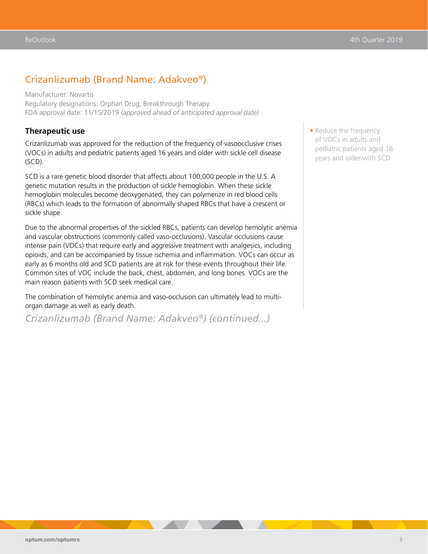### Crizanlizumab (Brand Name: Adakveo®)

Manufacturer: Novartis Regulatory designations: Orphan Drug, Breakthrough Therapy FDA approval date: 11/15/2019 *(approved ahead of anticipated approval date)*

#### **Therapeutic use**

Crizanlizumab was approved for the reduction of the frequency of vasoocclusive crises (VOCs) in adults and pediatric patients aged 16 years and older with sickle cell disease (SCD).

SCD is a rare genetic blood disorder that affects about 100,000 people in the U.S. A genetic mutation results in the production of sickle hemoglobin. When these sickle hemoglobin molecules become deoxygenated, they can polymerize in red blood cells (RBCs) which leads to the formation of abnormally shaped RBCs that have a crescent or sickle shape.

Due to the abnormal properties of the sickled RBCs, patients can develop hemolytic anemia and vascular obstructions (commonly called vaso-occlusions). Vascular occlusions cause intense pain (VOCs) that require early and aggressive treatment with analgesics, including opioids, and can be accompanied by tissue ischemia and inflammation. VOCs can occur as early as 6 months old and SCD patients are at risk for these events throughout their life. Common sites of VOC include the back, chest, abdomen, and long bones. VOCs are the main reason patients with SCD seek medical care.

The combination of hemolytic anemia and vaso-occlusion can ultimately lead to multiorgan damage as well as early death.

*Crizanlizumab (Brand Name: Adakveo®) (continued...)*

• Reduce the frequency of VOCs in adults and pediatric patients aged 16 years and older with SCD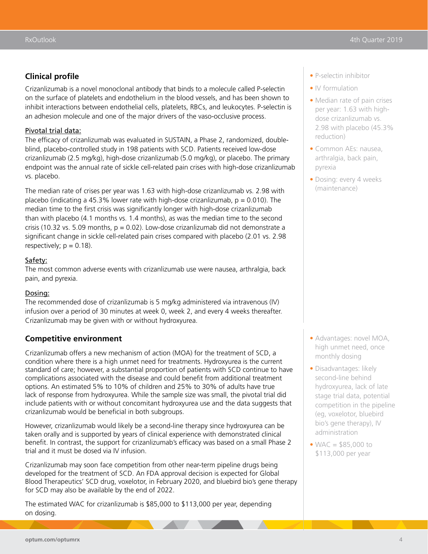### **Clinical profile**

Crizanlizumab is a novel monoclonal antibody that binds to a molecule called P-selectin on the surface of platelets and endothelium in the blood vessels, and has been shown to inhibit interactions between endothelial cells, platelets, RBCs, and leukocytes. P-selectin is an adhesion molecule and one of the major drivers of the vaso-occlusive process.

#### Pivotal trial data:

The efficacy of crizanlizumab was evaluated in SUSTAIN, a Phase 2, randomized, doubleblind, placebo-controlled study in 198 patients with SCD. Patients received low-dose crizanlizumab (2.5 mg/kg), high-dose crizanlizumab (5.0 mg/kg), or placebo. The primary endpoint was the annual rate of sickle cell-related pain crises with high-dose crizanlizumab vs. placebo.

The median rate of crises per year was 1.63 with high-dose crizanlizumab vs. 2.98 with placebo (indicating a 45.3% lower rate with high-dose crizanlizumab,  $p = 0.010$ ). The median time to the first crisis was significantly longer with high-dose crizanlizumab than with placebo (4.1 months vs. 1.4 months), as was the median time to the second crisis (10.32 vs. 5.09 months,  $p = 0.02$ ). Low-dose crizanlizumab did not demonstrate a significant change in sickle cell-related pain crises compared with placebo (2.01 vs. 2.98 respectively;  $p = 0.18$ ).

#### Safety:

The most common adverse events with crizanlizumab use were nausea, arthralgia, back pain, and pyrexia.

#### Dosing:

The recommended dose of crizanlizumab is 5 mg/kg administered via intravenous (IV) infusion over a period of 30 minutes at week 0, week 2, and every 4 weeks thereafter. Crizanlizumab may be given with or without hydroxyurea.

#### **Competitive environment**

Crizanlizumab offers a new mechanism of action (MOA) for the treatment of SCD, a condition where there is a high unmet need for treatments. Hydroxyurea is the current standard of care; however, a substantial proportion of patients with SCD continue to have complications associated with the disease and could benefit from additional treatment options. An estimated 5% to 10% of children and 25% to 30% of adults have true lack of response from hydroxyurea. While the sample size was small, the pivotal trial did include patients with or without concomitant hydroxyurea use and the data suggests that crizanlizumab would be beneficial in both subgroups.

However, crizanlizumab would likely be a second-line therapy since hydroxyurea can be taken orally and is supported by years of clinical experience with demonstrated clinical benefit. In contrast, the support for crizanlizumab's efficacy was based on a small Phase 2 trial and it must be dosed via IV infusion.

Crizanlizumab may soon face competition from other near-term pipeline drugs being developed for the treatment of SCD. An FDA approval decision is expected for Global Blood Therapeutics' SCD drug, voxelotor, in February 2020, and bluebird bio's gene therapy for SCD may also be available by the end of 2022.

The estimated WAC for crizanlizumab is \$85,000 to \$113,000 per year, depending on dosing.

- P-selectin inhibitor
- IV formulation
- Median rate of pain crises per year: 1.63 with highdose crizanlizumab vs. 2.98 with placebo (45.3% reduction)
- Common AEs: nausea, arthralgia, back pain, pyrexia
- Dosing: every 4 weeks (maintenance)

- Advantages: novel MOA, high unmet need, once monthly dosing
- Disadvantages: likely second-line behind hydroxyurea, lack of late stage trial data, potential competition in the pipeline (eg, voxelotor, bluebird bio's gene therapy), IV administration
- WAC  $=$  \$85,000 to \$113,000 per year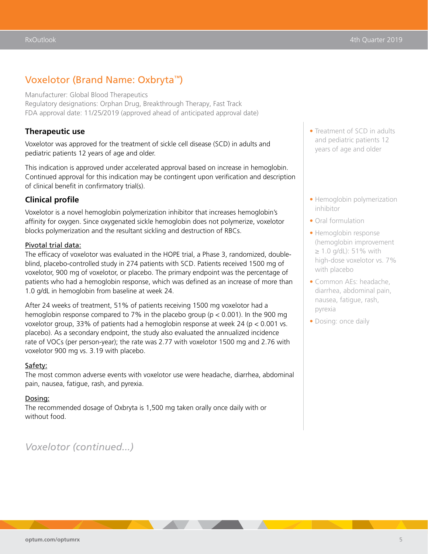### Voxelotor (Brand Name: Oxbryta™)

Manufacturer: Global Blood Therapeutics

Regulatory designations: Orphan Drug, Breakthrough Therapy, Fast Track FDA approval date: 11/25/2019 (approved ahead of anticipated approval date)

#### **Therapeutic use**

Voxelotor was approved for the treatment of sickle cell disease (SCD) in adults and pediatric patients 12 years of age and older.

This indication is approved under accelerated approval based on increase in hemoglobin. Continued approval for this indication may be contingent upon verification and description of clinical benefit in confirmatory trial(s).

#### **Clinical profile**

Voxelotor is a novel hemoglobin polymerization inhibitor that increases hemoglobin's affinity for oxygen. Since oxygenated sickle hemoglobin does not polymerize, voxelotor blocks polymerization and the resultant sickling and destruction of RBCs.

#### Pivotal trial data:

The efficacy of voxelotor was evaluated in the HOPE trial, a Phase 3, randomized, doubleblind, placebo-controlled study in 274 patients with SCD. Patients received 1500 mg of voxelotor, 900 mg of voxelotor, or placebo. The primary endpoint was the percentage of patients who had a hemoglobin response, which was defined as an increase of more than 1.0 g/dL in hemoglobin from baseline at week 24.

After 24 weeks of treatment, 51% of patients receiving 1500 mg voxelotor had a hemoglobin response compared to 7% in the placebo group ( $p < 0.001$ ). In the 900 mg voxelotor group, 33% of patients had a hemoglobin response at week 24 ( $p < 0.001$  vs. placebo). As a secondary endpoint, the study also evaluated the annualized incidence rate of VOCs (per person-year); the rate was 2.77 with voxelotor 1500 mg and 2.76 with voxelotor 900 mg vs. 3.19 with placebo.

#### Safety:

The most common adverse events with voxelotor use were headache, diarrhea, abdominal pain, nausea, fatigue, rash, and pyrexia.

#### Dosing:

The recommended dosage of Oxbryta is 1,500 mg taken orally once daily with or without food.

### *Voxelotor (continued...)*

- Treatment of SCD in adults and pediatric patients 12 years of age and older
- Hemoglobin polymerization inhibitor
- Oral formulation
- Hemoglobin response (hemoglobin improvement  $≥ 1.0$  g/dL): 51% with high-dose voxelotor vs. 7% with placebo
- Common AEs: headache, diarrhea, abdominal pain, nausea, fatigue, rash, pyrexia
- Dosing: once daily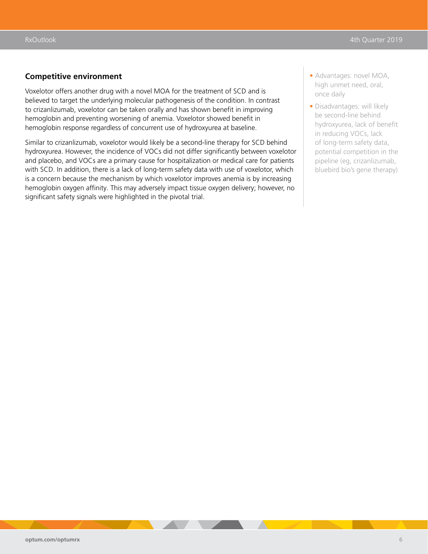#### **Competitive environment**

Voxelotor offers another drug with a novel MOA for the treatment of SCD and is believed to target the underlying molecular pathogenesis of the condition. In contrast to crizanlizumab, voxelotor can be taken orally and has shown benefit in improving hemoglobin and preventing worsening of anemia. Voxelotor showed benefit in hemoglobin response regardless of concurrent use of hydroxyurea at baseline.

Similar to crizanlizumab, voxelotor would likely be a second-line therapy for SCD behind hydroxyurea. However, the incidence of VOCs did not differ significantly between voxelotor and placebo, and VOCs are a primary cause for hospitalization or medical care for patients with SCD. In addition, there is a lack of long-term safety data with use of voxelotor, which is a concern because the mechanism by which voxelotor improves anemia is by increasing hemoglobin oxygen affinity. This may adversely impact tissue oxygen delivery; however, no significant safety signals were highlighted in the pivotal trial.

- Advantages: novel MOA, high unmet need, oral, once daily
- Disadvantages: will likely be second-line behind hydroxyurea, lack of benefit in reducing VOCs, lack of long-term safety data, potential competition in the pipeline (eg, crizanlizumab, bluebird bio's gene therapy)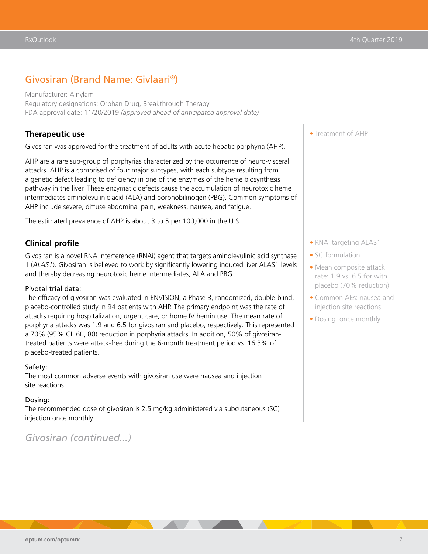### Givosiran (Brand Name: Givlaari®)

Manufacturer: Alnylam Regulatory designations: Orphan Drug, Breakthrough Therapy FDA approval date: 11/20/2019 *(approved ahead of anticipated approval date)*

#### **Therapeutic use**

Givosiran was approved for the treatment of adults with acute hepatic porphyria (AHP).

AHP are a rare sub-group of porphyrias characterized by the occurrence of neuro-visceral attacks. AHP is a comprised of four major subtypes, with each subtype resulting from a genetic defect leading to deficiency in one of the enzymes of the heme biosynthesis pathway in the liver. These enzymatic defects cause the accumulation of neurotoxic heme intermediates aminolevulinic acid (ALA) and porphobilinogen (PBG). Common symptoms of AHP include severe, diffuse abdominal pain, weakness, nausea, and fatigue.

The estimated prevalence of AHP is about 3 to 5 per 100,000 in the U.S.

#### **Clinical profile**

Givosiran is a novel RNA interference (RNAi) agent that targets aminolevulinic acid synthase 1 (*ALAS1*). Givosiran is believed to work by significantly lowering induced liver ALAS1 levels and thereby decreasing neurotoxic heme intermediates, ALA and PBG.

#### Pivotal trial data:

The efficacy of givosiran was evaluated in ENVISION, a Phase 3, randomized, double-blind, placebo-controlled study in 94 patients with AHP. The primary endpoint was the rate of attacks requiring hospitalization, urgent care, or home IV hemin use. The mean rate of porphyria attacks was 1.9 and 6.5 for givosiran and placebo, respectively. This represented a 70% (95% CI: 60, 80) reduction in porphyria attacks. In addition, 50% of givosirantreated patients were attack-free during the 6-month treatment period vs. 16.3% of placebo-treated patients.

#### Safety:

The most common adverse events with givosiran use were nausea and injection site reactions.

#### Dosing:

The recommended dose of givosiran is 2.5 mg/kg administered via subcutaneous (SC) injection once monthly.

### *Givosiran (continued...)*

• Treatment of AHP

- RNAi targeting ALAS1
- SC formulation
- Mean composite attack rate: 1.9 vs. 6.5 for with placebo (70% reduction)
- Common AEs: nausea and injection site reactions
- Dosing: once monthly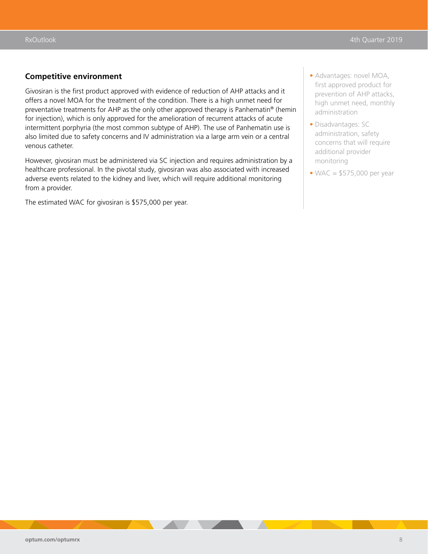#### **Competitive environment**

Givosiran is the first product approved with evidence of reduction of AHP attacks and it offers a novel MOA for the treatment of the condition. There is a high unmet need for preventative treatments for AHP as the only other approved therapy is Panhematin® (hemin for injection), which is only approved for the amelioration of recurrent attacks of acute intermittent porphyria (the most common subtype of AHP). The use of Panhematin use is also limited due to safety concerns and IV administration via a large arm vein or a central venous catheter.

However, givosiran must be administered via SC injection and requires administration by a healthcare professional. In the pivotal study, givosiran was also associated with increased adverse events related to the kidney and liver, which will require additional monitoring from a provider.

The estimated WAC for givosiran is \$575,000 per year.

- Advantages: novel MOA, first approved product for prevention of AHP attacks, high unmet need, monthly administration
- Disadvantages: SC administration, safety concerns that will require additional provider monitoring
- $\bullet$  WAC = \$575,000 per year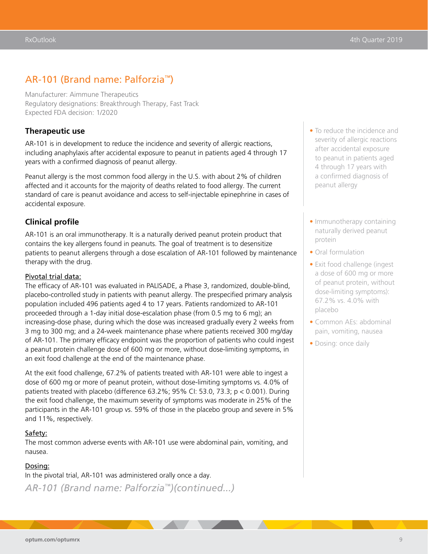### AR-101 (Brand name: Palforzia™)

Manufacturer: Aimmune Therapeutics Regulatory designations: Breakthrough Therapy, Fast Track Expected FDA decision: 1/2020

#### **Therapeutic use**

AR-101 is in development to reduce the incidence and severity of allergic reactions, including anaphylaxis after accidental exposure to peanut in patients aged 4 through 17 years with a confirmed diagnosis of peanut allergy.

Peanut allergy is the most common food allergy in the U.S. with about 2% of children affected and it accounts for the majority of deaths related to food allergy. The current standard of care is peanut avoidance and access to self-injectable epinephrine in cases of accidental exposure.

#### **Clinical profile**

AR-101 is an oral immunotherapy. It is a naturally derived peanut protein product that contains the key allergens found in peanuts. The goal of treatment is to desensitize patients to peanut allergens through a dose escalation of AR-101 followed by maintenance therapy with the drug.

#### Pivotal trial data:

The efficacy of AR-101 was evaluated in PALISADE, a Phase 3, randomized, double-blind, placebo-controlled study in patients with peanut allergy. The prespecified primary analysis population included 496 patients aged 4 to 17 years. Patients randomized to AR-101 proceeded through a 1-day initial dose-escalation phase (from 0.5 mg to 6 mg); an increasing-dose phase, during which the dose was increased gradually every 2 weeks from 3 mg to 300 mg; and a 24-week maintenance phase where patients received 300 mg/day of AR-101. The primary efficacy endpoint was the proportion of patients who could ingest a peanut protein challenge dose of 600 mg or more, without dose-limiting symptoms, in an exit food challenge at the end of the maintenance phase.

At the exit food challenge, 67.2% of patients treated with AR-101 were able to ingest a dose of 600 mg or more of peanut protein, without dose-limiting symptoms vs. 4.0% of patients treated with placebo (difference  $63.2\%$ ; 95% CI: 53.0, 73.3; p < 0.001). During the exit food challenge, the maximum severity of symptoms was moderate in 25% of the participants in the AR-101 group vs. 59% of those in the placebo group and severe in 5% and 11%, respectively.

#### Safety:

The most common adverse events with AR-101 use were abdominal pain, vomiting, and nausea.

#### Dosing:

In the pivotal trial, AR-101 was administered orally once a day.

*AR-101 (Brand name: Palforzia™)(continued...)*

- To reduce the incidence and severity of allergic reactions after accidental exposure to peanut in patients aged 4 through 17 years with a confirmed diagnosis of peanut allergy
- Immunotherapy containing naturally derived peanut protein
- Oral formulation
- Exit food challenge (ingest a dose of 600 mg or more of peanut protein, without dose-limiting symptoms): 67.2% vs. 4.0% with placebo
- Common AEs: abdominal pain, vomiting, nausea
- Dosing: once daily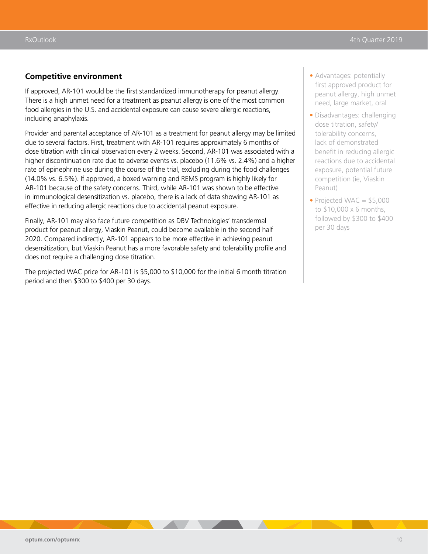#### **Competitive environment**

If approved, AR-101 would be the first standardized immunotherapy for peanut allergy. There is a high unmet need for a treatment as peanut allergy is one of the most common food allergies in the U.S. and accidental exposure can cause severe allergic reactions, including anaphylaxis.

Provider and parental acceptance of AR-101 as a treatment for peanut allergy may be limited due to several factors. First, treatment with AR-101 requires approximately 6 months of dose titration with clinical observation every 2 weeks. Second, AR-101 was associated with a higher discontinuation rate due to adverse events vs. placebo (11.6% vs. 2.4%) and a higher rate of epinephrine use during the course of the trial, excluding during the food challenges (14.0% vs. 6.5%). If approved, a boxed warning and REMS program is highly likely for AR-101 because of the safety concerns. Third, while AR-101 was shown to be effective in immunological desensitization vs. placebo, there is a lack of data showing AR-101 as effective in reducing allergic reactions due to accidental peanut exposure.

Finally, AR-101 may also face future competition as DBV Technologies' transdermal product for peanut allergy, Viaskin Peanut, could become available in the second half 2020. Compared indirectly, AR-101 appears to be more effective in achieving peanut desensitization, but Viaskin Peanut has a more favorable safety and tolerability profile and does not require a challenging dose titration.

The projected WAC price for AR-101 is \$5,000 to \$10,000 for the initial 6 month titration period and then \$300 to \$400 per 30 days.

- Advantages: potentially first approved product for peanut allergy, high unmet need, large market, oral
- Disadvantages: challenging dose titration, safety/ tolerability concerns, lack of demonstrated benefit in reducing allergic reactions due to accidental exposure, potential future competition (ie, Viaskin Peanut)
- Projected WAC  $= $5,000$ to \$10,000 x 6 months, followed by \$300 to \$400 per 30 days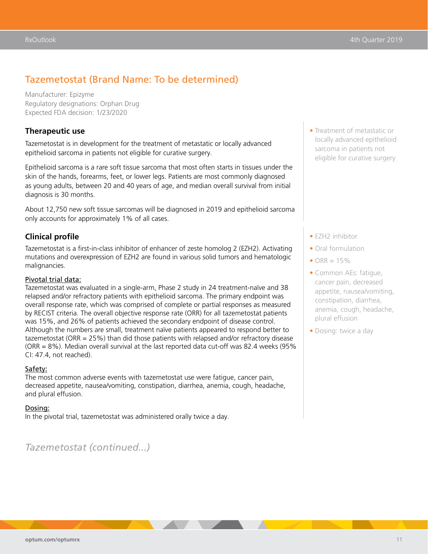### Tazemetostat (Brand Name: To be determined)

Manufacturer: Epizyme Regulatory designations: Orphan Drug Expected FDA decision: 1/23/2020

#### **Therapeutic use**

Tazemetostat is in development for the treatment of metastatic or locally advanced epithelioid sarcoma in patients not eligible for curative surgery.

Epithelioid sarcoma is a rare soft tissue sarcoma that most often starts in tissues under the skin of the hands, forearms, feet, or lower legs. Patients are most commonly diagnosed as young adults, between 20 and 40 years of age, and median overall survival from initial diagnosis is 30 months.

About 12,750 new soft tissue sarcomas will be diagnosed in 2019 and epithelioid sarcoma only accounts for approximately 1% of all cases.

#### **Clinical profile**

Tazemetostat is a first-in-class inhibitor of enhancer of zeste homolog 2 (EZH2). Activating mutations and overexpression of EZH2 are found in various solid tumors and hematologic malignancies.

#### Pivotal trial data:

Tazemetostat was evaluated in a single-arm, Phase 2 study in 24 treatment-naïve and 38 relapsed and/or refractory patients with epithelioid sarcoma. The primary endpoint was overall response rate, which was comprised of complete or partial responses as measured by RECIST criteria. The overall objective response rate (ORR) for all tazemetostat patients was 15%, and 26% of patients achieved the secondary endpoint of disease control. Although the numbers are small, treatment naïve patients appeared to respond better to tazemetostat (ORR = 25%) than did those patients with relapsed and/or refractory disease (ORR = 8%). Median overall survival at the last reported data cut-off was 82.4 weeks (95% CI: 47.4, not reached).

#### Safety:

The most common adverse events with tazemetostat use were fatigue, cancer pain, decreased appetite, nausea/vomiting, constipation, diarrhea, anemia, cough, headache, and plural effusion.

#### Dosing:

In the pivotal trial, tazemetostat was administered orally twice a day.

*Tazemetostat (continued...)*

• Treatment of metastatic or locally advanced epithelioid sarcoma in patients not eligible for curative surgery

- EZH2 inhibitor
- Oral formulation
- ORR  $= 15\%$
- Common AEs: fatigue, cancer pain, decreased appetite, nausea/vomiting, constipation, diarrhea, anemia, cough, headache, plural effusion
- Dosing: twice a day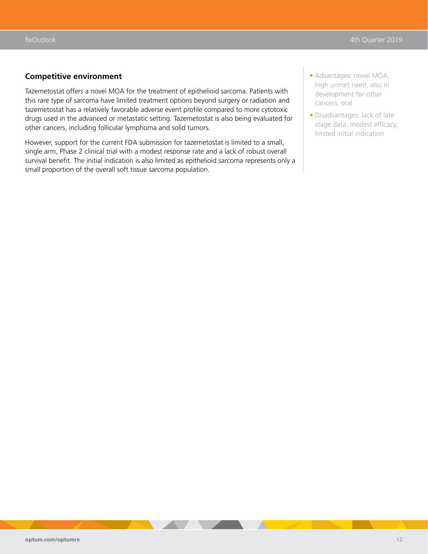#### **Competitive environment**

Tazemetostat offers a novel MOA for the treatment of epithelioid sarcoma. Patients with this rare type of sarcoma have limited treatment options beyond surgery or radiation and tazemetostat has a relatively favorable adverse event profile compared to more cytotoxic drugs used in the advanced or metastatic setting. Tazemetostat is also being evaluated for other cancers, including follicular lymphoma and solid tumors.

However, support for the current FDA submission for tazemetostat is limited to a small, single arm, Phase 2 clinical trial with a modest response rate and a lack of robust overall survival benefit. The initial indication is also limited as epithelioid sarcoma represents only a small proportion of the overall soft tissue sarcoma population.

- Advantages: novel MOA, high unmet need, also in development for other cancers, oral
- Disadvantages: lack of late stage data, modest efficacy, limited initial indication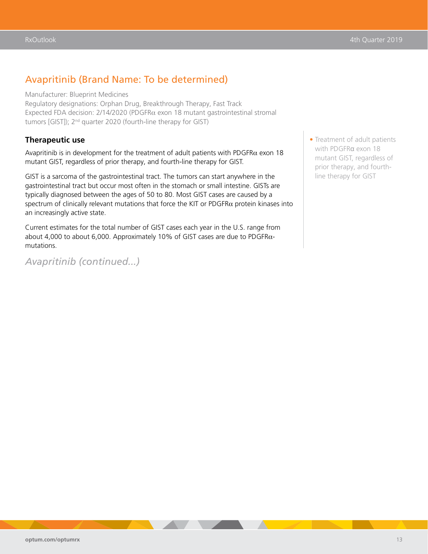### Avapritinib (Brand Name: To be determined)

Manufacturer: Blueprint Medicines

Regulatory designations: Orphan Drug, Breakthrough Therapy, Fast Track Expected FDA decision: 2/14/2020 (PDGFRα exon 18 mutant gastrointestinal stromal tumors [GIST]); 2<sup>nd</sup> quarter 2020 (fourth-line therapy for GIST)

#### **Therapeutic use**

Avapritinib is in development for the treatment of adult patients with PDGFR $\alpha$  exon 18 mutant GIST, regardless of prior therapy, and fourth-line therapy for GIST.

GIST is a sarcoma of the gastrointestinal tract. The tumors can start anywhere in the gastrointestinal tract but occur most often in the stomach or small intestine. GISTs are typically diagnosed between the ages of 50 to 80. Most GIST cases are caused by a spectrum of clinically relevant mutations that force the KIT or  $PDGFR\alpha$  protein kinases into an increasingly active state.

Current estimates for the total number of GIST cases each year in the U.S. range from about 4,000 to about 6,000. Approximately 10% of GIST cases are due to PDGFR $\alpha$ mutations.

*Avapritinib (continued...)*

• Treatment of adult patients with PDGFRα exon 18 mutant GIST, regardless of prior therapy, and fourthline therapy for GIST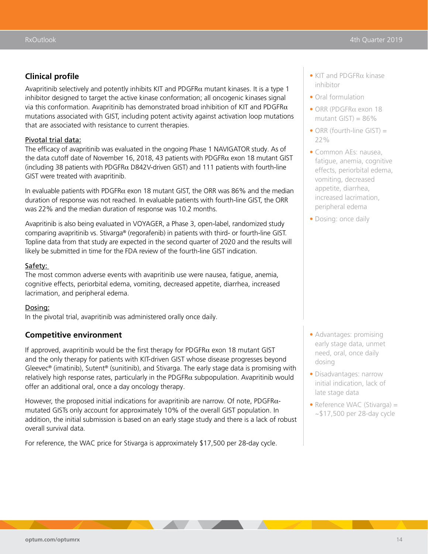### **Clinical profile**

Avapritinib selectively and potently inhibits KIT and PDGFR $\alpha$  mutant kinases. It is a type 1 inhibitor designed to target the active kinase conformation; all oncogenic kinases signal via this conformation. Avapritinib has demonstrated broad inhibition of KIT and PDGFR $\alpha$ mutations associated with GIST, including potent activity against activation loop mutations that are associated with resistance to current therapies.

#### Pivotal trial data:

The efficacy of avapritinib was evaluated in the ongoing Phase 1 NAVIGATOR study. As of the data cutoff date of November 16, 2018, 43 patients with PDGFR $\alpha$  exon 18 mutant GIST (including 38 patients with PDGFR $\alpha$  D842V-driven GIST) and 111 patients with fourth-line GIST were treated with avapritinib.

In evaluable patients with PDGFR $\alpha$  exon 18 mutant GIST, the ORR was 86% and the median duration of response was not reached. In evaluable patients with fourth-line GIST, the ORR was 22% and the median duration of response was 10.2 months.

Avapritinib is also being evaluated in VOYAGER, a Phase 3, open-label, randomized study comparing avapritinib vs. Stivarga® (regorafenib) in patients with third- or fourth-line GIST. Topline data from that study are expected in the second quarter of 2020 and the results will likely be submitted in time for the FDA review of the fourth-line GIST indication.

#### Safety:

The most common adverse events with avapritinib use were nausea, fatigue, anemia, cognitive effects, periorbital edema, vomiting, decreased appetite, diarrhea, increased lacrimation, and peripheral edema.

#### Dosing:

In the pivotal trial, avapritinib was administered orally once daily.

#### **Competitive environment**

If approved, avapritinib would be the first therapy for PDGFR $\alpha$  exon 18 mutant GIST and the only therapy for patients with KIT-driven GIST whose disease progresses beyond Gleevec<sup>®</sup> (imatinib), Sutent<sup>®</sup> (sunitinib), and Stivarga. The early stage data is promising with  $relatively high response rates, particularly in the PDGFR $\alpha$  subpopulation. Avarriting would$ offer an additional oral, once a day oncology therapy.

However, the proposed initial indications for avapritinib are narrow. Of note, PDGFRαmutated GISTs only account for approximately 10% of the overall GIST population. In addition, the initial submission is based on an early stage study and there is a lack of robust overall survival data.

For reference, the WAC price for Stivarga is approximately \$17,500 per 28-day cycle.

- KIT and PDGFRα kinase inhibitor
- Oral formulation
- ORR (PDGFRα exon 18 mutant GIST) =  $86\%$
- ORR (fourth-line GIST) = 22%
- Common AEs: nausea, fatigue, anemia, cognitive effects, periorbital edema, vomiting, decreased appetite, diarrhea, increased lacrimation, peripheral edema
- Dosing: once daily

- Advantages: promising early stage data, unmet need, oral, once daily dosing
- Disadvantages: narrow initial indication, lack of late stage data
- Reference WAC (Stivarga) = ~\$17,500 per 28-day cycle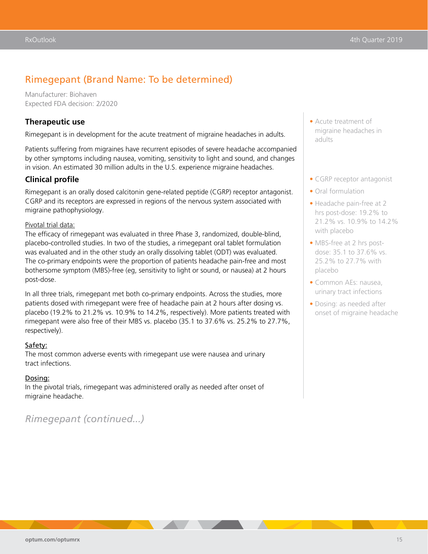### Rimegepant (Brand Name: To be determined)

Manufacturer: Biohaven Expected FDA decision: 2/2020

#### **Therapeutic use**

Rimegepant is in development for the acute treatment of migraine headaches in adults.

Patients suffering from migraines have recurrent episodes of severe headache accompanied by other symptoms including nausea, vomiting, sensitivity to light and sound, and changes in vision. An estimated 30 million adults in the U.S. experience migraine headaches.

#### **Clinical profile**

Rimegepant is an orally dosed calcitonin gene-related peptide (CGRP) receptor antagonist. CGRP and its receptors are expressed in regions of the nervous system associated with migraine pathophysiology.

#### Pivotal trial data:

The efficacy of rimegepant was evaluated in three Phase 3, randomized, double-blind, placebo-controlled studies. In two of the studies, a rimegepant oral tablet formulation was evaluated and in the other study an orally dissolving tablet (ODT) was evaluated. The co-primary endpoints were the proportion of patients headache pain-free and most bothersome symptom (MBS)-free (eg, sensitivity to light or sound, or nausea) at 2 hours post-dose.

In all three trials, rimegepant met both co-primary endpoints. Across the studies, more patients dosed with rimegepant were free of headache pain at 2 hours after dosing vs. placebo (19.2% to 21.2% vs. 10.9% to 14.2%, respectively). More patients treated with rimegepant were also free of their MBS vs. placebo (35.1 to 37.6% vs. 25.2% to 27.7%, respectively).

#### Safety:

The most common adverse events with rimegepant use were nausea and urinary tract infections.

#### Dosing:

In the pivotal trials, rimegepant was administered orally as needed after onset of migraine headache.

*Rimegepant (continued...)*

- Acute treatment of migraine headaches in adults
- CGRP receptor antagonist
- Oral formulation
- Headache pain-free at 2 hrs post-dose: 19.2% to 21.2% vs. 10.9% to 14.2% with placebo
- MBS-free at 2 hrs postdose: 35.1 to 37.6% vs. 25.2% to 27.7% with placebo
- Common AEs: nausea, urinary tract infections
- Dosing: as needed after onset of migraine headache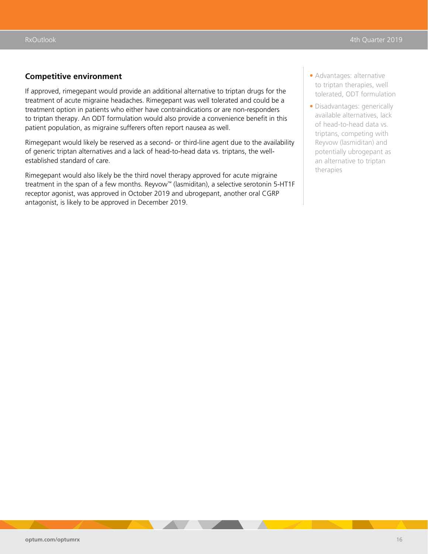#### **Competitive environment**

If approved, rimegepant would provide an additional alternative to triptan drugs for the treatment of acute migraine headaches. Rimegepant was well tolerated and could be a treatment option in patients who either have contraindications or are non-responders to triptan therapy. An ODT formulation would also provide a convenience benefit in this patient population, as migraine sufferers often report nausea as well.

Rimegepant would likely be reserved as a second- or third-line agent due to the availability of generic triptan alternatives and a lack of head-to-head data vs. triptans, the wellestablished standard of care.

Rimegepant would also likely be the third novel therapy approved for acute migraine treatment in the span of a few months. Reyvow<sup>™</sup> (lasmiditan), a selective serotonin 5-HT1F receptor agonist, was approved in October 2019 and ubrogepant, another oral CGRP antagonist, is likely to be approved in December 2019.

- Advantages: alternative to triptan therapies, well tolerated, ODT formulation
- Disadvantages: generically available alternatives, lack of head-to-head data vs. triptans, competing with Reyvow (lasmiditan) and potentially ubrogepant as an alternative to triptan therapies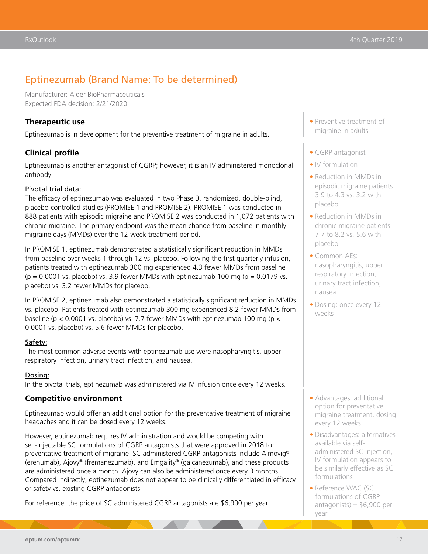### Eptinezumab (Brand Name: To be determined)

Manufacturer: Alder BioPharmaceuticals Expected FDA decision: 2/21/2020

#### **Therapeutic use**

Eptinezumab is in development for the preventive treatment of migraine in adults.

### **Clinical profile**

Eptinezumab is another antagonist of CGRP; however, it is an IV administered monoclonal antibody.

#### Pivotal trial data:

The efficacy of eptinezumab was evaluated in two Phase 3, randomized, double-blind, placebo-controlled studies (PROMISE 1 and PROMISE 2). PROMISE 1 was conducted in 888 patients with episodic migraine and PROMISE 2 was conducted in 1,072 patients with chronic migraine. The primary endpoint was the mean change from baseline in monthly migraine days (MMDs) over the 12-week treatment period.

In PROMISE 1, eptinezumab demonstrated a statistically significant reduction in MMDs from baseline over weeks 1 through 12 vs. placebo. Following the first quarterly infusion, patients treated with eptinezumab 300 mg experienced 4.3 fewer MMDs from baseline  $(p = 0.0001 \text{ vs. } placebo)$  vs. 3.9 fewer MMDs with eptinezumab 100 mg  $(p = 0.0179 \text{ vs. }$ placebo) vs. 3.2 fewer MMDs for placebo.

In PROMISE 2, eptinezumab also demonstrated a statistically significant reduction in MMDs vs. placebo. Patients treated with eptinezumab 300 mg experienced 8.2 fewer MMDs from baseline ( $p < 0.0001$  vs. placebo) vs. 7.7 fewer MMDs with eptinezumab 100 mg ( $p <$ 0.0001 vs. placebo) vs. 5.6 fewer MMDs for placebo.

#### Safety:

The most common adverse events with eptinezumab use were nasopharyngitis, upper respiratory infection, urinary tract infection, and nausea.

#### Dosing:

In the pivotal trials, eptinezumab was administered via IV infusion once every 12 weeks.

### **Competitive environment**

Eptinezumab would offer an additional option for the preventative treatment of migraine headaches and it can be dosed every 12 weeks.

However, eptinezumab requires IV administration and would be competing with self-injectable SC formulations of CGRP antagonists that were approved in 2018 for preventative treatment of migraine. SC administered CGRP antagonists include Aimovig® (erenumab), Ajovy® (fremanezumab), and Emgality® (galcanezumab), and these products are administered once a month. Ajovy can also be administered once every 3 months. Compared indirectly, eptinezumab does not appear to be clinically differentiated in efficacy or safety vs. existing CGRP antagonists.

For reference, the price of SC administered CGRP antagonists are \$6,900 per year.

- Preventive treatment of migraine in adults
- CGRP antagonist
- IV formulation
- Reduction in MMDs in episodic migraine patients: 3.9 to 4.3 vs. 3.2 with placebo
- Reduction in MMDs in chronic migraine patients: 7.7 to 8.2 vs. 5.6 with placebo
- Common AEs: nasopharyngitis, upper respiratory infection, urinary tract infection, nausea
- Dosing: once every 12 weeks

- Advantages: additional option for preventative migraine treatment, dosing every 12 weeks
- Disadvantages: alternatives available via selfadministered SC injection, IV formulation appears to be similarly effective as SC formulations
- Reference WAC (SC formulations of CGRP antagonists) =  $$6,900$  per year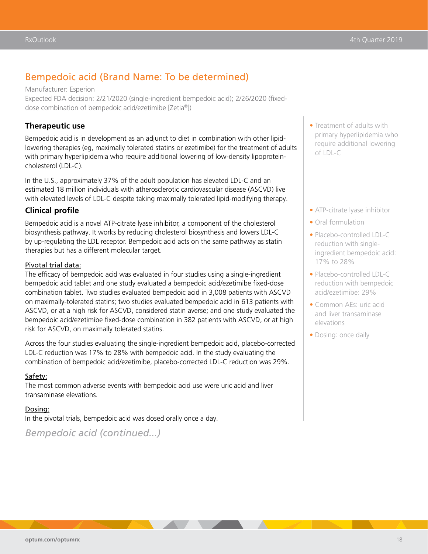### Bempedoic acid (Brand Name: To be determined)

Manufacturer: Esperion Expected FDA decision: 2/21/2020 (single-ingredient bempedoic acid); 2/26/2020 (fixeddose combination of bempedoic acid/ezetimibe [Zetia®])

#### **Therapeutic use**

Bempedoic acid is in development as an adjunct to diet in combination with other lipidlowering therapies (eg, maximally tolerated statins or ezetimibe) for the treatment of adults with primary hyperlipidemia who require additional lowering of low-density lipoproteincholesterol (LDL-C).

In the U.S., approximately 37% of the adult population has elevated LDL-C and an estimated 18 million individuals with atherosclerotic cardiovascular disease (ASCVD) live with elevated levels of LDL-C despite taking maximally tolerated lipid-modifying therapy.

### **Clinical profile**

Bempedoic acid is a novel ATP-citrate lyase inhibitor, a component of the cholesterol biosynthesis pathway. It works by reducing cholesterol biosynthesis and lowers LDL-C by up-regulating the LDL receptor. Bempedoic acid acts on the same pathway as statin therapies but has a different molecular target.

#### Pivotal trial data:

The efficacy of bempedoic acid was evaluated in four studies using a single-ingredient bempedoic acid tablet and one study evaluated a bempedoic acid/ezetimibe fixed-dose combination tablet. Two studies evaluated bempedoic acid in 3,008 patients with ASCVD on maximally-tolerated statins; two studies evaluated bempedoic acid in 613 patients with ASCVD, or at a high risk for ASCVD, considered statin averse; and one study evaluated the bempedoic acid/ezetimibe fixed-dose combination in 382 patients with ASCVD, or at high risk for ASCVD, on maximally tolerated statins.

Across the four studies evaluating the single-ingredient bempedoic acid, placebo-corrected LDL-C reduction was 17% to 28% with bempedoic acid. In the study evaluating the combination of bempedoic acid/ezetimibe, placebo-corrected LDL-C reduction was 29%.

#### Safety:

The most common adverse events with bempedoic acid use were uric acid and liver transaminase elevations.

#### Dosing:

In the pivotal trials, bempedoic acid was dosed orally once a day.

*Bempedoic acid (continued...)*

- Treatment of adults with primary hyperlipidemia who require additional lowering of LDL-C
- ATP-citrate lyase inhibitor
- Oral formulation
- Placebo-controlled LDL-C reduction with singleingredient bempedoic acid: 17% to 28%
- Placebo-controlled LDL-C reduction with bempedoic acid/ezetimibe: 29%
- Common AEs: uric acid and liver transaminase elevations
- Dosing: once daily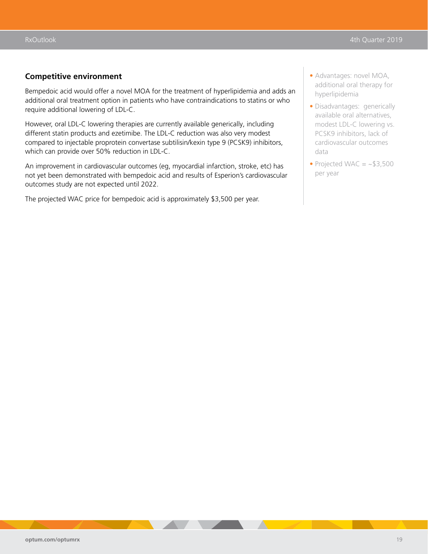#### **Competitive environment**

Bempedoic acid would offer a novel MOA for the treatment of hyperlipidemia and adds an additional oral treatment option in patients who have contraindications to statins or who require additional lowering of LDL-C.

However, oral LDL-C lowering therapies are currently available generically, including different statin products and ezetimibe. The LDL-C reduction was also very modest compared to injectable proprotein convertase subtilisin/kexin type 9 (PCSK9) inhibitors, which can provide over 50% reduction in LDL-C.

An improvement in cardiovascular outcomes (eg, myocardial infarction, stroke, etc) has not yet been demonstrated with bempedoic acid and results of Esperion's cardiovascular outcomes study are not expected until 2022.

The projected WAC price for bempedoic acid is approximately \$3,500 per year.

- Advantages: novel MOA, additional oral therapy for hyperlipidemia
- Disadvantages: generically available oral alternatives, modest LDL-C lowering vs. PCSK9 inhibitors, lack of cardiovascular outcomes data
- Projected WAC  $=$  ~\$3,500 per year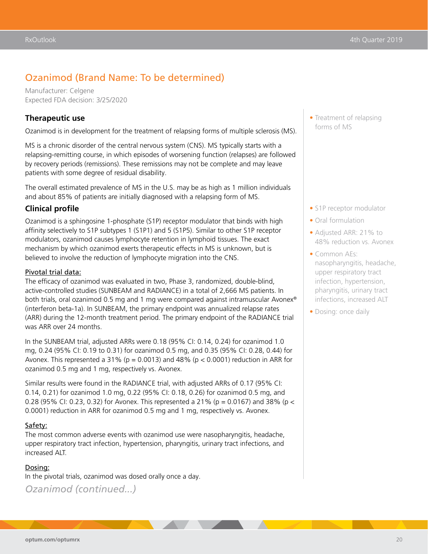### Ozanimod (Brand Name: To be determined)

Manufacturer: Celgene Expected FDA decision: 3/25/2020

#### **Therapeutic use**

Ozanimod is in development for the treatment of relapsing forms of multiple sclerosis (MS).

MS is a chronic disorder of the central nervous system (CNS). MS typically starts with a relapsing-remitting course, in which episodes of worsening function (relapses) are followed by recovery periods (remissions). These remissions may not be complete and may leave patients with some degree of residual disability.

The overall estimated prevalence of MS in the U.S. may be as high as 1 million individuals and about 85% of patients are initially diagnosed with a relapsing form of MS.

#### **Clinical profile**

Ozanimod is a sphingosine 1-phosphate (S1P) receptor modulator that binds with high affinity selectively to S1P subtypes 1 (S1P1) and 5 (S1P5). Similar to other S1P receptor modulators, ozanimod causes lymphocyte retention in lymphoid tissues. The exact mechanism by which ozanimod exerts therapeutic effects in MS is unknown, but is believed to involve the reduction of lymphocyte migration into the CNS.

#### Pivotal trial data:

The efficacy of ozanimod was evaluated in two, Phase 3, randomized, double-blind, active-controlled studies (SUNBEAM and RADIANCE) in a total of 2,666 MS patients. In both trials, oral ozanimod 0.5 mg and 1 mg were compared against intramuscular Avonex® (interferon beta-1a). In SUNBEAM, the primary endpoint was annualized relapse rates (ARR) during the 12-month treatment period. The primary endpoint of the RADIANCE trial was ARR over 24 months.

In the SUNBEAM trial, adjusted ARRs were 0.18 (95% CI: 0.14, 0.24) for ozanimod 1.0 mg, 0.24 (95% CI: 0.19 to 0.31) for ozanimod 0.5 mg, and 0.35 (95% CI: 0.28, 0.44) for Avonex. This represented a 31% ( $p = 0.0013$ ) and 48% ( $p < 0.0001$ ) reduction in ARR for ozanimod 0.5 mg and 1 mg, respectively vs. Avonex.

Similar results were found in the RADIANCE trial, with adjusted ARRs of 0.17 (95% CI: 0.14, 0.21) for ozanimod 1.0 mg, 0.22 (95% CI: 0.18, 0.26) for ozanimod 0.5 mg, and 0.28 (95% CI: 0.23, 0.32) for Avonex. This represented a 21% (p = 0.0167) and 38% (p < 0.0001) reduction in ARR for ozanimod 0.5 mg and 1 mg, respectively vs. Avonex.

#### Safety:

The most common adverse events with ozanimod use were nasopharyngitis, headache, upper respiratory tract infection, hypertension, pharyngitis, urinary tract infections, and increased ALT.

#### Dosing:

In the pivotal trials, ozanimod was dosed orally once a day.

*Ozanimod (continued...)*

• Treatment of relapsing forms of MS

- S1P receptor modulator
- Oral formulation
- Adjusted ARR: 21% to 48% reduction vs. Avonex
- Common AEs: nasopharyngitis, headache, upper respiratory tract infection, hypertension, pharyngitis, urinary tract infections, increased ALT
- Dosing: once daily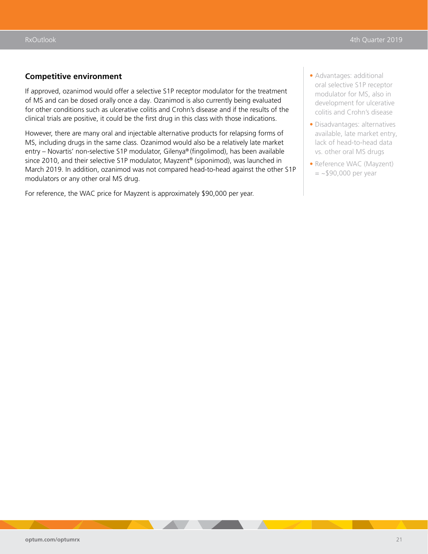#### **Competitive environment**

If approved, ozanimod would offer a selective S1P receptor modulator for the treatment of MS and can be dosed orally once a day. Ozanimod is also currently being evaluated for other conditions such as ulcerative colitis and Crohn's disease and if the results of the clinical trials are positive, it could be the first drug in this class with those indications.

However, there are many oral and injectable alternative products for relapsing forms of MS, including drugs in the same class. Ozanimod would also be a relatively late market entry – Novartis' non-selective S1P modulator, Gilenya® (fingolimod), has been available since 2010, and their selective S1P modulator, Mayzent® (siponimod), was launched in March 2019. In addition, ozanimod was not compared head-to-head against the other S1P modulators or any other oral MS drug.

For reference, the WAC price for Mayzent is approximately \$90,000 per year.

- Advantages: additional oral selective S1P receptor modulator for MS, also in development for ulcerative colitis and Crohn's disease
- Disadvantages: alternatives available, late market entry, lack of head-to-head data vs. other oral MS drugs
- Reference WAC (Mayzent)  $=$  ~\$90,000 per year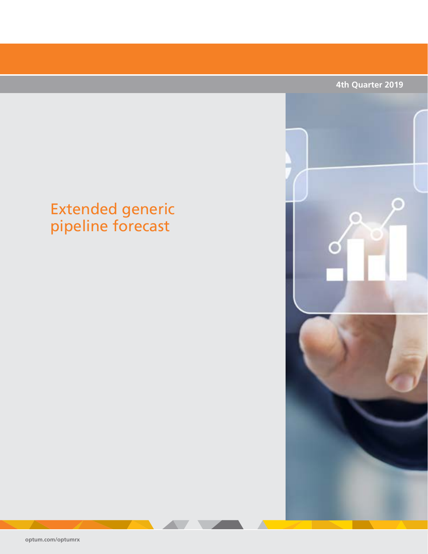# <span id="page-27-0"></span>Extended generic pipeline forecast



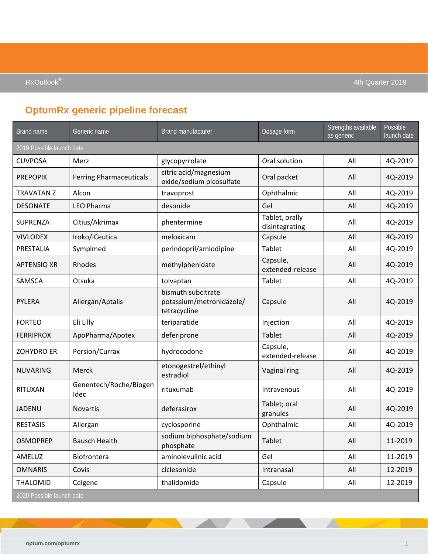## **OptumRx generic pipeline forecast**

| Brand name                | Generic name                   | <b>Brand manufacturer</b>                                      | Dosage form                      | Strengths available<br>as generic | Possible<br>launch date |
|---------------------------|--------------------------------|----------------------------------------------------------------|----------------------------------|-----------------------------------|-------------------------|
| 2019 Possible launch date |                                |                                                                |                                  |                                   |                         |
| <b>CUVPOSA</b>            | Merz                           | glycopyrrolate                                                 | Oral solution                    | All                               | 4Q-2019                 |
| <b>PREPOPIK</b>           | <b>Ferring Pharmaceuticals</b> | citric acid/magnesium<br>oxide/sodium picosulfate              | Oral packet                      | All                               | 4Q-2019                 |
| <b>TRAVATAN Z</b>         | Alcon                          | travoprost                                                     | Ophthalmic                       | All                               | 4Q-2019                 |
| <b>DESONATE</b>           | <b>LEO Pharma</b>              | desonide                                                       | Gel                              | All                               | 4Q-2019                 |
| SUPRENZA                  | Citius/Akrimax                 | phentermine                                                    | Tablet, orally<br>disintegrating | All                               | 4Q-2019                 |
| <b>VIVLODEX</b>           | Iroko/iCeutica                 | meloxicam                                                      | Capsule                          | All                               | 4Q-2019                 |
| PRESTALIA                 | Symplmed                       | perindopril/amlodipine                                         | Tablet                           | All                               | 4Q-2019                 |
| <b>APTENSIO XR</b>        | Rhodes                         | methylphenidate                                                | Capsule,<br>extended-release     | All                               | 4Q-2019                 |
| SAMSCA                    | Otsuka                         | tolvaptan                                                      | Tablet                           | All                               | 4Q-2019                 |
| <b>PYLERA</b>             | Allergan/Aptalis               | bismuth subcitrate<br>potassium/metronidazole/<br>tetracycline | Capsule                          | All                               | 4Q-2019                 |
| <b>FORTEO</b>             | Eli Lilly                      | teriparatide                                                   | Injection                        | All                               | 4Q-2019                 |
| <b>FERRIPROX</b>          | ApoPharma/Apotex               | deferiprone                                                    | Tablet                           | All                               | 4Q-2019                 |
| <b>ZOHYDRO ER</b>         | Persion/Currax                 | hydrocodone                                                    | Capsule,<br>extended-release     | All                               | 4Q-2019                 |
| <b>NUVARING</b>           | Merck                          | etonogestrel/ethinyl<br>estradiol                              | Vaginal ring                     | All                               | 4Q-2019                 |
| RITUXAN                   | Genentech/Roche/Biogen<br>Idec | rituxumab                                                      | Intravenous                      | All                               | 4Q-2019                 |
| JADENU                    | <b>Novartis</b>                | deferasirox                                                    | Tablet; oral<br>granules         | All                               | 4Q-2019                 |
| <b>RESTASIS</b>           | Allergan                       | cyclosporine                                                   | Ophthalmic                       | All                               | 4Q-2019                 |
| <b>OSMOPREP</b>           | <b>Bausch Health</b>           | sodium biphosphate/sodium<br>phosphate                         | Tablet                           | All                               | 11-2019                 |
| AMELUZ                    | Biofrontera                    | aminolevulinic acid                                            | Gel                              | All                               | 11-2019                 |
| <b>OMNARIS</b>            | Covis                          | ciclesonide                                                    | Intranasal                       | All                               | 12-2019                 |
| THALOMID                  | Celgene                        | thalidomide                                                    | Capsule                          | All                               | 12-2019                 |
| 2020 Possible launch date |                                |                                                                |                                  |                                   |                         |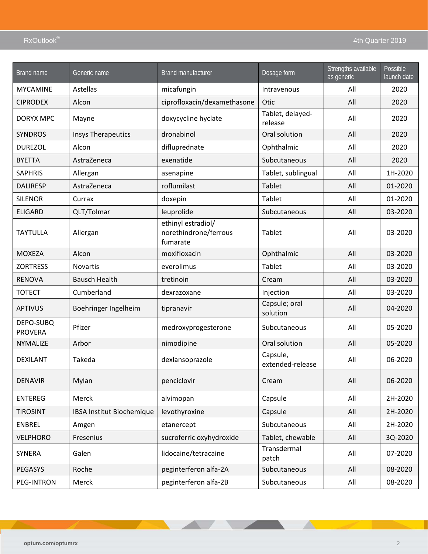| Brand name                  | Generic name              | <b>Brand manufacturer</b>                               | Dosage form                  | Strengths available<br>as generic | Possible<br>launch date |
|-----------------------------|---------------------------|---------------------------------------------------------|------------------------------|-----------------------------------|-------------------------|
| <b>MYCAMINE</b>             | Astellas                  | micafungin                                              | Intravenous                  | All                               | 2020                    |
| <b>CIPRODEX</b>             | Alcon                     | ciprofloxacin/dexamethasone                             | Otic                         | All                               | 2020                    |
| <b>DORYX MPC</b>            | Mayne                     | doxycycline hyclate                                     | Tablet, delayed-<br>release  | All                               | 2020                    |
| <b>SYNDROS</b>              | <b>Insys Therapeutics</b> | dronabinol                                              | Oral solution                | All                               | 2020                    |
| <b>DUREZOL</b>              | Alcon                     | difluprednate                                           | Ophthalmic                   | All                               | 2020                    |
| <b>BYETTA</b>               | AstraZeneca               | exenatide                                               | Subcutaneous                 | All                               | 2020                    |
| <b>SAPHRIS</b>              | Allergan                  | asenapine                                               | Tablet, sublingual           | All                               | 1H-2020                 |
| <b>DALIRESP</b>             | AstraZeneca               | roflumilast                                             | Tablet                       | All                               | 01-2020                 |
| <b>SILENOR</b>              | Currax                    | doxepin                                                 | Tablet                       | All                               | 01-2020                 |
| <b>ELIGARD</b>              | QLT/Tolmar                | leuprolide                                              | Subcutaneous                 | All                               | 03-2020                 |
| <b>TAYTULLA</b>             | Allergan                  | ethinyl estradiol/<br>norethindrone/ferrous<br>fumarate | Tablet                       | All                               | 03-2020                 |
| <b>MOXEZA</b>               | Alcon                     | moxifloxacin                                            | Ophthalmic                   | All                               | 03-2020                 |
| <b>ZORTRESS</b>             | <b>Novartis</b>           | everolimus                                              | Tablet                       | All                               | 03-2020                 |
| <b>RENOVA</b>               | <b>Bausch Health</b>      | tretinoin                                               | Cream                        | All                               | 03-2020                 |
| <b>TOTECT</b>               | Cumberland                | dexrazoxane                                             | Injection                    | All                               | 03-2020                 |
| <b>APTIVUS</b>              | Boehringer Ingelheim      | tipranavir                                              | Capsule; oral<br>solution    | All                               | 04-2020                 |
| DEPO-SUBQ<br><b>PROVERA</b> | Pfizer                    | medroxyprogesterone                                     | Subcutaneous                 | All                               | 05-2020                 |
| NYMALIZE                    | Arbor                     | nimodipine                                              | Oral solution                | All                               | 05-2020                 |
| <b>DEXILANT</b>             | Takeda                    | dexlansoprazole                                         | Capsule,<br>extended-release | All                               | 06-2020                 |
| <b>DENAVIR</b>              | Mylan                     | penciclovir                                             | Cream                        | All                               | 06-2020                 |
| <b>ENTEREG</b>              | Merck                     | alvimopan                                               | Capsule                      | All                               | 2H-2020                 |
| <b>TIROSINT</b>             | IBSA Institut Biochemique | levothyroxine                                           | Capsule                      | All                               | 2H-2020                 |
| <b>ENBREL</b>               | Amgen                     | etanercept                                              | Subcutaneous                 | All                               | 2H-2020                 |
| <b>VELPHORO</b>             | Fresenius                 | sucroferric oxyhydroxide                                | Tablet, chewable             | All                               | 3Q-2020                 |
| SYNERA                      | Galen                     | lidocaine/tetracaine                                    | Transdermal<br>patch         | All                               | 07-2020                 |
| PEGASYS                     | Roche                     | peginterferon alfa-2A                                   | Subcutaneous                 | All                               | 08-2020                 |
| PEG-INTRON                  | Merck                     | peginterferon alfa-2B                                   | Subcutaneous                 | All                               | 08-2020                 |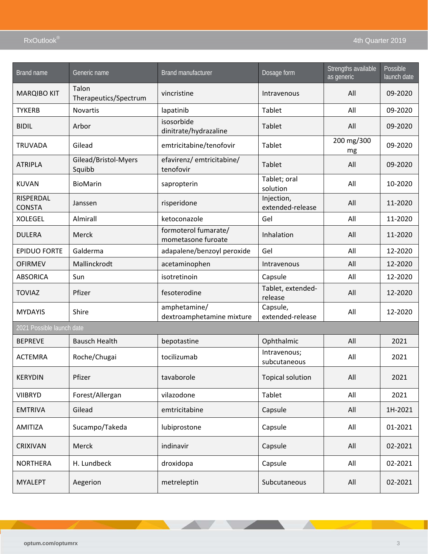| Brand name                 | Generic name                   | <b>Brand manufacturer</b>                  | Dosage form                    | Strengths available<br>as generic | Possible<br>launch date |
|----------------------------|--------------------------------|--------------------------------------------|--------------------------------|-----------------------------------|-------------------------|
| <b>MARQIBO KIT</b>         | Talon<br>Therapeutics/Spectrum | vincristine                                | Intravenous                    | All                               | 09-2020                 |
| <b>TYKERB</b>              | <b>Novartis</b>                | lapatinib                                  | Tablet                         | All                               | 09-2020                 |
| <b>BIDIL</b>               | Arbor                          | isosorbide<br>dinitrate/hydrazaline        | <b>Tablet</b>                  | All                               | 09-2020                 |
| <b>TRUVADA</b>             | Gilead                         | emtricitabine/tenofovir                    | Tablet                         | 200 mg/300<br>mg                  | 09-2020                 |
| <b>ATRIPLA</b>             | Gilead/Bristol-Myers<br>Squibb | efavirenz/ emtricitabine/<br>tenofovir     | Tablet                         | All                               | 09-2020                 |
| <b>KUVAN</b>               | <b>BioMarin</b>                | sapropterin                                | Tablet; oral<br>solution       | All                               | 10-2020                 |
| RISPERDAL<br><b>CONSTA</b> | Janssen                        | risperidone                                | Injection,<br>extended-release | All                               | 11-2020                 |
| <b>XOLEGEL</b>             | <b>Almirall</b>                | ketoconazole                               | Gel                            | All                               | 11-2020                 |
| <b>DULERA</b>              | Merck                          | formoterol fumarate/<br>mometasone furoate | Inhalation                     | All                               | 11-2020                 |
| <b>EPIDUO FORTE</b>        | Galderma                       | adapalene/benzoyl peroxide                 | Gel                            | All                               | 12-2020                 |
| <b>OFIRMEV</b>             | Mallinckrodt                   | acetaminophen                              | Intravenous                    | All                               | 12-2020                 |
| <b>ABSORICA</b>            | Sun                            | isotretinoin                               | Capsule                        | All                               | 12-2020                 |
| <b>TOVIAZ</b>              | Pfizer                         | fesoterodine                               | Tablet, extended-<br>release   | All                               | 12-2020                 |
| <b>MYDAYIS</b>             | Shire                          | amphetamine/<br>dextroamphetamine mixture  | Capsule,<br>extended-release   | All                               | 12-2020                 |
| 2021 Possible launch date  |                                |                                            |                                |                                   |                         |
| <b>BEPREVE</b>             | <b>Bausch Health</b>           | bepotastine                                | Ophthalmic                     | All                               | 2021                    |
| <b>ACTEMRA</b>             | Roche/Chugai                   | tocilizumab                                | Intravenous;<br>subcutaneous   | All                               | 2021                    |
| <b>KERYDIN</b>             | Pfizer                         | tavaborole                                 | <b>Topical solution</b>        | All                               | 2021                    |
| <b>VIIBRYD</b>             | Forest/Allergan                | vilazodone                                 | Tablet                         | All                               | 2021                    |
| <b>EMTRIVA</b>             | Gilead                         | emtricitabine                              | Capsule                        | All                               | 1H-2021                 |
| AMITIZA                    | Sucampo/Takeda                 | lubiprostone                               | Capsule                        | All                               | 01-2021                 |
| <b>CRIXIVAN</b>            | Merck                          | indinavir                                  | Capsule                        | All                               | 02-2021                 |
| <b>NORTHERA</b>            | H. Lundbeck                    | droxidopa                                  | Capsule                        | All                               | 02-2021                 |
| <b>MYALEPT</b>             | Aegerion                       | metreleptin                                | Subcutaneous                   | All                               | 02-2021                 |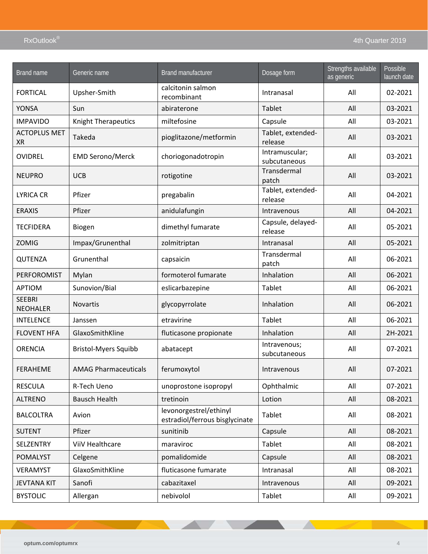| Brand name                       | Generic name                | <b>Brand manufacturer</b>                                | Dosage form                    | Strengths available<br>as generic | Possible<br>launch date |
|----------------------------------|-----------------------------|----------------------------------------------------------|--------------------------------|-----------------------------------|-------------------------|
| <b>FORTICAL</b>                  | Upsher-Smith                | calcitonin salmon<br>recombinant                         | Intranasal                     | All                               | 02-2021                 |
| YONSA                            | Sun                         | abiraterone                                              | Tablet                         | All                               | 03-2021                 |
| <b>IMPAVIDO</b>                  | Knight Therapeutics         | miltefosine                                              | Capsule                        | All                               | 03-2021                 |
| <b>ACTOPLUS MET</b><br><b>XR</b> | Takeda                      | pioglitazone/metformin                                   | Tablet, extended-<br>release   | All                               | 03-2021                 |
| OVIDREL                          | <b>EMD Serono/Merck</b>     | choriogonadotropin                                       | Intramuscular;<br>subcutaneous | All                               | 03-2021                 |
| <b>NEUPRO</b>                    | <b>UCB</b>                  | rotigotine                                               | Transdermal<br>patch           | All                               | 03-2021                 |
| <b>LYRICA CR</b>                 | Pfizer                      | pregabalin                                               | Tablet, extended-<br>release   | All                               | 04-2021                 |
| <b>ERAXIS</b>                    | Pfizer                      | anidulafungin                                            | Intravenous                    | All                               | 04-2021                 |
| <b>TECFIDERA</b>                 | Biogen                      | dimethyl fumarate                                        | Capsule, delayed-<br>release   | All                               | 05-2021                 |
| <b>ZOMIG</b>                     | Impax/Grunenthal            | zolmitriptan                                             | Intranasal                     | All                               | 05-2021                 |
| QUTENZA                          | Grunenthal                  | capsaicin                                                | Transdermal<br>patch           | All                               | 06-2021                 |
| PERFOROMIST                      | Mylan                       | formoterol fumarate                                      | Inhalation                     | All                               | 06-2021                 |
| <b>APTIOM</b>                    | Sunovion/Bial               | eslicarbazepine                                          | Tablet                         | All                               | 06-2021                 |
| <b>SEEBRI</b><br><b>NEOHALER</b> | <b>Novartis</b>             | glycopyrrolate                                           | Inhalation                     | All                               | 06-2021                 |
| <b>INTELENCE</b>                 | Janssen                     | etravirine                                               | Tablet                         | All                               | 06-2021                 |
| <b>FLOVENT HFA</b>               | GlaxoSmithKline             | fluticasone propionate                                   | Inhalation                     | All                               | 2H-2021                 |
| <b>ORENCIA</b>                   | <b>Bristol-Myers Squibb</b> | abatacept                                                | Intravenous;<br>subcutaneous   | All                               | 07-2021                 |
| <b>FERAHEME</b>                  | <b>AMAG Pharmaceuticals</b> | ferumoxytol                                              | Intravenous                    | All                               | 07-2021                 |
| <b>RESCULA</b>                   | R-Tech Ueno                 | unoprostone isopropyl                                    | Ophthalmic                     | All                               | 07-2021                 |
| <b>ALTRENO</b>                   | <b>Bausch Health</b>        | tretinoin                                                | Lotion                         | All                               | 08-2021                 |
| <b>BALCOLTRA</b>                 | Avion                       | levonorgestrel/ethinyl<br>estradiol/ferrous bisglycinate | Tablet                         | All                               | 08-2021                 |
| <b>SUTENT</b>                    | Pfizer                      | sunitinib                                                | Capsule                        | All                               | 08-2021                 |
| SELZENTRY                        | ViiV Healthcare             | maraviroc                                                | Tablet                         | All                               | 08-2021                 |
| <b>POMALYST</b>                  | Celgene                     | pomalidomide                                             | Capsule                        | All                               | 08-2021                 |
| VERAMYST                         | GlaxoSmithKline             | fluticasone fumarate                                     | Intranasal                     | All                               | 08-2021                 |
| <b>JEVTANA KIT</b>               | Sanofi                      | cabazitaxel                                              | Intravenous                    | All                               | 09-2021                 |
| <b>BYSTOLIC</b>                  | Allergan                    | nebivolol                                                | Tablet                         | All                               | 09-2021                 |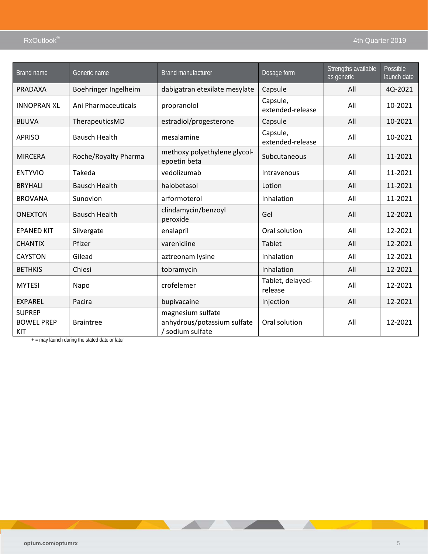| <b>Brand name</b>                         | Generic name         | <b>Brand manufacturer</b>                                            | Dosage form                  | Strengths available<br>as generic | Possible<br>launch date |
|-------------------------------------------|----------------------|----------------------------------------------------------------------|------------------------------|-----------------------------------|-------------------------|
| <b>PRADAXA</b>                            | Boehringer Ingelheim | dabigatran etexilate mesylate                                        | Capsule                      | All                               | 4Q-2021                 |
| <b>INNOPRAN XL</b>                        | Ani Pharmaceuticals  | propranolol                                                          | Capsule,<br>extended-release | All                               | 10-2021                 |
| <b>BIJUVA</b>                             | TherapeuticsMD       | estradiol/progesterone                                               | Capsule                      | All                               | 10-2021                 |
| <b>APRISO</b>                             | <b>Bausch Health</b> | mesalamine                                                           | Capsule,<br>extended-release | All                               | 10-2021                 |
| <b>MIRCERA</b>                            | Roche/Royalty Pharma | methoxy polyethylene glycol-<br>epoetin beta                         | Subcutaneous                 | All                               | 11-2021                 |
| <b>ENTYVIO</b>                            | Takeda               | vedolizumab                                                          | Intravenous                  | All                               | 11-2021                 |
| <b>BRYHALI</b>                            | <b>Bausch Health</b> | halobetasol                                                          | Lotion                       | All                               | 11-2021                 |
| <b>BROVANA</b>                            | Sunovion             | arformoterol                                                         | Inhalation                   | All                               | 11-2021                 |
| <b>ONEXTON</b>                            | <b>Bausch Health</b> | clindamycin/benzoyl<br>peroxide                                      | Gel                          | All                               | 12-2021                 |
| <b>EPANED KIT</b>                         | Silvergate           | enalapril                                                            | Oral solution                | All                               | 12-2021                 |
| <b>CHANTIX</b>                            | Pfizer               | varenicline                                                          | Tablet                       | All                               | 12-2021                 |
| <b>CAYSTON</b>                            | Gilead               | aztreonam lysine                                                     | Inhalation                   | All                               | 12-2021                 |
| <b>BETHKIS</b>                            | Chiesi               | tobramycin                                                           | Inhalation                   | All                               | 12-2021                 |
| <b>MYTESI</b>                             | Napo                 | crofelemer                                                           | Tablet, delayed-<br>release  | All                               | 12-2021                 |
| <b>EXPAREL</b>                            | Pacira               | bupivacaine                                                          | Injection                    | All                               | 12-2021                 |
| <b>SUPREP</b><br><b>BOWEL PREP</b><br>KIT | <b>Braintree</b>     | magnesium sulfate<br>anhydrous/potassium sulfate<br>/ sodium sulfate | Oral solution                | All                               | 12-2021                 |

 $+$  = may launch during the stated date or later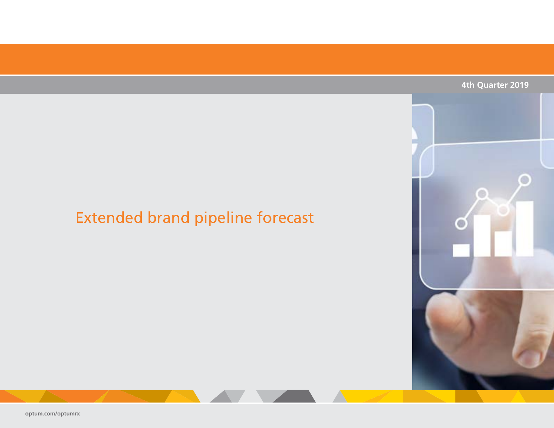### **4th Quarter 2019**

# <span id="page-33-0"></span>Extended brand pipeline forecast

**[optum.com/optumrx](http://www.optum.com/optumrx)**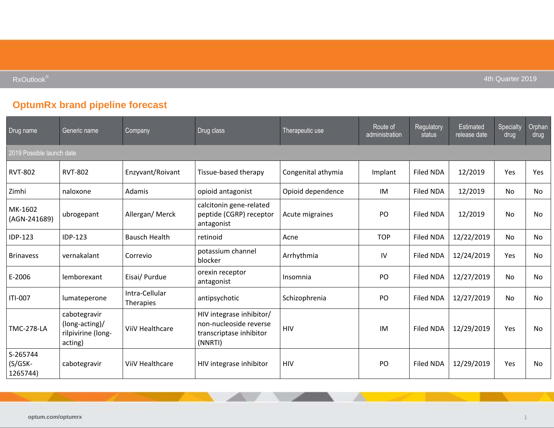**RxOutlook<sup>®</sup>** and the set of the set of the set of the set of the set of the set of the set of the set of the set of the set of the set of the set of the set of the set of the set of the set of the set of the set of the s

## **OptumRx brand pipeline forecast**

| Drug name                         | Generic name                                                    | Company                     | Drug class                                                                               | Therapeutic use    | Route of<br>administration | Regulatory<br>status | <b>Estimated</b><br>release date | Specialty<br>drug | Orphan<br>drug |
|-----------------------------------|-----------------------------------------------------------------|-----------------------------|------------------------------------------------------------------------------------------|--------------------|----------------------------|----------------------|----------------------------------|-------------------|----------------|
| 2019 Possible launch date         |                                                                 |                             |                                                                                          |                    |                            |                      |                                  |                   |                |
| <b>RVT-802</b>                    | <b>RVT-802</b>                                                  | Enzyvant/Roivant            | Tissue-based therapy                                                                     | Congenital athymia | Implant                    | <b>Filed NDA</b>     | 12/2019                          | Yes               | Yes            |
| Zimhi                             | naloxone                                                        | Adamis                      | opioid antagonist                                                                        | Opioid dependence  | IM                         | Filed NDA            | 12/2019                          | No                | No             |
| MK-1602<br>(AGN-241689)           | ubrogepant                                                      | Allergan/Merck              | calcitonin gene-related<br>peptide (CGRP) receptor<br>antagonist                         | Acute migraines    | PO                         | <b>Filed NDA</b>     | 12/2019                          | <b>No</b>         | <b>No</b>      |
| IDP-123                           | <b>IDP-123</b>                                                  | <b>Bausch Health</b>        | retinoid                                                                                 | Acne               | <b>TOP</b>                 | <b>Filed NDA</b>     | 12/22/2019                       | <b>No</b>         | No             |
| <b>Brinavess</b>                  | vernakalant                                                     | Correvio                    | potassium channel<br>blocker                                                             | Arrhythmia         | IV                         | <b>Filed NDA</b>     | 12/24/2019                       | <b>Yes</b>        | No             |
| E-2006                            | lemborexant                                                     | Eisai/ Purdue               | orexin receptor<br>antagonist                                                            | Insomnia           | PO                         | <b>Filed NDA</b>     | 12/27/2019                       | No                | No             |
| ITI-007                           | lumateperone                                                    | Intra-Cellular<br>Therapies | antipsychotic                                                                            | Schizophrenia      | PO                         | <b>Filed NDA</b>     | 12/27/2019                       | No                | No             |
| <b>TMC-278-LA</b>                 | cabotegravir<br>(long-acting)/<br>rilpivirine (long-<br>acting) | ViiV Healthcare             | HIV integrase inhibitor/<br>non-nucleoside reverse<br>transcriptase inhibitor<br>(NNRTI) | HIV                | IM                         | <b>Filed NDA</b>     | 12/29/2019                       | Yes               | No             |
| S-265744<br>$(S/GSK-$<br>1265744) | cabotegravir                                                    | ViiV Healthcare             | HIV integrase inhibitor                                                                  | HIV                | PO                         | <b>Filed NDA</b>     | 12/29/2019                       | <b>Yes</b>        | <b>No</b>      |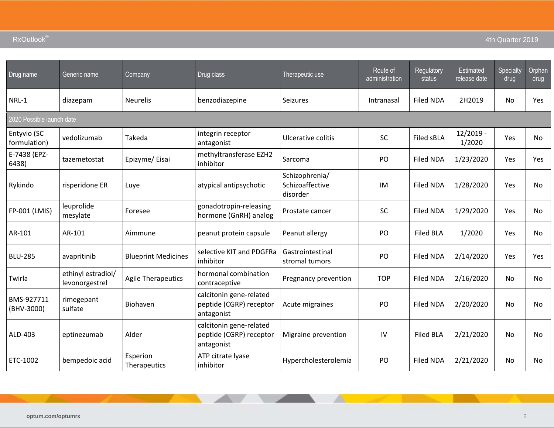| 4th Quarter 2019 |  |
|------------------|--|
|                  |  |

| Drug name                   | Generic name                         | Company                    | Drug class                                                       | Therapeutic use                               | Route of<br>administration | Regulatory<br>status | Estimated<br>release date | Specialty<br>drug | Orphan<br>drug |
|-----------------------------|--------------------------------------|----------------------------|------------------------------------------------------------------|-----------------------------------------------|----------------------------|----------------------|---------------------------|-------------------|----------------|
| NRL-1                       | diazepam                             | <b>Neurelis</b>            | benzodiazepine                                                   | Seizures                                      | Intranasal                 | <b>Filed NDA</b>     | 2H2019                    | <b>No</b>         | Yes            |
| 2020 Possible launch date   |                                      |                            |                                                                  |                                               |                            |                      |                           |                   |                |
| Entyvio (SC<br>formulation) | vedolizumab                          | Takeda                     | integrin receptor<br>antagonist                                  | Ulcerative colitis                            | SC                         | Filed sBLA           | $12/2019 -$<br>1/2020     | Yes               | No             |
| E-7438 (EPZ-<br>6438)       | tazemetostat                         | Epizyme/Eisai              | methyltransferase EZH2<br>inhibitor                              | Sarcoma                                       | PO                         | <b>Filed NDA</b>     | 1/23/2020                 | Yes               | Yes            |
| Rykindo                     | risperidone ER                       | Luye                       | atypical antipsychotic                                           | Schizophrenia/<br>Schizoaffective<br>disorder | IM                         | <b>Filed NDA</b>     | 1/28/2020                 | Yes               | <b>No</b>      |
| FP-001 (LMIS)               | leuprolide<br>mesylate               | Foresee                    | gonadotropin-releasing<br>hormone (GnRH) analog                  | Prostate cancer                               | <b>SC</b>                  | <b>Filed NDA</b>     | 1/29/2020                 | Yes               | No             |
| AR-101                      | AR-101                               | Aimmune                    | peanut protein capsule                                           | Peanut allergy                                | PO                         | <b>Filed BLA</b>     | 1/2020                    | Yes               | <b>No</b>      |
| <b>BLU-285</b>              | avapritinib                          | <b>Blueprint Medicines</b> | selective KIT and PDGFRa<br>inhibitor                            | Gastrointestinal<br>stromal tumors            | PO                         | <b>Filed NDA</b>     | 2/14/2020                 | Yes               | Yes            |
| Twirla                      | ethinyl estradiol/<br>levonorgestrel | <b>Agile Therapeutics</b>  | hormonal combination<br>contraceptive                            | Pregnancy prevention                          | <b>TOP</b>                 | <b>Filed NDA</b>     | 2/16/2020                 | <b>No</b>         | <b>No</b>      |
| BMS-927711<br>(BHV-3000)    | rimegepant<br>sulfate                | Biohaven                   | calcitonin gene-related<br>peptide (CGRP) receptor<br>antagonist | Acute migraines                               | PO                         | <b>Filed NDA</b>     | 2/20/2020                 | No                | <b>No</b>      |
| ALD-403                     | eptinezumab                          | Alder                      | calcitonin gene-related<br>peptide (CGRP) receptor<br>antagonist | Migraine prevention                           | IV                         | <b>Filed BLA</b>     | 2/21/2020                 | No                | No             |
| ETC-1002                    | bempedoic acid                       | Esperion<br>Therapeutics   | ATP citrate lyase<br>inhibitor                                   | Hypercholesterolemia                          | PO                         | <b>Filed NDA</b>     | 2/21/2020                 | No                | No             |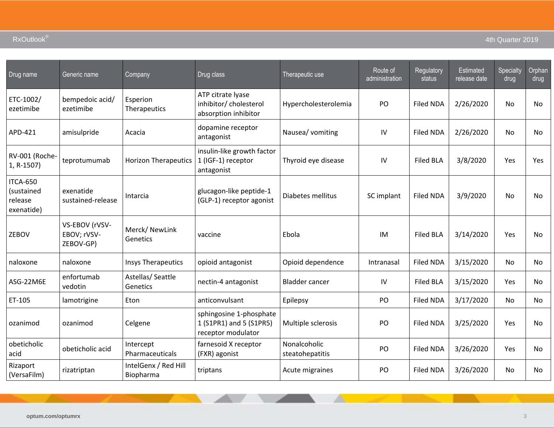| Drug name                                       | Generic name                               | Company                           | Drug class                                                               | Therapeutic use                 | Route of<br>administration | Regulatory<br>status | Estimated<br>release date | Specialty<br>drug | Orphan<br>drug |
|-------------------------------------------------|--------------------------------------------|-----------------------------------|--------------------------------------------------------------------------|---------------------------------|----------------------------|----------------------|---------------------------|-------------------|----------------|
| ETC-1002/<br>ezetimibe                          | bempedoic acid/<br>ezetimibe               | Esperion<br>Therapeutics          | ATP citrate lyase<br>inhibitor/ cholesterol<br>absorption inhibitor      | Hypercholesterolemia            | PO                         | Filed NDA            | 2/26/2020                 | No                | No             |
| APD-421                                         | amisulpride                                | Acacia                            | dopamine receptor<br>antagonist                                          | Nausea/ vomiting                | IV                         | Filed NDA            | 2/26/2020                 | No                | No             |
| RV-001 (Roche-<br>1, R-1507)                    | teprotumumab                               | <b>Horizon Therapeutics</b>       | insulin-like growth factor<br>1 (IGF-1) receptor<br>antagonist           | Thyroid eye disease             | IV                         | <b>Filed BLA</b>     | 3/8/2020                  | Yes               | Yes            |
| ITCA-650<br>(sustained<br>release<br>exenatide) | exenatide<br>sustained-release             | Intarcia                          | glucagon-like peptide-1<br>(GLP-1) receptor agonist                      | Diabetes mellitus               | SC implant                 | <b>Filed NDA</b>     | 3/9/2020                  | <b>No</b>         | No             |
| ZEBOV                                           | VS-EBOV (rVSV-<br>EBOV; rVSV-<br>ZEBOV-GP) | Merck/ NewLink<br>Genetics        | vaccine                                                                  | Ebola                           | IM                         | <b>Filed BLA</b>     | 3/14/2020                 | Yes               | No             |
| naloxone                                        | naloxone                                   | <b>Insys Therapeutics</b>         | opioid antagonist                                                        | Opioid dependence               | Intranasal                 | Filed NDA            | 3/15/2020                 | No                | No             |
| ASG-22M6E                                       | enfortumab<br>vedotin                      | Astellas/Seattle<br>Genetics      | nectin-4 antagonist                                                      | <b>Bladder cancer</b>           | IV                         | <b>Filed BLA</b>     | 3/15/2020                 | Yes               | No             |
| ET-105                                          | lamotrigine                                | Eton                              | anticonvulsant                                                           | Epilepsy                        | PO                         | <b>Filed NDA</b>     | 3/17/2020                 | No                | <b>No</b>      |
| ozanimod                                        | ozanimod                                   | Celgene                           | sphingosine 1-phosphate<br>1 (S1PR1) and 5 (S1PR5)<br>receptor modulator | Multiple sclerosis              | PO                         | <b>Filed NDA</b>     | 3/25/2020                 | Yes               | <b>No</b>      |
| obeticholic<br>acid                             | obeticholic acid                           | Intercept<br>Pharmaceuticals      | farnesoid X receptor<br>(FXR) agonist                                    | Nonalcoholic<br>steatohepatitis | PO                         | <b>Filed NDA</b>     | 3/26/2020                 | Yes.              | <b>No</b>      |
| Rizaport<br>(VersaFilm)                         | rizatriptan                                | IntelGenx / Red Hill<br>Biopharma | triptans                                                                 | Acute migraines                 | PO                         | <b>Filed NDA</b>     | 3/26/2020                 | No                | No             |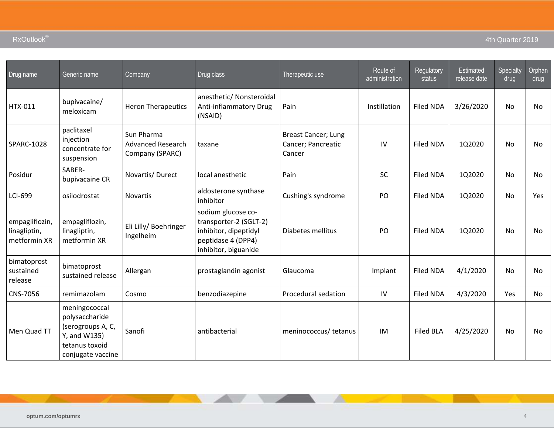| Drug name                                      | Generic name                                                                                                | Company                                                   | Drug class                                                                                                          | Therapeutic use                                            | Route of<br>administration | Regulatory<br>status | Estimated<br>release date | Specialty<br>drug | Orphan<br>drug |
|------------------------------------------------|-------------------------------------------------------------------------------------------------------------|-----------------------------------------------------------|---------------------------------------------------------------------------------------------------------------------|------------------------------------------------------------|----------------------------|----------------------|---------------------------|-------------------|----------------|
| HTX-011                                        | bupivacaine/<br>meloxicam                                                                                   | <b>Heron Therapeutics</b>                                 | anesthetic/ Nonsteroidal<br>Anti-inflammatory Drug<br>(NSAID)                                                       | Pain                                                       | Instillation               | <b>Filed NDA</b>     | 3/26/2020                 | No                | <b>No</b>      |
| SPARC-1028                                     | paclitaxel<br>injection<br>concentrate for<br>suspension                                                    | Sun Pharma<br><b>Advanced Research</b><br>Company (SPARC) | taxane                                                                                                              | <b>Breast Cancer; Lung</b><br>Cancer; Pancreatic<br>Cancer | IV                         | <b>Filed NDA</b>     | 1Q2020                    | No                | No             |
| Posidur                                        | SABER-<br>bupivacaine CR                                                                                    | Novartis/Durect                                           | local anesthetic                                                                                                    | Pain                                                       | SC                         | <b>Filed NDA</b>     | 1Q2020                    | No                | <b>No</b>      |
| LCI-699                                        | osilodrostat                                                                                                | Novartis                                                  | aldosterone synthase<br>inhibitor                                                                                   | Cushing's syndrome                                         | PO                         | <b>Filed NDA</b>     | 1Q2020                    | No                | Yes            |
| empagliflozin,<br>linagliptin,<br>metformin XR | empagliflozin,<br>linagliptin,<br>metformin XR                                                              | Eli Lilly/ Boehringer<br>Ingelheim                        | sodium glucose co-<br>transporter-2 (SGLT-2)<br>inhibitor, dipeptidyl<br>peptidase 4 (DPP4)<br>inhibitor, biguanide | Diabetes mellitus                                          | PO                         | <b>Filed NDA</b>     | 1Q2020                    | <b>No</b>         | <b>No</b>      |
| bimatoprost<br>sustained<br>release            | bimatoprost<br>sustained release                                                                            | Allergan                                                  | prostaglandin agonist                                                                                               | Glaucoma                                                   | Implant                    | <b>Filed NDA</b>     | 4/1/2020                  | No                | <b>No</b>      |
| CNS-7056                                       | remimazolam                                                                                                 | Cosmo                                                     | benzodiazepine                                                                                                      | Procedural sedation                                        | IV                         | <b>Filed NDA</b>     | 4/3/2020                  | Yes               | No             |
| Men Quad TT                                    | meningococcal<br>polysaccharide<br>(serogroups A, C,<br>Y, and W135)<br>tetanus toxoid<br>conjugate vaccine | Sanofi                                                    | antibacterial                                                                                                       | meninococcus/ tetanus                                      | IM                         | <b>Filed BLA</b>     | 4/25/2020                 | No                | No             |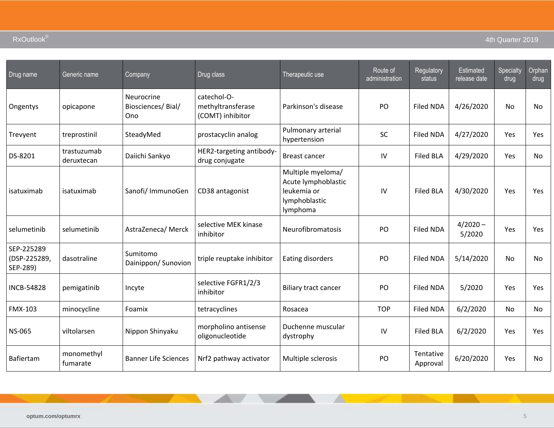| Drug name                              | Generic name              | Company                                | Drug class                                           | Therapeutic use                                                                      | Route of<br>administration | Regulatory<br>status  | <b>Estimated</b><br>release date | Specialty<br>drug | Orphan<br>drug |
|----------------------------------------|---------------------------|----------------------------------------|------------------------------------------------------|--------------------------------------------------------------------------------------|----------------------------|-----------------------|----------------------------------|-------------------|----------------|
| Ongentys                               | opicapone                 | Neurocrine<br>Biosciences/Bial/<br>Ono | catechol-O-<br>methyltransferase<br>(COMT) inhibitor | Parkinson's disease                                                                  | PO                         | <b>Filed NDA</b>      | 4/26/2020                        | No                | No             |
| Trevyent                               | treprostinil              | SteadyMed                              | prostacyclin analog                                  | Pulmonary arterial<br>hypertension                                                   | SC                         | <b>Filed NDA</b>      | 4/27/2020                        | Yes               | Yes            |
| DS-8201                                | trastuzumab<br>deruxtecan | Daiichi Sankyo                         | HER2-targeting antibody-<br>drug conjugate           | <b>Breast cancer</b>                                                                 | IV                         | <b>Filed BLA</b>      | 4/29/2020                        | Yes               | No             |
| isatuximab                             | isatuximab                | Sanofi/ ImmunoGen                      | CD38 antagonist                                      | Multiple myeloma/<br>Acute lymphoblastic<br>leukemia or<br>lymphoblastic<br>lymphoma | IV                         | <b>Filed BLA</b>      | 4/30/2020                        | Yes               | Yes            |
| selumetinib                            | selumetinib               | AstraZeneca/ Merck                     | selective MEK kinase<br>inhibitor                    | Neurofibromatosis                                                                    | PO                         | <b>Filed NDA</b>      | $4/2020 -$<br>5/2020             | Yes               | Yes            |
| SEP-225289<br>(DSP-225289,<br>SEP-289) | dasotraline               | Sumitomo<br>Dainippon/ Sunovion        | triple reuptake inhibitor                            | Eating disorders                                                                     | PO                         | <b>Filed NDA</b>      | 5/14/2020                        | No                | No             |
| <b>INCB-54828</b>                      | pemigatinib               | Incyte                                 | selective FGFR1/2/3<br>inhibitor                     | <b>Biliary tract cancer</b>                                                          | PO                         | Filed NDA             | 5/2020                           | Yes               | Yes            |
| <b>FMX-103</b>                         | minocycline               | Foamix                                 | tetracyclines                                        | Rosacea                                                                              | <b>TOP</b>                 | Filed NDA             | 6/2/2020                         | No                | <b>No</b>      |
| <b>NS-065</b>                          | viltolarsen               | Nippon Shinyaku                        | morpholino antisense<br>oligonucleotide              | Duchenne muscular<br>dystrophy                                                       | IV                         | <b>Filed BLA</b>      | 6/2/2020                         | Yes               | Yes            |
| Bafiertam                              | monomethyl<br>fumarate    | <b>Banner Life Sciences</b>            | Nrf2 pathway activator                               | Multiple sclerosis                                                                   | PO                         | Tentative<br>Approval | 6/20/2020                        | Yes               | <b>No</b>      |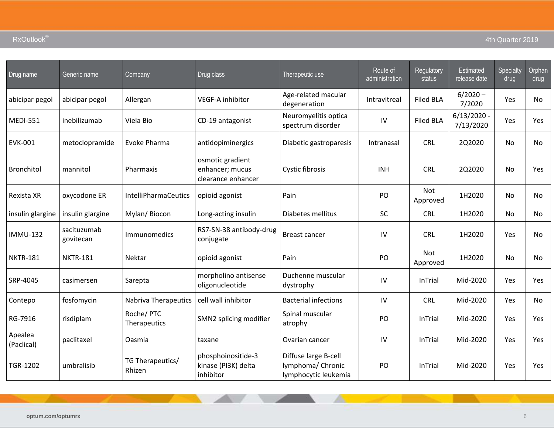| Drug name             | Generic name             | Company                     | Drug class                                                | Therapeutic use                                                   | Route of<br>administration | Regulatory<br>status   | <b>Estimated</b><br>release date | Specialty<br>drug | Orphan<br>drug |
|-----------------------|--------------------------|-----------------------------|-----------------------------------------------------------|-------------------------------------------------------------------|----------------------------|------------------------|----------------------------------|-------------------|----------------|
| abicipar pegol        | abicipar pegol           | Allergan                    | VEGF-A inhibitor                                          | Age-related macular<br>degeneration                               | Intravitreal               | <b>Filed BLA</b>       | $6/2020 -$<br>7/2020             | Yes               | <b>No</b>      |
| <b>MEDI-551</b>       | inebilizumab             | Viela Bio                   | CD-19 antagonist                                          | Neuromyelitis optica<br>spectrum disorder                         | $\mathsf{IV}$              | <b>Filed BLA</b>       | $6/13/2020 -$<br>7/13/2020       | Yes               | Yes            |
| <b>EVK-001</b>        | metoclopramide           | Evoke Pharma                | antidopiminergics                                         | Diabetic gastroparesis                                            | Intranasal                 | <b>CRL</b>             | 2Q2020                           | No                | No             |
| <b>Bronchitol</b>     | mannitol                 | Pharmaxis                   | osmotic gradient<br>enhancer; mucus<br>clearance enhancer | Cystic fibrosis                                                   | <b>INH</b>                 | <b>CRL</b>             | 2Q2020                           | No                | Yes            |
| Rexista XR            | oxycodone ER             | <b>IntelliPharmaCeutics</b> | opioid agonist                                            | Pain                                                              | PO                         | <b>Not</b><br>Approved | 1H2020                           | No                | No             |
| insulin glargine      | insulin glargine         | Mylan/ Biocon               | Long-acting insulin                                       | Diabetes mellitus                                                 | SC                         | <b>CRL</b>             | 1H2020                           | No                | <b>No</b>      |
| <b>IMMU-132</b>       | sacituzumab<br>govitecan | Immunomedics                | RS7-SN-38 antibody-drug<br>conjugate                      | <b>Breast cancer</b>                                              | IV                         | <b>CRL</b>             | 1H2020                           | Yes               | <b>No</b>      |
| <b>NKTR-181</b>       | <b>NKTR-181</b>          | Nektar                      | opioid agonist                                            | Pain                                                              | PO                         | <b>Not</b><br>Approved | 1H2020                           | No                | No             |
| SRP-4045              | casimersen               | Sarepta                     | morpholino antisense<br>oligonucleotide                   | Duchenne muscular<br>dystrophy                                    | IV                         | InTrial                | Mid-2020                         | Yes               | Yes            |
| Contepo               | fosfomycin               | <b>Nabriva Therapeutics</b> | cell wall inhibitor                                       | <b>Bacterial infections</b>                                       | $\mathsf{IV}$              | <b>CRL</b>             | Mid-2020                         | Yes               | No             |
| RG-7916               | risdiplam                | Roche/PTC<br>Therapeutics   | SMN2 splicing modifier                                    | Spinal muscular<br>atrophy                                        | PO                         | InTrial                | Mid-2020                         | Yes               | Yes            |
| Apealea<br>(Paclical) | paclitaxel               | Oasmia                      | taxane                                                    | Ovarian cancer                                                    | IV                         | InTrial                | Mid-2020                         | Yes               | Yes            |
| TGR-1202              | umbralisib               | TG Therapeutics/<br>Rhizen  | phosphoinositide-3<br>kinase (PI3K) delta<br>inhibitor    | Diffuse large B-cell<br>lymphoma/ Chronic<br>lymphocytic leukemia | PO                         | InTrial                | Mid-2020                         | Yes               | Yes            |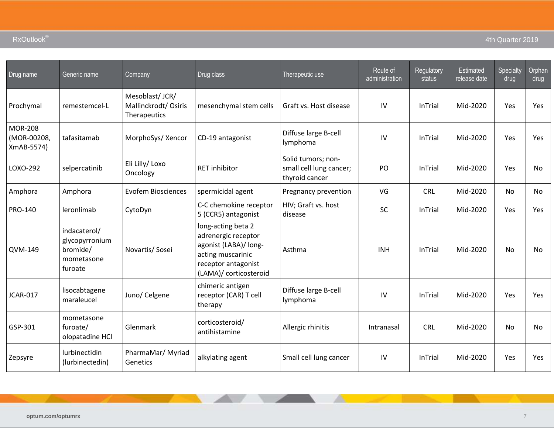| Drug name                                   | Generic name                                                        | Company                                                | Drug class                                                                                                                               | Therapeutic use                                                 | Route of<br>administration | Regulatory<br>status | Estimated<br>release date | Specialty<br>drug | Orphan<br>drug |
|---------------------------------------------|---------------------------------------------------------------------|--------------------------------------------------------|------------------------------------------------------------------------------------------------------------------------------------------|-----------------------------------------------------------------|----------------------------|----------------------|---------------------------|-------------------|----------------|
| Prochymal                                   | remestemcel-L                                                       | Mesoblast/JCR/<br>Mallinckrodt/ Osiris<br>Therapeutics | mesenchymal stem cells                                                                                                                   | Graft vs. Host disease                                          | IV                         | InTrial              | Mid-2020                  | Yes               | Yes            |
| <b>MOR-208</b><br>(MOR-00208,<br>XmAB-5574) | tafasitamab                                                         | MorphoSys/ Xencor                                      | CD-19 antagonist                                                                                                                         | Diffuse large B-cell<br>lymphoma                                | IV                         | InTrial              | Mid-2020                  | Yes               | Yes            |
| LOXO-292                                    | selpercatinib                                                       | Eli Lilly/ Loxo<br>Oncology                            | <b>RET</b> inhibitor                                                                                                                     | Solid tumors; non-<br>small cell lung cancer;<br>thyroid cancer | PO                         | InTrial              | Mid-2020                  | Yes               | <b>No</b>      |
| Amphora                                     | Amphora                                                             | <b>Evofem Biosciences</b>                              | spermicidal agent                                                                                                                        | Pregnancy prevention                                            | VG                         | <b>CRL</b>           | Mid-2020                  | <b>No</b>         | <b>No</b>      |
| PRO-140                                     | leronlimab                                                          | CytoDyn                                                | C-C chemokine receptor<br>5 (CCR5) antagonist                                                                                            | HIV; Graft vs. host<br>disease                                  | <b>SC</b>                  | InTrial              | Mid-2020                  | Yes               | Yes            |
| QVM-149                                     | indacaterol/<br>glycopyrronium<br>bromide/<br>mometasone<br>furoate | Novartis/ Sosei                                        | long-acting beta 2<br>adrenergic receptor<br>agonist (LABA)/ long-<br>acting muscarinic<br>receptor antagonist<br>(LAMA)/ corticosteroid | Asthma                                                          | <b>INH</b>                 | <b>InTrial</b>       | Mid-2020                  | <b>No</b>         | <b>No</b>      |
| <b>JCAR-017</b>                             | lisocabtagene<br>maraleucel                                         | Juno/ Celgene                                          | chimeric antigen<br>receptor (CAR) T cell<br>therapy                                                                                     | Diffuse large B-cell<br>lymphoma                                | IV                         | <b>InTrial</b>       | Mid-2020                  | Yes               | Yes            |
| GSP-301                                     | mometasone<br>furoate/<br>olopatadine HCl                           | Glenmark                                               | corticosteroid/<br>antihistamine                                                                                                         | Allergic rhinitis                                               | Intranasal                 | <b>CRL</b>           | Mid-2020                  | <b>No</b>         | No             |
| Zepsyre                                     | lurbinectidin<br>(lurbinectedin)                                    | PharmaMar/ Myriad<br>Genetics                          | alkylating agent                                                                                                                         | Small cell lung cancer                                          | IV                         | InTrial              | Mid-2020                  | Yes               | Yes            |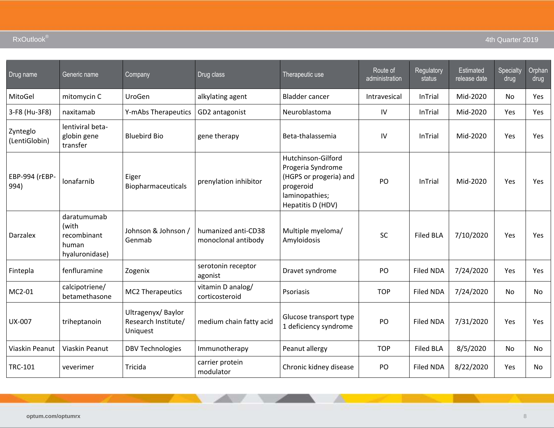| Drug name                 | Generic name                                                   | Company                                              | Drug class                                 | Therapeutic use                                                                                                       | Route of<br>administration | Regulatory<br>status | Estimated<br>release date | Specialty<br>drug | Orphan<br>drug |
|---------------------------|----------------------------------------------------------------|------------------------------------------------------|--------------------------------------------|-----------------------------------------------------------------------------------------------------------------------|----------------------------|----------------------|---------------------------|-------------------|----------------|
| MitoGel                   | mitomycin C                                                    | UroGen                                               | alkylating agent                           | <b>Bladder cancer</b>                                                                                                 | Intravesical               | InTrial              | Mid-2020                  | No                | Yes            |
| 3-F8 (Hu-3F8)             | naxitamab                                                      | Y-mAbs Therapeutics                                  | GD2 antagonist                             | Neuroblastoma                                                                                                         | IV                         | InTrial              | Mid-2020                  | Yes               | Yes            |
| Zynteglo<br>(LentiGlobin) | lentiviral beta-<br>globin gene<br>transfer                    | <b>Bluebird Bio</b>                                  | gene therapy                               | Beta-thalassemia                                                                                                      | IV                         | InTrial              | Mid-2020                  | Yes               | Yes            |
| EBP-994 (rEBP-<br>994)    | lonafarnib                                                     | Eiger<br>Biopharmaceuticals                          | prenylation inhibitor                      | Hutchinson-Gilford<br>Progeria Syndrome<br>(HGPS or progeria) and<br>progeroid<br>laminopathies;<br>Hepatitis D (HDV) | PO                         | InTrial              | Mid-2020                  | Yes               | Yes            |
| Darzalex                  | daratumumab<br>(with<br>recombinant<br>human<br>hyaluronidase) | Johnson & Johnson /<br>Genmab                        | humanized anti-CD38<br>monoclonal antibody | Multiple myeloma/<br>Amyloidosis                                                                                      | SC                         | <b>Filed BLA</b>     | 7/10/2020                 | Yes               | Yes            |
| Fintepla                  | fenfluramine                                                   | Zogenix                                              | serotonin receptor<br>agonist              | Dravet syndrome                                                                                                       | PO                         | <b>Filed NDA</b>     | 7/24/2020                 | Yes               | Yes            |
| MC2-01                    | calcipotriene/<br>betamethasone                                | <b>MC2 Therapeutics</b>                              | vitamin D analog/<br>corticosteroid        | Psoriasis                                                                                                             | <b>TOP</b>                 | <b>Filed NDA</b>     | 7/24/2020                 | No                | <b>No</b>      |
| <b>UX-007</b>             | triheptanoin                                                   | Ultragenyx/Baylor<br>Research Institute/<br>Uniquest | medium chain fatty acid                    | Glucose transport type<br>1 deficiency syndrome                                                                       | PO                         | <b>Filed NDA</b>     | 7/31/2020                 | Yes               | Yes            |
| Viaskin Peanut            | Viaskin Peanut                                                 | <b>DBV Technologies</b>                              | Immunotherapy                              | Peanut allergy                                                                                                        | <b>TOP</b>                 | <b>Filed BLA</b>     | 8/5/2020                  | No                | No             |
| <b>TRC-101</b>            | veverimer                                                      | Tricida                                              | carrier protein<br>modulator               | Chronic kidney disease                                                                                                | PO                         | <b>Filed NDA</b>     | 8/22/2020                 | Yes               | No             |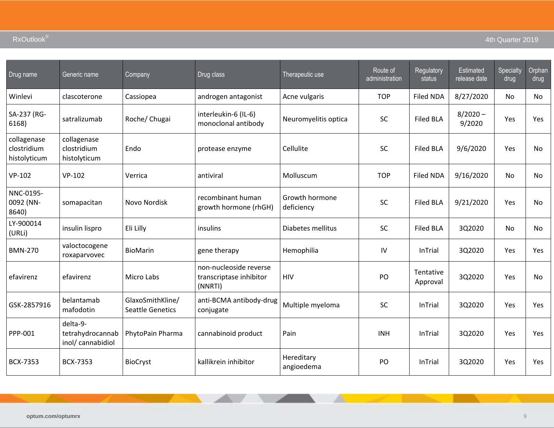| Drug name                                  | Generic name                                      | Company                                     | Drug class                                                   | Therapeutic use              | Route of<br>administration | Regulatory<br>status  | <b>Estimated</b><br>release date | Specialty<br>drug | Orphan<br>drug |
|--------------------------------------------|---------------------------------------------------|---------------------------------------------|--------------------------------------------------------------|------------------------------|----------------------------|-----------------------|----------------------------------|-------------------|----------------|
| Winlevi                                    | clascoterone                                      | Cassiopea                                   | androgen antagonist                                          | Acne vulgaris                | <b>TOP</b>                 | <b>Filed NDA</b>      | 8/27/2020                        | No                | No             |
| SA-237 (RG-<br>6168)                       | satralizumab                                      | Roche/ Chugai                               | interleukin-6 (IL-6)<br>monoclonal antibody                  | Neuromyelitis optica         | <b>SC</b>                  | <b>Filed BLA</b>      | $8/2020 -$<br>9/2020             | Yes               | Yes            |
| collagenase<br>clostridium<br>histolyticum | collagenase<br>clostridium<br>histolyticum        | Endo                                        | protease enzyme                                              | Cellulite                    | <b>SC</b>                  | <b>Filed BLA</b>      | 9/6/2020                         | Yes               | No             |
| $VP-102$                                   | $VP-102$                                          | Verrica                                     | antiviral                                                    | Molluscum                    | <b>TOP</b>                 | <b>Filed NDA</b>      | 9/16/2020                        | No                | No             |
| NNC-0195-<br>0092 (NN-<br>8640)            | somapacitan                                       | Novo Nordisk                                | recombinant human<br>growth hormone (rhGH)                   | Growth hormone<br>deficiency | <b>SC</b>                  | <b>Filed BLA</b>      | 9/21/2020                        | Yes               | No             |
| LY-900014<br>(URLi)                        | insulin lispro                                    | Eli Lilly                                   | insulins                                                     | Diabetes mellitus            | SC                         | <b>Filed BLA</b>      | 3Q2020                           | No                | No             |
| <b>BMN-270</b>                             | valoctocogene<br>roxaparvovec                     | BioMarin                                    | gene therapy                                                 | Hemophilia                   | ${\sf IV}$                 | InTrial               | 3Q2020                           | Yes               | Yes            |
| efavirenz                                  | efavirenz                                         | Micro Labs                                  | non-nucleoside reverse<br>transcriptase inhibitor<br>(NNRTI) | <b>HIV</b>                   | PO                         | Tentative<br>Approval | 3Q2020                           | Yes               | No             |
| GSK-2857916                                | belantamab<br>mafodotin                           | GlaxoSmithKline/<br><b>Seattle Genetics</b> | anti-BCMA antibody-drug<br>conjugate                         | Multiple myeloma             | <b>SC</b>                  | InTrial               | 3Q2020                           | Yes               | Yes            |
| PPP-001                                    | delta-9-<br>tetrahydrocannab<br>inol/ cannabidiol | PhytoPain Pharma                            | cannabinoid product                                          | Pain                         | <b>INH</b>                 | InTrial               | 3Q2020                           | Yes               | Yes            |
| <b>BCX-7353</b>                            | <b>BCX-7353</b>                                   | <b>BioCryst</b>                             | kallikrein inhibitor                                         | Hereditary<br>angioedema     | PO                         | InTrial               | 3Q2020                           | Yes               | Yes            |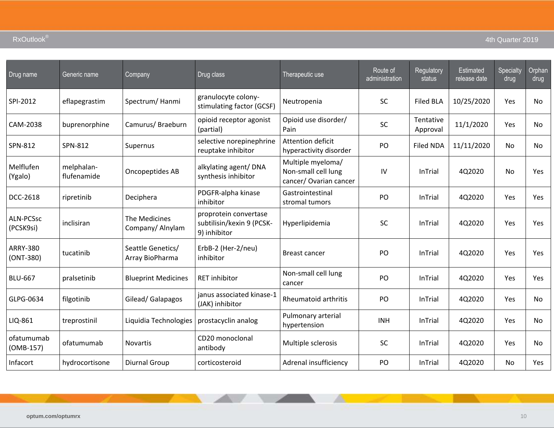| Drug name                     | Generic name              | Company                              | Drug class                                                         | Therapeutic use                                                   | Route of<br>administration | Regulatory<br>status  | Estimated<br>release date | Specialty<br>drug | Orphan<br>drug |
|-------------------------------|---------------------------|--------------------------------------|--------------------------------------------------------------------|-------------------------------------------------------------------|----------------------------|-----------------------|---------------------------|-------------------|----------------|
| SPI-2012                      | eflapegrastim             | Spectrum/Hanmi                       | granulocyte colony-<br>stimulating factor (GCSF)                   | Neutropenia                                                       | <b>SC</b>                  | <b>Filed BLA</b>      | 10/25/2020                | Yes               | <b>No</b>      |
| CAM-2038                      | buprenorphine             | Camurus/Braeburn                     | opioid receptor agonist<br>(partial)                               | Opioid use disorder/<br>Pain                                      | SC                         | Tentative<br>Approval | 11/1/2020                 | Yes               | No             |
| SPN-812                       | SPN-812                   | Supernus                             | selective norepinephrine<br>reuptake inhibitor                     | <b>Attention deficit</b><br>hyperactivity disorder                | PO                         | <b>Filed NDA</b>      | 11/11/2020                | No                | No             |
| Melflufen<br>(Ygalo)          | melphalan-<br>flufenamide | Oncopeptides AB                      | alkylating agent/ DNA<br>synthesis inhibitor                       | Multiple myeloma/<br>Non-small cell lung<br>cancer/Ovarian cancer | IV                         | InTrial               | 4Q2020                    | <b>No</b>         | Yes.           |
| DCC-2618                      | ripretinib                | Deciphera                            | PDGFR-alpha kinase<br>inhibitor                                    | Gastrointestinal<br>stromal tumors                                | PO                         | InTrial               | 4Q2020                    | Yes               | Yes.           |
| <b>ALN-PCSsc</b><br>(PCSK9si) | inclisiran                | The Medicines<br>Company/Alnylam     | proprotein convertase<br>subtilisin/kexin 9 (PCSK-<br>9) inhibitor | Hyperlipidemia                                                    | <b>SC</b>                  | <b>InTrial</b>        | 4Q2020                    | Yes               | Yes            |
| <b>ARRY-380</b><br>(ONT-380)  | tucatinib                 | Seattle Genetics/<br>Array BioPharma | ErbB-2 (Her-2/neu)<br>inhibitor                                    | <b>Breast cancer</b>                                              | PO                         | InTrial               | 4Q2020                    | Yes               | <b>Yes</b>     |
| <b>BLU-667</b>                | pralsetinib               | <b>Blueprint Medicines</b>           | <b>RET</b> inhibitor                                               | Non-small cell lung<br>cancer                                     | PO                         | InTrial               | 4Q2020                    | Yes               | Yes            |
| GLPG-0634                     | filgotinib                | Gilead/ Galapagos                    | janus associated kinase-1<br>(JAK) inhibitor                       | <b>Rheumatoid arthritis</b>                                       | PO                         | <b>InTrial</b>        | 4Q2020                    | <b>Yes</b>        | <b>No</b>      |
| LIQ-861                       | treprostinil              | Liquidia Technologies                | prostacyclin analog                                                | Pulmonary arterial<br>hypertension                                | <b>INH</b>                 | InTrial               | 4Q2020                    | Yes               | <b>No</b>      |
| ofatumumab<br>$(OMB-157)$     | ofatumumab                | <b>Novartis</b>                      | CD20 monoclonal<br>antibody                                        | Multiple sclerosis                                                | <b>SC</b>                  | InTrial               | 4Q2020                    | Yes               | <b>No</b>      |
| Infacort                      | hydrocortisone            | Diurnal Group                        | corticosteroid                                                     | Adrenal insufficiency                                             | PO                         | InTrial               | 4Q2020                    | No                | <b>Yes</b>     |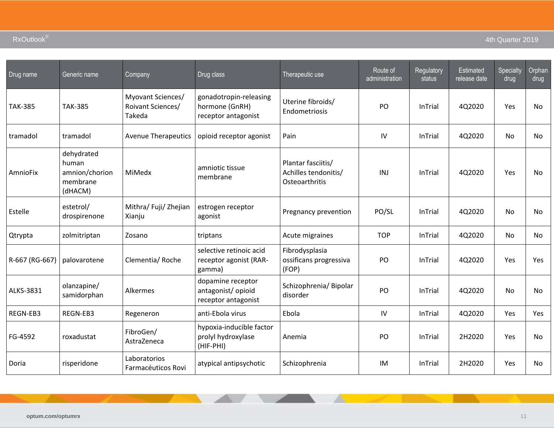| Drug name      | Generic name                                                 | Company                                          | Drug class                                                      | Therapeutic use                                              | Route of<br>administration | Regulatory<br>status | Estimated<br>release date | Specialty<br>drug | Orphan<br>drug |
|----------------|--------------------------------------------------------------|--------------------------------------------------|-----------------------------------------------------------------|--------------------------------------------------------------|----------------------------|----------------------|---------------------------|-------------------|----------------|
| <b>TAK-385</b> | <b>TAK-385</b>                                               | Myovant Sciences/<br>Roivant Sciences/<br>Takeda | gonadotropin-releasing<br>hormone (GnRH)<br>receptor antagonist | Uterine fibroids/<br>Endometriosis                           | PO                         | InTrial              | 4Q2020                    | Yes               | <b>No</b>      |
| tramadol       | tramadol                                                     | <b>Avenue Therapeutics</b>                       | opioid receptor agonist                                         | Pain                                                         | IV                         | InTrial              | 4Q2020                    | No                | No             |
| AmnioFix       | dehydrated<br>human<br>amnion/chorion<br>membrane<br>(dHACM) | MiMedx                                           | amniotic tissue<br>membrane                                     | Plantar fasciitis/<br>Achilles tendonitis/<br>Osteoarthritis | INJ                        | InTrial              | 4Q2020                    | Yes               | No             |
| Estelle        | estetrol/<br>drospirenone                                    | Mithra/ Fuji/ Zhejian<br>Xianju                  | estrogen receptor<br>agonist                                    | Pregnancy prevention                                         | PO/SL                      | InTrial              | 4Q2020                    | No                | No             |
| Qtrypta        | zolmitriptan                                                 | Zosano                                           | triptans                                                        | Acute migraines                                              | <b>TOP</b>                 | InTrial              | 4Q2020                    | <b>No</b>         | <b>No</b>      |
| R-667 (RG-667) | palovarotene                                                 | Clementia/Roche                                  | selective retinoic acid<br>receptor agonist (RAR-<br>gamma)     | Fibrodysplasia<br>ossificans progressiva<br>(FOP)            | PO                         | InTrial              | 4Q2020                    | Yes               | <b>Yes</b>     |
| ALKS-3831      | olanzapine/<br>samidorphan                                   | Alkermes                                         | dopamine receptor<br>antagonist/ opioid<br>receptor antagonist  | Schizophrenia/Bipolar<br>disorder                            | PO                         | InTrial              | 4Q2020                    | No                | No             |
| REGN-EB3       | REGN-EB3                                                     | Regeneron                                        | anti-Ebola virus                                                | Ebola                                                        | IV                         | InTrial              | 4Q2020                    | Yes               | Yes            |
| FG-4592        | roxadustat                                                   | FibroGen/<br>AstraZeneca                         | hypoxia-inducible factor<br>prolyl hydroxylase<br>(HIF-PHI)     | Anemia                                                       | PO                         | InTrial              | 2H2020                    | Yes               | No             |
| Doria          | risperidone                                                  | Laboratorios<br>Farmacéuticos Rovi               | atypical antipsychotic                                          | Schizophrenia                                                | IM                         | InTrial              | 2H2020                    | Yes               | No             |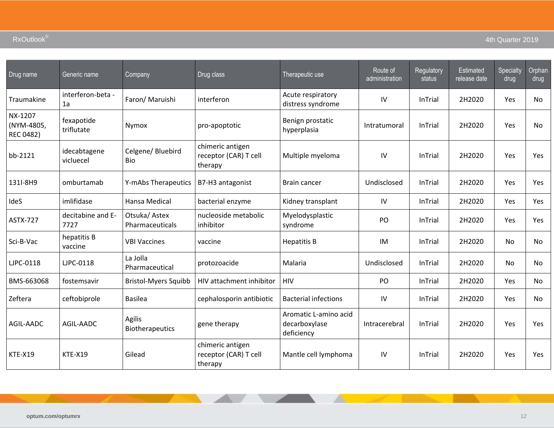| Drug name                                 | Generic name              | Company                         | Drug class                                           | Therapeutic use                                      | Route of<br>administration | Regulatory<br>status | Estimated<br>release date | Specialty<br>drug | Orphan<br>drug |
|-------------------------------------------|---------------------------|---------------------------------|------------------------------------------------------|------------------------------------------------------|----------------------------|----------------------|---------------------------|-------------------|----------------|
| Traumakine                                | interferon-beta -<br>1a   | Faron/ Maruishi                 | interferon                                           | Acute respiratory<br>distress syndrome               | IV                         | InTrial              | 2H2020                    | Yes               | No             |
| NX-1207<br>(NYM-4805,<br><b>REC 0482)</b> | fexapotide<br>triflutate  | Nymox                           | pro-apoptotic                                        | Benign prostatic<br>hyperplasia                      | Intratumoral               | InTrial              | 2H2020                    | Yes               | No             |
| bb-2121                                   | idecabtagene<br>vicluecel | Celgene/ Bluebird<br>Bio        | chimeric antigen<br>receptor (CAR) T cell<br>therapy | Multiple myeloma                                     | IV                         | InTrial              | 2H2020                    | Yes               | Yes            |
| 131I-8H9                                  | omburtamab                | Y-mAbs Therapeutics             | B7-H3 antagonist                                     | Brain cancer                                         | Undisclosed                | InTrial              | 2H2020                    | Yes               | Yes            |
| IdeS                                      | imlifidase                | Hansa Medical                   | bacterial enzyme                                     | Kidney transplant                                    | IV                         | InTrial              | 2H2020                    | Yes               | Yes            |
| <b>ASTX-727</b>                           | decitabine and E-<br>7727 | Otsuka/Astex<br>Pharmaceuticals | nucleoside metabolic<br>inhibitor                    | Myelodysplastic<br>syndrome                          | PO                         | InTrial              | 2H2020                    | Yes               | Yes            |
| Sci-B-Vac                                 | hepatitis B<br>vaccine    | <b>VBI Vaccines</b>             | vaccine                                              | <b>Hepatitis B</b>                                   | IM                         | InTrial              | 2H2020                    | No                | No             |
| <b>LJPC-0118</b>                          | <b>LJPC-0118</b>          | La Jolla<br>Pharmaceutical      | protozoacide                                         | Malaria                                              | Undisclosed                | InTrial              | 2H2020                    | <b>No</b>         | No             |
| BMS-663068                                | fostemsavir               | <b>Bristol-Myers Squibb</b>     | HIV attachment inhibitor                             | <b>HIV</b>                                           | PO                         | InTrial              | 2H2020                    | Yes               | <b>No</b>      |
| Zeftera                                   | ceftobiprole              | <b>Basilea</b>                  | cephalosporin antibiotic                             | <b>Bacterial infections</b>                          | IV                         | InTrial              | 2H2020                    | Yes               | No             |
| AGIL-AADC                                 | AGIL-AADC                 | Agilis<br>Biotherapeutics       | gene therapy                                         | Aromatic L-amino acid<br>decarboxylase<br>deficiency | Intracerebral              | InTrial              | 2H2020                    | Yes               | Yes            |
| <b>KTE-X19</b>                            | <b>KTE-X19</b>            | Gilead                          | chimeric antigen<br>receptor (CAR) T cell<br>therapy | Mantle cell lymphoma                                 | ${\sf IV}$                 | <b>InTrial</b>       | 2H2020                    | Yes               | <b>Yes</b>     |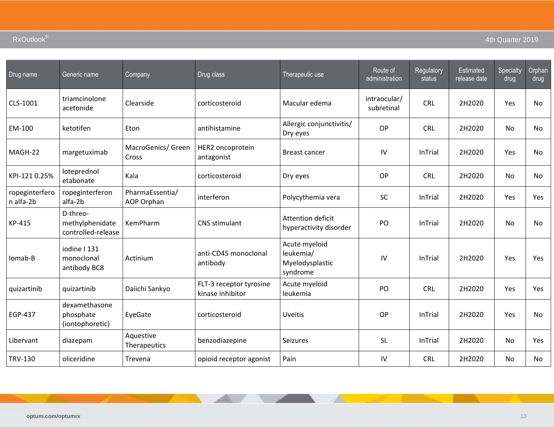| Drug name                   | Generic name                                      | Company                       | Drug class                                  | Therapeutic use                                           | Route of<br>administration | Regulatory<br>status | Estimated<br>release date | Specialty<br>drug | Orphan<br>drug |
|-----------------------------|---------------------------------------------------|-------------------------------|---------------------------------------------|-----------------------------------------------------------|----------------------------|----------------------|---------------------------|-------------------|----------------|
| CLS-1001                    | triamcinolone<br>acetonide                        | Clearside                     | corticosteroid                              | Macular edema                                             | intraocular/<br>subretinal | <b>CRL</b>           | 2H2020                    | Yes               | No             |
| EM-100                      | ketotifen                                         | Eton                          | antihistamine                               | Allergic conjunctivitis/<br>Dry eyes                      | <b>OP</b>                  | <b>CRL</b>           | 2H2020                    | <b>No</b>         | No.            |
| MAGH-22                     | margetuximab                                      | MacroGenics/ Green<br>Cross   | HER2 oncoprotein<br>antagonist              | <b>Breast cancer</b>                                      | IV                         | InTrial              | 2H2020                    | Yes               | No             |
| KPI-121 0.25%               | loteprednol<br>etabonate                          | Kala                          | corticosteroid                              | Dry eyes                                                  | OP                         | <b>CRL</b>           | 2H2020                    | <b>No</b>         | No.            |
| ropeginterfero<br>n alfa-2b | ropeginterferon<br>alfa-2b                        | PharmaEssentia/<br>AOP Orphan | interferon                                  | Polycythemia vera                                         | <b>SC</b>                  | InTrial              | 2H2020                    | Yes               | <b>Yes</b>     |
| KP-415                      | D-threo-<br>methylphenidate<br>controlled-release | KemPharm                      | CNS stimulant                               | Attention deficit<br>hyperactivity disorder               | PO                         | InTrial              | 2H2020                    | <b>No</b>         | No.            |
| Iomab-B                     | iodine   131<br>monoclonal<br>antibody BC8        | Actinium                      | anti-CD45 monoclonal<br>antibody            | Acute myeloid<br>leukemia/<br>Myelodysplastic<br>syndrome | IV                         | InTrial              | 2H2020                    | Yes               | Yes            |
| quizartinib                 | quizartinib                                       | Daiichi Sankyo                | FLT-3 receptor tyrosine<br>kinase inhibitor | Acute myeloid<br>leukemia                                 | PO                         | <b>CRL</b>           | 2H2020                    | Yes               | <b>Yes</b>     |
| <b>EGP-437</b>              | dexamethasone<br>phosphate<br>(iontophoretic)     | EyeGate                       | corticosteroid                              | <b>Uveitis</b>                                            | <b>OP</b>                  | InTrial              | 2H2020                    | Yes               | <b>No</b>      |
| Libervant                   | diazepam                                          | Aquestive<br>Therapeutics     | benzodiazepine                              | <b>Seizures</b>                                           | <b>SL</b>                  | InTrial              | 2H2020                    | <b>No</b>         | Yes            |
| <b>TRV-130</b>              | oliceridine                                       | Trevena                       | opioid receptor agonist                     | Pain                                                      | IV                         | <b>CRL</b>           | 2H2020                    | No                | No             |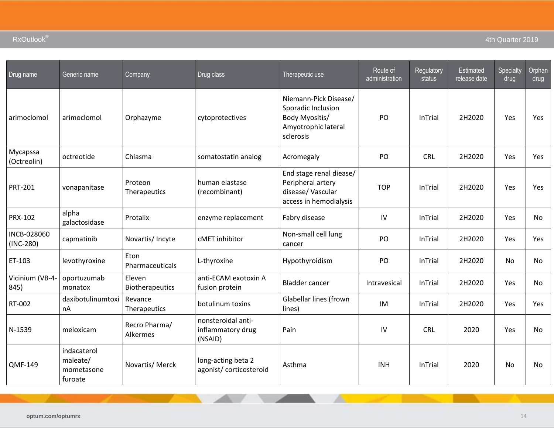| Drug name                  | Generic name                                     | Company                   | Drug class                                         | Therapeutic use                                                                                   | Route of<br>administration | Regulatory<br>status | Estimated<br>release date | Specialty<br>drug | Orphan<br>drug |
|----------------------------|--------------------------------------------------|---------------------------|----------------------------------------------------|---------------------------------------------------------------------------------------------------|----------------------------|----------------------|---------------------------|-------------------|----------------|
| arimoclomol                | arimoclomol                                      | Orphazyme                 | cytoprotectives                                    | Niemann-Pick Disease/<br>Sporadic Inclusion<br>Body Myositis/<br>Amyotrophic lateral<br>sclerosis | PO                         | InTrial              | 2H2020                    | Yes               | Yes            |
| Mycapssa<br>(Octreolin)    | octreotide                                       | Chiasma                   | somatostatin analog                                | Acromegaly                                                                                        | PO                         | <b>CRL</b>           | 2H2020                    | Yes               | Yes            |
| <b>PRT-201</b>             | vonapanitase                                     | Proteon<br>Therapeutics   | human elastase<br>(recombinant)                    | End stage renal diease/<br>Peripheral artery<br>disease/Vascular<br>access in hemodialysis        | <b>TOP</b>                 | InTrial              | 2H2020                    | Yes               | <b>Yes</b>     |
| PRX-102                    | alpha<br>galactosidase                           | Protalix                  | enzyme replacement                                 | Fabry disease                                                                                     | IV                         | <b>InTrial</b>       | 2H2020                    | Yes               | No.            |
| INCB-028060<br>$(INC-280)$ | capmatinib                                       | Novartis/ Incyte          | cMET inhibitor                                     | Non-small cell lung<br>cancer                                                                     | PO                         | InTrial              | 2H2020                    | Yes               | Yes            |
| ET-103                     | levothyroxine                                    | Eton<br>Pharmaceuticals   | L-thyroxine                                        | Hypothyroidism                                                                                    | PO                         | InTrial              | 2H2020                    | No                | No.            |
| Vicinium (VB-4-<br>845)    | oportuzumab<br>monatox                           | Eleven<br>Biotherapeutics | anti-ECAM exotoxin A<br>fusion protein             | <b>Bladder cancer</b>                                                                             | Intravesical               | InTrial              | 2H2020                    | Yes               | No.            |
| RT-002                     | daxibotulinumtoxi<br>nA                          | Revance<br>Therapeutics   | botulinum toxins                                   | Glabellar lines (frown<br>lines)                                                                  | IM                         | <b>InTrial</b>       | 2H2020                    | Yes               | <b>Yes</b>     |
| N-1539                     | meloxicam                                        | Recro Pharma/<br>Alkermes | nonsteroidal anti-<br>inflammatory drug<br>(NSAID) | Pain                                                                                              | IV                         | <b>CRL</b>           | 2020                      | Yes               | No.            |
| <b>QMF-149</b>             | indacaterol<br>maleate/<br>mometasone<br>furoate | Novartis/ Merck           | long-acting beta 2<br>agonist/corticosteroid       | Asthma                                                                                            | <b>INH</b>                 | InTrial              | 2020                      | No                | No             |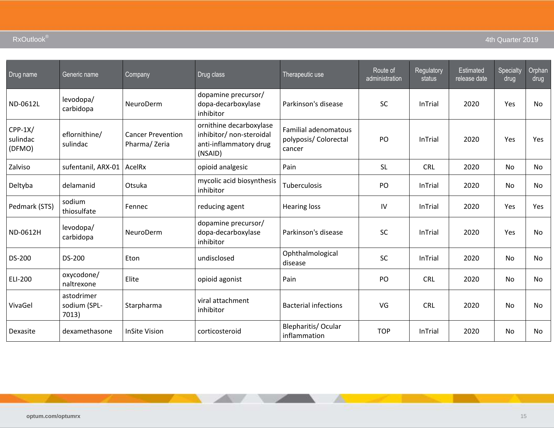| Drug name                       | Generic name                        | Company                                  | Drug class                                                                               | Therapeutic use                                                | Route of<br>administration | Regulatory<br>status | <b>Estimated</b><br>release date | Specialty<br>drug | Orphan<br>drug |
|---------------------------------|-------------------------------------|------------------------------------------|------------------------------------------------------------------------------------------|----------------------------------------------------------------|----------------------------|----------------------|----------------------------------|-------------------|----------------|
| ND-0612L                        | levodopa/<br>carbidopa              | NeuroDerm                                | dopamine precursor/<br>dopa-decarboxylase<br>inhibitor                                   | Parkinson's disease                                            | <b>SC</b>                  | <b>InTrial</b>       | 2020                             | Yes               | <b>No</b>      |
| $CPP-1X/$<br>sulindac<br>(DFMO) | eflornithine/<br>sulindac           | <b>Cancer Prevention</b><br>Pharma/Zeria | ornithine decarboxylase<br>inhibitor/ non-steroidal<br>anti-inflammatory drug<br>(NSAID) | <b>Familial adenomatous</b><br>polyposis/ Colorectal<br>cancer | PO                         | <b>InTrial</b>       | 2020                             | Yes               | Yes            |
| Zalviso                         | sufentanil, ARX-01                  | AcelRx                                   | opioid analgesic                                                                         | Pain                                                           | <b>SL</b>                  | <b>CRL</b>           | 2020                             | <b>No</b>         | No.            |
| Deltyba                         | delamanid                           | Otsuka                                   | mycolic acid biosynthesis<br>inhibitor                                                   | Tuberculosis                                                   | PO                         | <b>InTrial</b>       | 2020                             | <b>No</b>         | <b>No</b>      |
| Pedmark (STS)                   | sodium<br>thiosulfate               | Fennec                                   | reducing agent                                                                           | <b>Hearing loss</b>                                            | IV                         | <b>InTrial</b>       | 2020                             | Yes               | Yes            |
| ND-0612H                        | levodopa/<br>carbidopa              | NeuroDerm                                | dopamine precursor/<br>dopa-decarboxylase<br>inhibitor                                   | Parkinson's disease                                            | <b>SC</b>                  | <b>InTrial</b>       | 2020                             | Yes               | <b>No</b>      |
| DS-200                          | DS-200                              | Eton                                     | undisclosed                                                                              | Ophthalmological<br>disease                                    | <b>SC</b>                  | <b>InTrial</b>       | 2020                             | No                | No             |
| ELI-200                         | oxycodone/<br>naltrexone            | Elite                                    | opioid agonist                                                                           | Pain                                                           | PO                         | <b>CRL</b>           | 2020                             | No                | No             |
| VivaGel                         | astodrimer<br>sodium (SPL-<br>7013) | Starpharma                               | viral attachment<br>inhibitor                                                            | <b>Bacterial infections</b>                                    | VG                         | <b>CRL</b>           | 2020                             | <b>No</b>         | <b>No</b>      |
| Dexasite                        | dexamethasone                       | <b>InSite Vision</b>                     | corticosteroid                                                                           | Blepharitis/ Ocular<br>inflammation                            | <b>TOP</b>                 | <b>InTrial</b>       | 2020                             | No                | No             |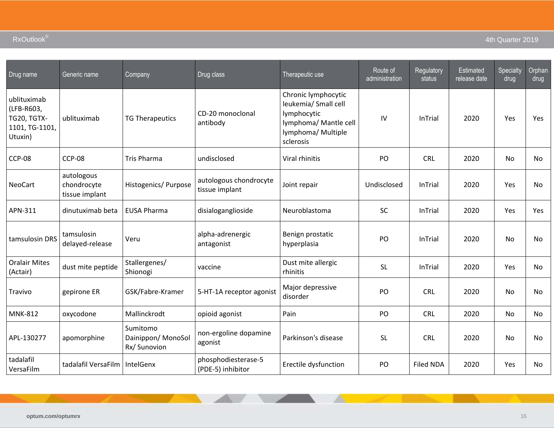| Drug name                                                             | Generic name                                | Company                                       | Drug class                               | Therapeutic use                                                                                                        | Route of<br>administration | Regulatory<br>status | Estimated<br>release date | Specialty<br>drug | Orphan<br>drug |
|-----------------------------------------------------------------------|---------------------------------------------|-----------------------------------------------|------------------------------------------|------------------------------------------------------------------------------------------------------------------------|----------------------------|----------------------|---------------------------|-------------------|----------------|
| ublituximab<br>(LFB-R603,<br>TG20, TGTX-<br>1101, TG-1101,<br>Utuxin) | ublituximab                                 | <b>TG Therapeutics</b>                        | CD-20 monoclonal<br>antibody             | Chronic lymphocytic<br>leukemia/ Small cell<br>lymphocytic<br>lymphoma/ Mantle cell<br>lymphoma/ Multiple<br>sclerosis | IV                         | <b>InTrial</b>       | 2020                      | Yes               | Yes            |
| <b>CCP-08</b>                                                         | <b>CCP-08</b>                               | <b>Tris Pharma</b>                            | undisclosed                              | Viral rhinitis                                                                                                         | PO                         | <b>CRL</b>           | 2020                      | No                | <b>No</b>      |
| <b>NeoCart</b>                                                        | autologous<br>chondrocyte<br>tissue implant | Histogenics/ Purpose                          | autologous chondrocyte<br>tissue implant | Joint repair                                                                                                           | Undisclosed                | InTrial              | 2020                      | Yes               | No             |
| APN-311                                                               | dinutuximab beta                            | <b>EUSA Pharma</b>                            | disialoganglioside                       | Neuroblastoma                                                                                                          | <b>SC</b>                  | <b>InTrial</b>       | 2020                      | Yes               | Yes            |
| tamsulosin DRS                                                        | tamsulosin<br>delayed-release               | Veru                                          | alpha-adrenergic<br>antagonist           | Benign prostatic<br>hyperplasia                                                                                        | PO                         | <b>InTrial</b>       | 2020                      | <b>No</b>         | <b>No</b>      |
| <b>Oralair Mites</b><br>(Actair)                                      | dust mite peptide                           | Stallergenes/<br>Shionogi                     | vaccine                                  | Dust mite allergic<br>rhinitis                                                                                         | <b>SL</b>                  | InTrial              | 2020                      | Yes               | <b>No</b>      |
| Travivo                                                               | gepirone ER                                 | GSK/Fabre-Kramer                              | 5-HT-1A receptor agonist                 | Major depressive<br>disorder                                                                                           | PO                         | <b>CRL</b>           | 2020                      | No                | No             |
| <b>MNK-812</b>                                                        | oxycodone                                   | Mallinckrodt                                  | opioid agonist                           | Pain                                                                                                                   | PO                         | <b>CRL</b>           | 2020                      | No                | No             |
| APL-130277                                                            | apomorphine                                 | Sumitomo<br>Dainippon/MonoSol<br>Rx/ Sunovion | non-ergoline dopamine<br>agonist         | Parkinson's disease                                                                                                    | <b>SL</b>                  | CRL                  | 2020                      | <b>No</b>         | <b>No</b>      |
| tadalafil<br>VersaFilm                                                | tadalafil VersaFilm                         | IntelGenx                                     | phosphodiesterase-5<br>(PDE-5) inhibitor | Erectile dysfunction                                                                                                   | PO                         | <b>Filed NDA</b>     | 2020                      | Yes               | No             |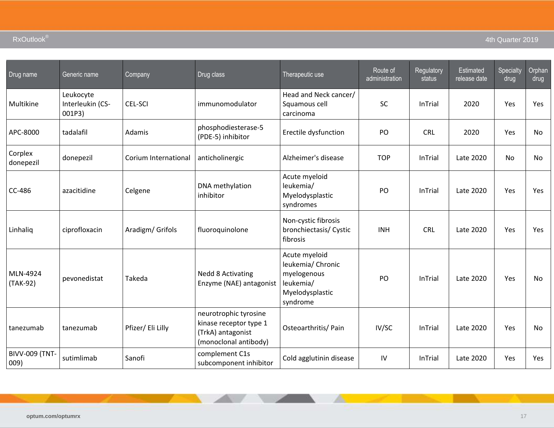| Drug name                     | Generic name                            | Company              | Drug class                                                                                    | Therapeutic use                                                                               | Route of<br>administration | Regulatory<br>status | <b>Estimated</b><br>release date | Specialty<br>drug | Orphan<br>drug |
|-------------------------------|-----------------------------------------|----------------------|-----------------------------------------------------------------------------------------------|-----------------------------------------------------------------------------------------------|----------------------------|----------------------|----------------------------------|-------------------|----------------|
| Multikine                     | Leukocyte<br>Interleukin (CS-<br>001P3) | CEL-SCI              | immunomodulator                                                                               | Head and Neck cancer/<br>Squamous cell<br>carcinoma                                           | SC                         | InTrial              | 2020                             | Yes               | Yes            |
| APC-8000                      | tadalafil                               | Adamis               | phosphodiesterase-5<br>(PDE-5) inhibitor                                                      | Erectile dysfunction                                                                          | PO                         | <b>CRL</b>           | 2020                             | Yes               | No             |
| Corplex<br>donepezil          | donepezil                               | Corium International | anticholinergic                                                                               | Alzheimer's disease                                                                           | <b>TOP</b>                 | InTrial              | Late 2020                        | No                | No.            |
| CC-486                        | azacitidine                             | Celgene              | DNA methylation<br>inhibitor                                                                  | Acute myeloid<br>leukemia/<br>Myelodysplastic<br>syndromes                                    | PO                         | InTrial              | Late 2020                        | Yes               | Yes            |
| Linhaliq                      | ciprofloxacin                           | Aradigm/ Grifols     | fluoroquinolone                                                                               | Non-cystic fibrosis<br>bronchiectasis/ Cystic<br>fibrosis                                     | <b>INH</b>                 | <b>CRL</b>           | Late 2020                        | Yes               | <b>Yes</b>     |
| MLN-4924<br>(TAK-92)          | pevonedistat                            | Takeda               | <b>Nedd 8 Activating</b><br>Enzyme (NAE) antagonist                                           | Acute myeloid<br>leukemia/ Chronic<br>myelogenous<br>leukemia/<br>Myelodysplastic<br>syndrome | PO                         | InTrial              | Late 2020                        | Yes               | No             |
| tanezumab                     | tanezumab                               | Pfizer/ Eli Lilly    | neurotrophic tyrosine<br>kinase receptor type 1<br>(TrkA) antagonist<br>(monoclonal antibody) | Osteoarthritis/ Pain                                                                          | IV/SC                      | InTrial              | Late 2020                        | Yes               | No             |
| <b>BIVV-009 (TNT-</b><br>009) | sutimlimab                              | Sanofi               | complement C1s<br>subcomponent inhibitor                                                      | Cold agglutinin disease                                                                       | IV                         | InTrial              | Late 2020                        | Yes               | Yes            |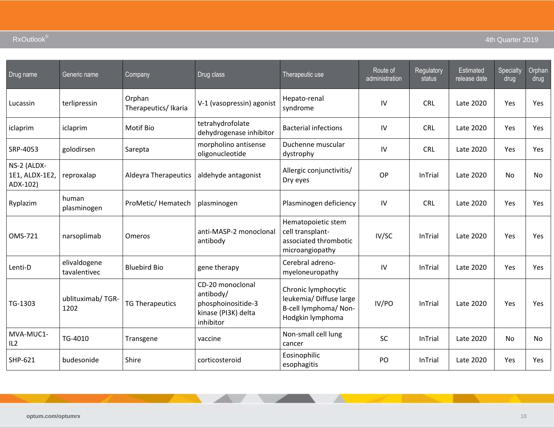| Drug name                                 | Generic name                 | Company                       | Drug class                                                                              | Therapeutic use                                                                             | Route of<br>administration | Regulatory<br>status | <b>Estimated</b><br>release date | Specialty<br>drug | Orphan<br>drug |
|-------------------------------------------|------------------------------|-------------------------------|-----------------------------------------------------------------------------------------|---------------------------------------------------------------------------------------------|----------------------------|----------------------|----------------------------------|-------------------|----------------|
| Lucassin                                  | terlipressin                 | Orphan<br>Therapeutics/Ikaria | V-1 (vasopressin) agonist                                                               | Hepato-renal<br>syndrome                                                                    | IV                         | <b>CRL</b>           | Late 2020                        | Yes               | Yes            |
| iclaprim                                  | iclaprim                     | Motif Bio                     | tetrahydrofolate<br>dehydrogenase inhibitor                                             | <b>Bacterial infections</b>                                                                 | IV                         | <b>CRL</b>           | Late 2020                        | Yes               | Yes            |
| SRP-4053                                  | golodirsen                   | Sarepta                       | morpholino antisense<br>oligonucleotide                                                 | Duchenne muscular<br>dystrophy                                                              | IV                         | <b>CRL</b>           | Late 2020                        | Yes.              | Yes            |
| NS-2 (ALDX-<br>1E1, ALDX-1E2,<br>ADX-102) | reproxalap                   | <b>Aldeyra Therapeutics</b>   | aldehyde antagonist                                                                     | Allergic conjunctivitis/<br>Dry eyes                                                        | OP                         | <b>InTrial</b>       | Late 2020                        | No                | <b>No</b>      |
| Ryplazim                                  | human<br>plasminogen         | ProMetic/Hematech             | plasminogen                                                                             | Plasminogen deficiency                                                                      | IV                         | <b>CRL</b>           | Late 2020                        | <b>Yes</b>        | Yes            |
| OMS-721                                   | narsoplimab                  | Omeros                        | anti-MASP-2 monoclonal<br>antibody                                                      | Hematopoietic stem<br>cell transplant-<br>associated thrombotic<br>microangiopathy          | IV/SC                      | InTrial              | Late 2020                        | Yes               | Yes            |
| Lenti-D                                   | elivaldogene<br>tavalentivec | <b>Bluebird Bio</b>           | gene therapy                                                                            | Cerebral adreno-<br>myeloneuropathy                                                         | IV                         | InTrial              | Late 2020                        | Yes               | Yes            |
| TG-1303                                   | ublituximab/TGR-<br>1202     | <b>TG Therapeutics</b>        | CD-20 monoclonal<br>antibody/<br>phosphoinositide-3<br>kinase (PI3K) delta<br>inhibitor | Chronic lymphocytic<br>leukemia/ Diffuse large<br>B-cell lymphoma/ Non-<br>Hodgkin lymphoma | IV/PO                      | InTrial              | Late 2020                        | Yes               | Yes            |
| MVA-MUC1-<br>IL2                          | TG-4010                      | Transgene                     | vaccine                                                                                 | Non-small cell lung<br>cancer                                                               | SC                         | InTrial              | Late 2020                        | No                | No             |
| SHP-621                                   | budesonide                   | Shire                         | corticosteroid                                                                          | Eosinophilic<br>esophagitis                                                                 | PO                         | InTrial              | Late 2020                        | Yes               | Yes            |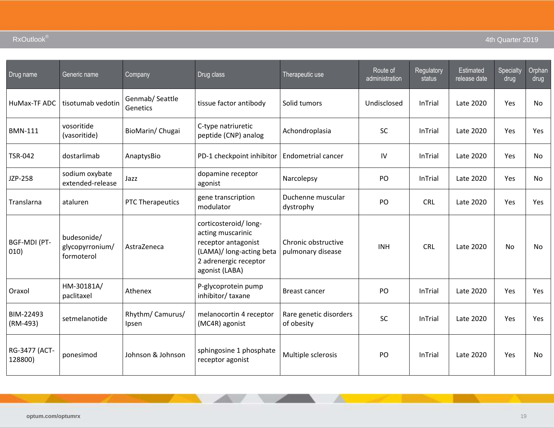| Drug name                   | Generic name                                 | Company                     | Drug class                                                                                                                              | Therapeutic use                          | Route of<br>administration | Regulatory<br>status | <b>Estimated</b><br>release date | Specialty<br>drug | Orphan<br>drug |
|-----------------------------|----------------------------------------------|-----------------------------|-----------------------------------------------------------------------------------------------------------------------------------------|------------------------------------------|----------------------------|----------------------|----------------------------------|-------------------|----------------|
| HuMax-TF ADC                | tisotumab vedotin                            | Genmab/ Seattle<br>Genetics | tissue factor antibody                                                                                                                  | Solid tumors                             | Undisclosed                | InTrial              | Late 2020                        | Yes               | No             |
| <b>BMN-111</b>              | vosoritide<br>(vasoritide)                   | BioMarin/Chugai             | C-type natriuretic<br>peptide (CNP) analog                                                                                              | Achondroplasia                           | SC                         | InTrial              | Late 2020                        | Yes               | Yes            |
| <b>TSR-042</b>              | dostarlimab                                  | AnaptysBio                  | PD-1 checkpoint inhibitor                                                                                                               | Endometrial cancer                       | IV                         | <b>InTrial</b>       | Late 2020                        | Yes               | No             |
| JZP-258                     | sodium oxybate<br>extended-release           | Jazz                        | dopamine receptor<br>agonist                                                                                                            | Narcolepsy                               | PO                         | <b>InTrial</b>       | Late 2020                        | Yes               | No             |
| Translarna                  | ataluren                                     | PTC Therapeutics            | gene transcription<br>modulator                                                                                                         | Duchenne muscular<br>dystrophy           | PO                         | <b>CRL</b>           | Late 2020                        | Yes               | <b>Yes</b>     |
| <b>BGF-MDI (PT-</b><br>010) | budesonide/<br>glycopyrronium/<br>formoterol | AstraZeneca                 | corticosteroid/long-<br>acting muscarinic<br>receptor antagonist<br>(LAMA)/ long-acting beta<br>2 adrenergic receptor<br>agonist (LABA) | Chronic obstructive<br>pulmonary disease | <b>INH</b>                 | <b>CRL</b>           | Late 2020                        | <b>No</b>         | <b>No</b>      |
| Oraxol                      | HM-30181A/<br>paclitaxel                     | Athenex                     | P-glycoprotein pump<br>inhibitor/taxane                                                                                                 | <b>Breast cancer</b>                     | P <sub>O</sub>             | <b>InTrial</b>       | Late 2020                        | Yes               | Yes            |
| BIM-22493<br>(RM-493)       | setmelanotide                                | Rhythm/ Camurus/<br>Ipsen   | melanocortin 4 receptor<br>(MC4R) agonist                                                                                               | Rare genetic disorders<br>of obesity     | SC                         | <b>InTrial</b>       | Late 2020                        | Yes               | Yes            |
| RG-3477 (ACT-<br>128800)    | ponesimod                                    | Johnson & Johnson           | sphingosine 1 phosphate<br>receptor agonist                                                                                             | Multiple sclerosis                       | PO                         | <b>InTrial</b>       | Late 2020                        | Yes               | <b>No</b>      |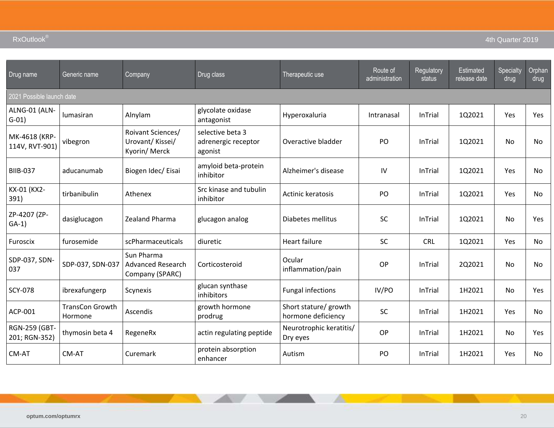| Drug name                       | Generic name                      | Company                                               | Drug class                                         | Therapeutic use                             | Route of<br>administration | Regulatory<br>status | <b>Estimated</b><br>release date | Specialty<br>drug | Orphan<br>drug |
|---------------------------------|-----------------------------------|-------------------------------------------------------|----------------------------------------------------|---------------------------------------------|----------------------------|----------------------|----------------------------------|-------------------|----------------|
| 2021 Possible launch date       |                                   |                                                       |                                                    |                                             |                            |                      |                                  |                   |                |
| ALNG-01 (ALN-<br>$G-01)$        | lumasiran                         | Alnylam                                               | glycolate oxidase<br>antagonist                    | Hyperoxaluria                               | Intranasal                 | <b>InTrial</b>       | 1Q2021                           | Yes               | Yes            |
| MK-4618 (KRP-<br>114V, RVT-901) | vibegron                          | Roivant Sciences/<br>Urovant/Kissei/<br>Kyorin/ Merck | selective beta 3<br>adrenergic receptor<br>agonist | Overactive bladder                          | P <sub>O</sub>             | <b>InTrial</b>       | 1Q2021                           | <b>No</b>         | <b>No</b>      |
| <b>BIIB-037</b>                 | aducanumab                        | Biogen Idec/ Eisai                                    | amyloid beta-protein<br>inhibitor                  | Alzheimer's disease                         | IV                         | <b>InTrial</b>       | 1Q2021                           | Yes               | No             |
| KX-01 (KX2-<br>391)             | tirbanibulin                      | Athenex                                               | Src kinase and tubulin<br>inhibitor                | <b>Actinic keratosis</b>                    | PO                         | <b>InTrial</b>       | 1Q2021                           | Yes               | <b>No</b>      |
| ZP-4207 (ZP-<br>$GA-1)$         | dasiglucagon                      | Zealand Pharma                                        | glucagon analog                                    | Diabetes mellitus                           | <b>SC</b>                  | <b>InTrial</b>       | 1Q2021                           | No                | Yes            |
| Furoscix                        | furosemide                        | scPharmaceuticals                                     | diuretic                                           | <b>Heart failure</b>                        | SC                         | <b>CRL</b>           | 1Q2021                           | Yes               | No             |
| SDP-037, SDN-<br>037            | SDP-037, SDN-037                  | Sun Pharma<br>Advanced Research<br>Company (SPARC)    | Corticosteroid                                     | Ocular<br>inflammation/pain                 | OP                         | <b>InTrial</b>       | 2Q2021                           | No                | No             |
| <b>SCY-078</b>                  | ibrexafungerp                     | Scynexis                                              | glucan synthase<br>inhibitors                      | <b>Fungal infections</b>                    | IV/PO                      | <b>InTrial</b>       | 1H2021                           | <b>No</b>         | Yes            |
| ACP-001                         | <b>TransCon Growth</b><br>Hormone | Ascendis                                              | growth hormone<br>prodrug                          | Short stature/ growth<br>hormone deficiency | <b>SC</b>                  | <b>InTrial</b>       | 1H2021                           | Yes               | No             |
| RGN-259 (GBT-<br>201; RGN-352)  | thymosin beta 4                   | RegeneRx                                              | actin regulating peptide                           | Neurotrophic keratitis/<br>Dry eyes         | OP                         | <b>InTrial</b>       | 1H2021                           | No                | Yes            |
| CM-AT                           | CM-AT                             | Curemark                                              | protein absorption<br>enhancer                     | Autism                                      | PO                         | <b>InTrial</b>       | 1H2021                           | Yes               | No             |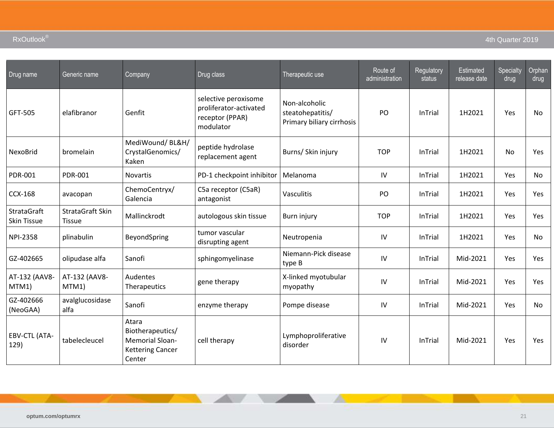| Drug name                                | Generic name                      | Company                                                                                  | Drug class                                                                     | Therapeutic use                                                | Route of<br>administration | Regulatory<br>status | Estimated<br>release date | Specialty<br>drug | Orphan<br>drug |
|------------------------------------------|-----------------------------------|------------------------------------------------------------------------------------------|--------------------------------------------------------------------------------|----------------------------------------------------------------|----------------------------|----------------------|---------------------------|-------------------|----------------|
| GFT-505                                  | elafibranor                       | Genfit                                                                                   | selective peroxisome<br>proliferator-activated<br>receptor (PPAR)<br>modulator | Non-alcoholic<br>steatohepatitis/<br>Primary biliary cirrhosis | PO                         | <b>InTrial</b>       | 1H2021                    | Yes               | No.            |
| NexoBrid                                 | bromelain                         | MediWound/BL&H/<br>CrystalGenomics/<br>Kaken                                             | peptide hydrolase<br>replacement agent                                         | Burns/ Skin injury                                             | <b>TOP</b>                 | <b>InTrial</b>       | 1H2021                    | No                | Yes            |
| <b>PDR-001</b>                           | <b>PDR-001</b>                    | Novartis                                                                                 | PD-1 checkpoint inhibitor                                                      | Melanoma                                                       | IV                         | <b>InTrial</b>       | 1H2021                    | Yes               | No             |
| <b>CCX-168</b>                           | avacopan                          | ChemoCentryx/<br>Galencia                                                                | C5a receptor (C5aR)<br>antagonist                                              | Vasculitis                                                     | PO                         | <b>InTrial</b>       | 1H2021                    | Yes               | Yes            |
| <b>StrataGraft</b><br><b>Skin Tissue</b> | StrataGraft Skin<br><b>Tissue</b> | Mallinckrodt                                                                             | autologous skin tissue                                                         | Burn injury                                                    | <b>TOP</b>                 | <b>InTrial</b>       | 1H2021                    | Yes               | Yes            |
| <b>NPI-2358</b>                          | plinabulin                        | BeyondSpring                                                                             | tumor vascular<br>disrupting agent                                             | Neutropenia                                                    | IV                         | <b>InTrial</b>       | 1H2021                    | Yes               | No.            |
| GZ-402665                                | olipudase alfa                    | Sanofi                                                                                   | sphingomyelinase                                                               | Niemann-Pick disease<br>type B                                 | IV                         | <b>InTrial</b>       | Mid-2021                  | Yes               | <b>Yes</b>     |
| AT-132 (AAV8-<br>MTM1)                   | AT-132 (AAV8-<br>MTM1)            | Audentes<br>Therapeutics                                                                 | gene therapy                                                                   | X-linked myotubular<br>myopathy                                | $\mathsf{IV}$              | <b>InTrial</b>       | Mid-2021                  | Yes               | Yes            |
| GZ-402666<br>(NeoGAA)                    | avalglucosidase<br>alfa           | Sanofi                                                                                   | enzyme therapy                                                                 | Pompe disease                                                  | IV                         | <b>InTrial</b>       | Mid-2021                  | Yes               | No.            |
| EBV-CTL (ATA-<br>129)                    | tabelecleucel                     | Atara<br>Biotherapeutics/<br><b>Memorial Sloan-</b><br><b>Kettering Cancer</b><br>Center | cell therapy                                                                   | Lymphoproliferative<br>disorder                                | IV                         | <b>InTrial</b>       | Mid-2021                  | Yes               | <b>Yes</b>     |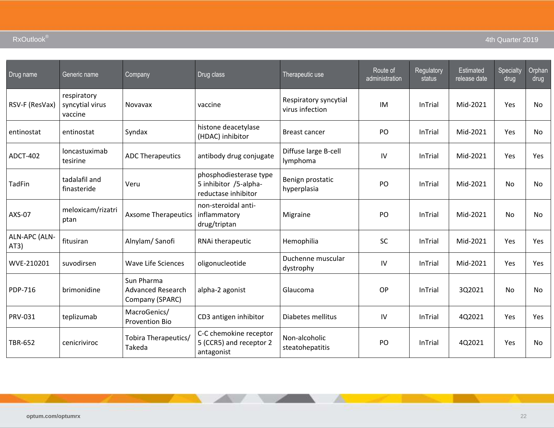| Drug name             | Generic name                              | Company                                                   | Drug class                                                             | Therapeutic use                          | Route of<br>administration | Regulatory<br>status | Estimated<br>release date | Specialty<br>drug | Orphan<br>drug |
|-----------------------|-------------------------------------------|-----------------------------------------------------------|------------------------------------------------------------------------|------------------------------------------|----------------------------|----------------------|---------------------------|-------------------|----------------|
| RSV-F (ResVax)        | respiratory<br>syncytial virus<br>vaccine | <b>Novavax</b>                                            | vaccine                                                                | Respiratory syncytial<br>virus infection | IM                         | InTrial              | Mid-2021                  | Yes               | <b>No</b>      |
| entinostat            | entinostat                                | Syndax                                                    | histone deacetylase<br>(HDAC) inhibitor                                | Breast cancer                            | PO                         | InTrial              | Mid-2021                  | Yes               | <b>No</b>      |
| <b>ADCT-402</b>       | loncastuximab<br>tesirine                 | <b>ADC Therapeutics</b>                                   | antibody drug conjugate                                                | Diffuse large B-cell<br>lymphoma         | IV                         | InTrial              | Mid-2021                  | Yes               | Yes            |
| TadFin                | tadalafil and<br>finasteride              | Veru                                                      | phosphodiesterase type<br>5 inhibitor /5-alpha-<br>reductase inhibitor | Benign prostatic<br>hyperplasia          | PO                         | InTrial              | Mid-2021                  | No                | No             |
| AXS-07                | meloxicam/rizatri<br>ptan                 | <b>Axsome Therapeutics</b>                                | non-steroidal anti-<br>inflammatory<br>drug/triptan                    | Migraine                                 | PO                         | InTrial              | Mid-2021                  | <b>No</b>         | <b>No</b>      |
| ALN-APC (ALN-<br>AT3) | fitusiran                                 | Alnylam/Sanofi                                            | RNAi therapeutic                                                       | Hemophilia                               | SC                         | InTrial              | Mid-2021                  | Yes               | <b>Yes</b>     |
| WVE-210201            | suvodirsen                                | <b>Wave Life Sciences</b>                                 | oligonucleotide                                                        | Duchenne muscular<br>dystrophy           | IV                         | <b>InTrial</b>       | Mid-2021                  | Yes               | <b>Yes</b>     |
| PDP-716               | brimonidine                               | Sun Pharma<br><b>Advanced Research</b><br>Company (SPARC) | alpha-2 agonist                                                        | Glaucoma                                 | OP                         | InTrial              | 3Q2021                    | <b>No</b>         | No             |
| PRV-031               | teplizumab                                | MacroGenics/<br><b>Provention Bio</b>                     | CD3 antigen inhibitor                                                  | Diabetes mellitus                        | IV                         | InTrial              | 4Q2021                    | Yes               | <b>Yes</b>     |
| <b>TBR-652</b>        | cenicriviroc                              | Tobira Therapeutics/<br>Takeda                            | C-C chemokine receptor<br>5 (CCR5) and receptor 2<br>antagonist        | Non-alcoholic<br>steatohepatitis         | PO                         | InTrial              | 4Q2021                    | Yes               | No             |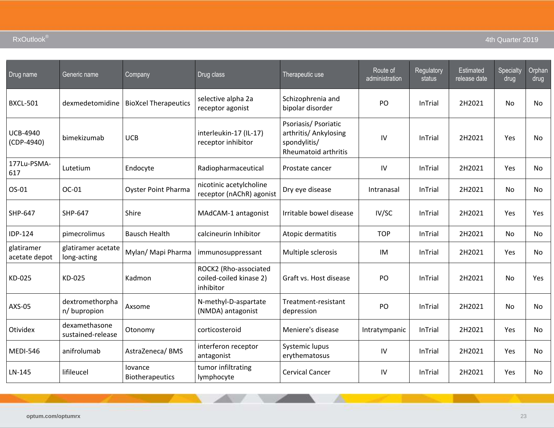| Drug name                       | Generic name                       | Company                           | Drug class                                                    | Therapeutic use                                                                       | Route of<br>administration | Regulatory<br>status | Estimated<br>release date | Specialty<br>drug | Orphan<br>drug |
|---------------------------------|------------------------------------|-----------------------------------|---------------------------------------------------------------|---------------------------------------------------------------------------------------|----------------------------|----------------------|---------------------------|-------------------|----------------|
| <b>BXCL-501</b>                 | dexmedetomidine                    | <b>BioXcel Therapeutics</b>       | selective alpha 2a<br>receptor agonist                        | Schizophrenia and<br>bipolar disorder                                                 | PO                         | <b>InTrial</b>       | 2H2021                    | No                | No             |
| <b>UCB-4940</b><br>$(CDP-4940)$ | bimekizumab                        | <b>UCB</b>                        | interleukin-17 (IL-17)<br>receptor inhibitor                  | Psoriasis/ Psoriatic<br>arthritis/ Ankylosing<br>spondylitis/<br>Rheumatoid arthritis | IV                         | <b>InTrial</b>       | 2H2021                    | Yes               | No             |
| 177Lu-PSMA-<br>617              | Lutetium                           | Endocyte                          | Radiopharmaceutical                                           | Prostate cancer                                                                       | IV                         | <b>InTrial</b>       | 2H2021                    | Yes               | No.            |
| OS-01                           | OC-01                              | <b>Oyster Point Pharma</b>        | nicotinic acetylcholine<br>receptor (nAChR) agonist           | Dry eye disease                                                                       | Intranasal                 | <b>InTrial</b>       | 2H2021                    | <b>No</b>         | <b>No</b>      |
| SHP-647                         | SHP-647                            | Shire                             | MAdCAM-1 antagonist                                           | Irritable bowel disease                                                               | IV/SC                      | <b>InTrial</b>       | 2H2021                    | Yes               | Yes            |
| <b>IDP-124</b>                  | pimecrolimus                       | <b>Bausch Health</b>              | calcineurin Inhibitor                                         | Atopic dermatitis                                                                     | <b>TOP</b>                 | InTrial              | 2H2021                    | No                | <b>No</b>      |
| glatiramer<br>acetate depot     | glatiramer acetate<br>long-acting  | Mylan/ Mapi Pharma                | immunosuppressant                                             | Multiple sclerosis                                                                    | IM                         | <b>InTrial</b>       | 2H2021                    | Yes               | No.            |
| KD-025                          | KD-025                             | Kadmon                            | ROCK2 (Rho-associated<br>coiled-coiled kinase 2)<br>inhibitor | Graft vs. Host disease                                                                | PO                         | <b>InTrial</b>       | 2H2021                    | <b>No</b>         | Yes            |
| AXS-05                          | dextromethorpha<br>n/bupropion     | Axsome                            | N-methyl-D-aspartate<br>(NMDA) antagonist                     | Treatment-resistant<br>depression                                                     | PO                         | <b>InTrial</b>       | 2H2021                    | No                | No.            |
| <b>Otividex</b>                 | dexamethasone<br>sustained-release | Otonomy                           | corticosteroid                                                | Meniere's disease                                                                     | Intratympanic              | <b>InTrial</b>       | 2H2021                    | Yes               | No.            |
| <b>MEDI-546</b>                 | anifrolumab                        | AstraZeneca/BMS                   | interferon receptor<br>antagonist                             | Systemic lupus<br>erythematosus                                                       | IV                         | <b>InTrial</b>       | 2H2021                    | Yes               | No             |
| LN-145                          | lifileucel                         | lovance<br><b>Biotherapeutics</b> | tumor infiltrating<br>lymphocyte                              | <b>Cervical Cancer</b>                                                                | IV                         | <b>InTrial</b>       | 2H2021                    | Yes               | No.            |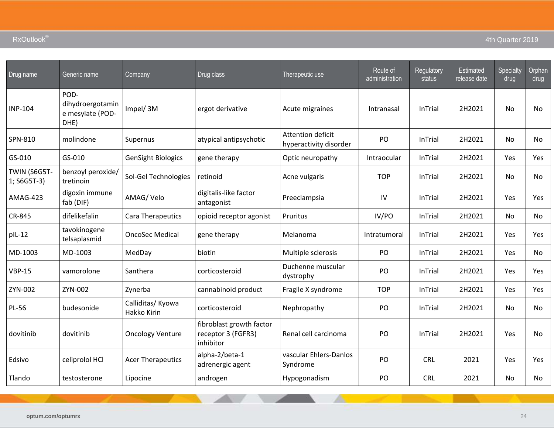| Drug name                   | Generic name                                         | Company                          | Drug class                                                  | Therapeutic use                             | Route of<br>administration | Regulatory<br>status | <b>Estimated</b><br>release date | Specialty<br>drug | Orphan<br>drug |
|-----------------------------|------------------------------------------------------|----------------------------------|-------------------------------------------------------------|---------------------------------------------|----------------------------|----------------------|----------------------------------|-------------------|----------------|
| <b>INP-104</b>              | POD-<br>dihydroergotamin<br>e mesylate (POD-<br>DHE) | Impel/3M                         | ergot derivative                                            | Acute migraines                             | Intranasal                 | <b>InTrial</b>       | 2H2021                           | No                | No             |
| SPN-810                     | molindone                                            | Supernus                         | atypical antipsychotic                                      | Attention deficit<br>hyperactivity disorder | PO                         | <b>InTrial</b>       | 2H2021                           | No                | No             |
| GS-010                      | GS-010                                               | <b>GenSight Biologics</b>        | gene therapy                                                | Optic neuropathy                            | Intraocular                | <b>InTrial</b>       | 2H2021                           | Yes               | <b>Yes</b>     |
| TWIN (S6G5T-<br>1; S6G5T-3) | benzoyl peroxide/<br>tretinoin                       | Sol-Gel Technologies             | retinoid                                                    | Acne vulgaris                               | <b>TOP</b>                 | <b>InTrial</b>       | 2H2021                           | No                | No.            |
| AMAG-423                    | digoxin immune<br>fab (DIF)                          | AMAG/Velo                        | digitalis-like factor<br>antagonist                         | Preeclampsia                                | IV                         | <b>InTrial</b>       | 2H2021                           | Yes               | Yes            |
| CR-845                      | difelikefalin                                        | Cara Therapeutics                | opioid receptor agonist                                     | Pruritus                                    | IV/PO                      | <b>InTrial</b>       | 2H2021                           | No                | No.            |
| plL-12                      | tavokinogene<br>telsaplasmid                         | <b>OncoSec Medical</b>           | gene therapy                                                | Melanoma                                    | Intratumoral               | <b>InTrial</b>       | 2H2021                           | Yes               | Yes            |
| MD-1003                     | MD-1003                                              | MedDay                           | biotin                                                      | Multiple sclerosis                          | PO                         | <b>InTrial</b>       | 2H2021                           | Yes               | No.            |
| <b>VBP-15</b>               | vamorolone                                           | Santhera                         | corticosteroid                                              | Duchenne muscular<br>dystrophy              | PO                         | <b>InTrial</b>       | 2H2021                           | Yes               | Yes            |
| ZYN-002                     | ZYN-002                                              | Zynerba                          | cannabinoid product                                         | Fragile X syndrome                          | <b>TOP</b>                 | <b>InTrial</b>       | 2H2021                           | Yes               | Yes            |
| <b>PL-56</b>                | budesonide                                           | Calliditas/ Kyowa<br>Hakko Kirin | corticosteroid                                              | Nephropathy                                 | PO                         | <b>InTrial</b>       | 2H2021                           | No                | No             |
| dovitinib                   | dovitinib                                            | <b>Oncology Venture</b>          | fibroblast growth factor<br>receptor 3 (FGFR3)<br>inhibitor | Renal cell carcinoma                        | PO                         | <b>InTrial</b>       | 2H2021                           | Yes               | No.            |
| Edsivo                      | celiprolol HCl                                       | <b>Acer Therapeutics</b>         | alpha-2/beta-1<br>adrenergic agent                          | vascular Ehlers-Danlos<br>Syndrome          | PO                         | <b>CRL</b>           | 2021                             | Yes               | Yes            |
| Tlando                      | testosterone                                         | Lipocine                         | androgen                                                    | Hypogonadism                                | PO                         | <b>CRL</b>           | 2021                             | No                | No             |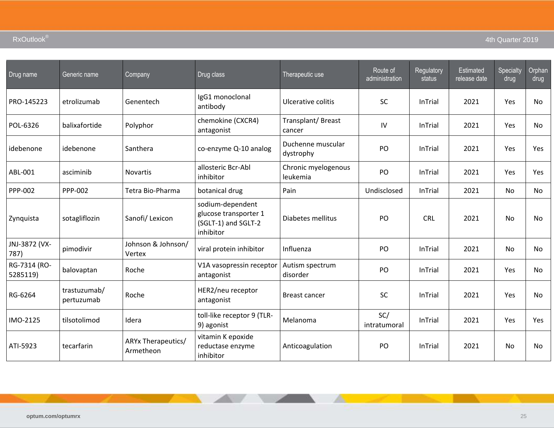| Drug name                | Generic name               | <b>Company</b>                  | Drug class                                                                    | Therapeutic use                 | Route of<br>administration | Regulatory<br>status | Estimated<br>release date | Specialty<br>drug | Orphan<br>drug |
|--------------------------|----------------------------|---------------------------------|-------------------------------------------------------------------------------|---------------------------------|----------------------------|----------------------|---------------------------|-------------------|----------------|
| PRO-145223               | etrolizumab                | Genentech                       | IgG1 monoclonal<br>antibody                                                   | Ulcerative colitis              | <b>SC</b>                  | <b>InTrial</b>       | 2021                      | Yes               | No.            |
| POL-6326                 | balixafortide              | Polyphor                        | chemokine (CXCR4)<br>antagonist                                               | Transplant/Breast<br>cancer     | IV                         | <b>InTrial</b>       | 2021                      | Yes               | No.            |
| idebenone                | idebenone                  | Santhera                        | co-enzyme Q-10 analog                                                         | Duchenne muscular<br>dystrophy  | PO                         | InTrial              | 2021                      | Yes               | Yes            |
| ABL-001                  | asciminib                  | <b>Novartis</b>                 | allosteric Bcr-Abl<br>inhibitor                                               | Chronic myelogenous<br>leukemia | PO                         | <b>InTrial</b>       | 2021                      | Yes               | <b>Yes</b>     |
| PPP-002                  | PPP-002                    | Tetra Bio-Pharma                | botanical drug                                                                | Pain                            | Undisclosed                | <b>InTrial</b>       | 2021                      | No                | No.            |
| Zynquista                | sotagliflozin              | Sanofi/Lexicon                  | sodium-dependent<br>glucose transporter 1<br>(SGLT-1) and SGLT-2<br>inhibitor | Diabetes mellitus               | PO                         | <b>CRL</b>           | 2021                      | <b>No</b>         | No.            |
| JNJ-3872 (VX-<br>787)    | pimodivir                  | Johnson & Johnson/<br>Vertex    | viral protein inhibitor                                                       | Influenza                       | PO                         | <b>InTrial</b>       | 2021                      | No                | No.            |
| RG-7314 (RO-<br>5285119) | balovaptan                 | Roche                           | V1A vasopressin receptor<br>antagonist                                        | Autism spectrum<br>disorder     | PO                         | InTrial              | 2021                      | Yes               | No.            |
| RG-6264                  | trastuzumab/<br>pertuzumab | Roche                           | HER2/neu receptor<br>antagonist                                               | Breast cancer                   | <b>SC</b>                  | <b>InTrial</b>       | 2021                      | Yes               | No.            |
| IMO-2125                 | tilsotolimod               | Idera                           | toll-like receptor 9 (TLR-<br>9) agonist                                      | Melanoma                        | SC/<br>intratumoral        | <b>InTrial</b>       | 2021                      | Yes               | <b>Yes</b>     |
| ATI-5923                 | tecarfarin                 | ARYx Therapeutics/<br>Armetheon | vitamin K epoxide<br>reductase enzyme<br>inhibitor                            | Anticoagulation                 | PO                         | <b>InTrial</b>       | 2021                      | <b>No</b>         | No.            |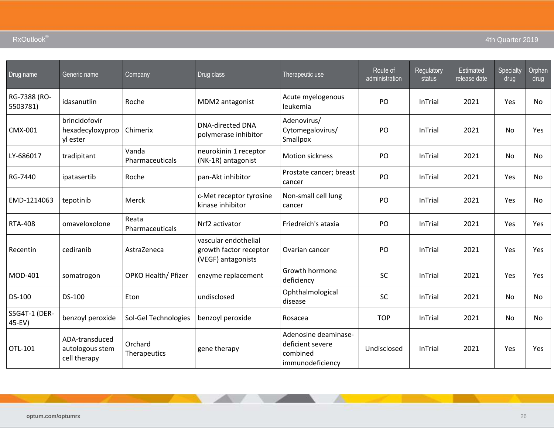| Drug name                | Generic name                                      | Company                  | Drug class                                                           | Therapeutic use                                                          | Route of<br>administration | Regulatory<br>status | <b>Estimated</b><br>release date | Specialty<br>drug | Orphan<br>drug |
|--------------------------|---------------------------------------------------|--------------------------|----------------------------------------------------------------------|--------------------------------------------------------------------------|----------------------------|----------------------|----------------------------------|-------------------|----------------|
| RG-7388 (RO-<br>5503781) | idasanutlin                                       | Roche                    | MDM2 antagonist                                                      | Acute myelogenous<br>leukemia                                            | PO                         | InTrial              | 2021                             | Yes               | No             |
| CMX-001                  | brincidofovir<br>hexadecyloxyprop<br>yl ester     | Chimerix                 | <b>DNA-directed DNA</b><br>polymerase inhibitor                      | Adenovirus/<br>Cytomegalovirus/<br>Smallpox                              | PO                         | InTrial              | 2021                             | No                | Yes            |
| LY-686017                | tradipitant                                       | Vanda<br>Pharmaceuticals | neurokinin 1 receptor<br>(NK-1R) antagonist                          | <b>Motion sickness</b>                                                   | P <sub>O</sub>             | InTrial              | 2021                             | <b>No</b>         | No.            |
| RG-7440                  | ipatasertib                                       | Roche                    | pan-Akt inhibitor                                                    | Prostate cancer; breast<br>cancer                                        | PO                         | InTrial              | 2021                             | Yes               | No             |
| EMD-1214063              | tepotinib                                         | Merck                    | c-Met receptor tyrosine<br>kinase inhibitor                          | Non-small cell lung<br>cancer                                            | PO                         | InTrial              | 2021                             | Yes               | No.            |
| <b>RTA-408</b>           | omaveloxolone                                     | Reata<br>Pharmaceuticals | Nrf2 activator                                                       | Friedreich's ataxia                                                      | PO                         | InTrial              | 2021                             | Yes               | Yes            |
| Recentin                 | cediranib                                         | AstraZeneca              | vascular endothelial<br>growth factor receptor<br>(VEGF) antagonists | Ovarian cancer                                                           | PO                         | InTrial              | 2021                             | Yes               | Yes            |
| MOD-401                  | somatrogon                                        | OPKO Health/ Pfizer      | enzyme replacement                                                   | Growth hormone<br>deficiency                                             | SC                         | InTrial              | 2021                             | Yes               | Yes            |
| DS-100                   | DS-100                                            | Eton                     | undisclosed                                                          | Ophthalmological<br>disease                                              | SC                         | InTrial              | 2021                             | <b>No</b>         | No.            |
| S5G4T-1 (DER-<br>45-EV)  | benzoyl peroxide                                  | Sol-Gel Technologies     | benzoyl peroxide                                                     | Rosacea                                                                  | <b>TOP</b>                 | InTrial              | 2021                             | No                | <b>No</b>      |
| OTL-101                  | ADA-transduced<br>autologous stem<br>cell therapy | Orchard<br>Therapeutics  | gene therapy                                                         | Adenosine deaminase-<br>deficient severe<br>combined<br>immunodeficiency | Undisclosed                | InTrial              | 2021                             | Yes               | Yes            |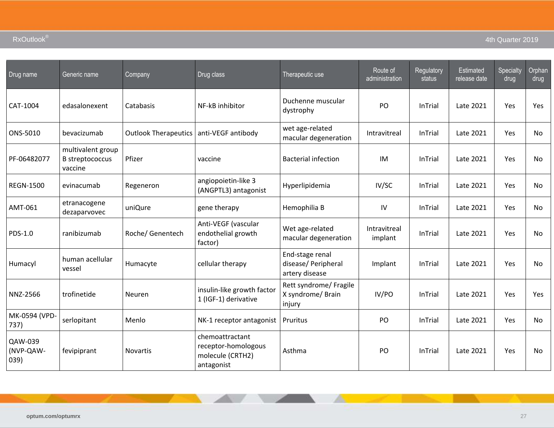| Drug name                    | Generic name                                           | Company                     | Drug class                                                               | Therapeutic use                                          | Route of<br>administration | Regulatory<br>status | Estimated<br>release date | Specialty<br>drug | Orphan<br>drug |
|------------------------------|--------------------------------------------------------|-----------------------------|--------------------------------------------------------------------------|----------------------------------------------------------|----------------------------|----------------------|---------------------------|-------------------|----------------|
| CAT-1004                     | edasalonexent                                          | Catabasis                   | NF-kB inhibitor                                                          | Duchenne muscular<br>dystrophy                           | PO                         | <b>InTrial</b>       | Late 2021                 | Yes               | Yes            |
| ONS-5010                     | bevacizumab                                            | <b>Outlook Therapeutics</b> | anti-VEGF antibody                                                       | wet age-related<br>macular degeneration                  | Intravitreal               | <b>InTrial</b>       | Late 2021                 | <b>Yes</b>        | No.            |
| PF-06482077                  | multivalent group<br><b>B</b> streptococcus<br>vaccine | Pfizer                      | vaccine                                                                  | <b>Bacterial infection</b>                               | IM                         | InTrial              | Late 2021                 | Yes               | No             |
| <b>REGN-1500</b>             | evinacumab                                             | Regeneron                   | angiopoietin-like 3<br>(ANGPTL3) antagonist                              | Hyperlipidemia                                           | IV/SC                      | InTrial              | Late 2021                 | Yes               | No.            |
| AMT-061                      | etranacogene<br>dezaparvovec                           | uniQure                     | gene therapy                                                             | Hemophilia B                                             | IV                         | <b>InTrial</b>       | Late 2021                 | Yes               | No.            |
| PDS-1.0                      | ranibizumab                                            | Roche/ Genentech            | Anti-VEGF (vascular<br>endothelial growth<br>factor)                     | Wet age-related<br>macular degeneration                  | Intravitreal<br>implant    | <b>InTrial</b>       | Late 2021                 | Yes               | No             |
| Humacyl                      | human acellular<br>vessel                              | Humacyte                    | cellular therapy                                                         | End-stage renal<br>disease/ Peripheral<br>artery disease | Implant                    | InTrial              | Late 2021                 | Yes               | No.            |
| NNZ-2566                     | trofinetide                                            | Neuren                      | insulin-like growth factor<br>1 (IGF-1) derivative                       | Rett syndrome/ Fragile<br>X syndrome/ Brain<br>injury    | IV/PO                      | <b>InTrial</b>       | Late 2021                 | Yes               | Yes            |
| MK-0594 (VPD-<br>737)        | serlopitant                                            | Menlo                       | NK-1 receptor antagonist                                                 | Pruritus                                                 | PO                         | InTrial              | Late 2021                 | Yes               | No.            |
| QAW-039<br>(NVP-QAW-<br>039) | fevipiprant                                            | <b>Novartis</b>             | chemoattractant<br>receptor-homologous<br>molecule (CRTH2)<br>antagonist | Asthma                                                   | PO                         | <b>InTrial</b>       | Late 2021                 | Yes               | No.            |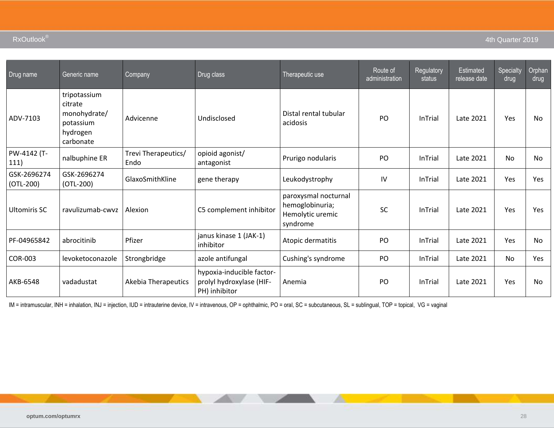| Drug name                  | Generic name                                                                  | Company                     | Drug class                                                             | Therapeutic use                                                         | Route of<br>administration | Regulatory<br>status | <b>Estimated</b><br>release date | Specialty<br>drug | Orphan<br>drug |
|----------------------------|-------------------------------------------------------------------------------|-----------------------------|------------------------------------------------------------------------|-------------------------------------------------------------------------|----------------------------|----------------------|----------------------------------|-------------------|----------------|
| ADV-7103                   | tripotassium<br>citrate<br>monohydrate/<br>potassium<br>hydrogen<br>carbonate | Advicenne                   | Undisclosed                                                            | Distal rental tubular<br>acidosis                                       | PO                         | InTrial              | Late 2021                        | Yes               | No             |
| PW-4142 (T-<br>111)        | nalbuphine ER                                                                 | Trevi Therapeutics/<br>Endo | opioid agonist/<br>antagonist                                          | Prurigo nodularis                                                       | PO                         | <b>InTrial</b>       | Late 2021                        | No                | No             |
| GSK-2696274<br>$(OTL-200)$ | GSK-2696274<br>$(OTL-200)$                                                    | GlaxoSmithKline             | gene therapy                                                           | Leukodystrophy                                                          | IV                         | <b>InTrial</b>       | Late 2021                        | Yes               | Yes            |
| <b>Ultomiris SC</b>        | ravulizumab-cwyz                                                              | Alexion                     | C5 complement inhibitor                                                | paroxysmal nocturnal<br>hemoglobinuria;<br>Hemolytic uremic<br>syndrome | <b>SC</b>                  | <b>InTrial</b>       | Late 2021                        | Yes               | Yes            |
| PF-04965842                | abrocitinib                                                                   | Pfizer                      | janus kinase 1 (JAK-1)<br>inhibitor                                    | Atopic dermatitis                                                       | PO                         | <b>InTrial</b>       | Late 2021                        | Yes               | No             |
| <b>COR-003</b>             | levoketoconazole                                                              | Strongbridge                | azole antifungal                                                       | Cushing's syndrome                                                      | PO                         | <b>InTrial</b>       | Late 2021                        | No                | Yes            |
| AKB-6548                   | vadadustat                                                                    | <b>Akebia Therapeutics</b>  | hypoxia-inducible factor-<br>prolyl hydroxylase (HIF-<br>PH) inhibitor | Anemia                                                                  | PO                         | InTrial              | Late 2021                        | Yes               | No             |

IM = intramuscular, INH = inhalation, INJ = injection, IUD = intrauterine device, IV = intravenous, OP = ophthalmic, PO = oral, SC = subcutaneous, SL = sublingual, TOP = topical, VG = vaginal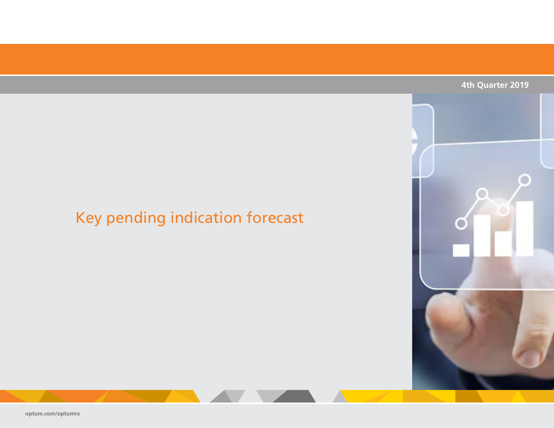### **4th Quarter 2019**

# <span id="page-62-0"></span>Key pending indication forecast

**[optum.com/optumrx](http://www.optum.com/optumrx)**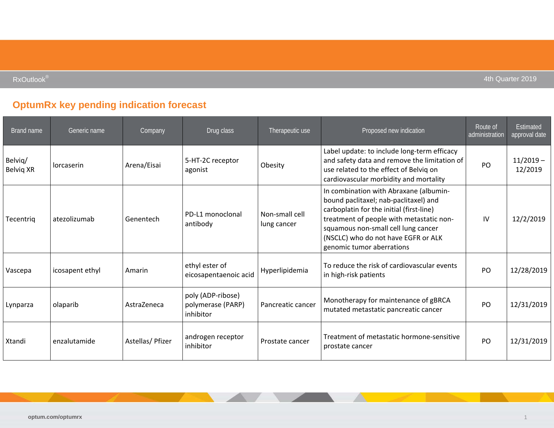$\mathsf{RxOutlook}^\circ$  and  $\mathsf{Autbook}^\circ$  and  $\mathsf{AutRed}$  and  $\mathsf{AutRed}$  and  $\mathsf{AutRed}$  . Although  $\mathsf{AutRed}$  and  $\mathsf{AutRed}$  and  $\mathsf{AutRed}$  and  $\mathsf{AutRed}$  and  $\mathsf{AutRed}$  and  $\mathsf{AutRed}$  and  $\mathsf{AutRed}$  and  $\mathsf{AutRed}$  and  $\mathsf{AutRed}$  and  $\mathsf{AutRed}$  and

## **OptumRx key pending indication forecast**

| Brand name           | Generic name    | <b>Company</b>   | Drug class                                          | Therapeutic use               | Proposed new indication                                                                                                                                                                                                                                                            | Route of<br>administration | <b>Estimated</b><br>approval date |
|----------------------|-----------------|------------------|-----------------------------------------------------|-------------------------------|------------------------------------------------------------------------------------------------------------------------------------------------------------------------------------------------------------------------------------------------------------------------------------|----------------------------|-----------------------------------|
| Belvig/<br>Belvig XR | lorcaserin      | Arena/Eisai      | 5-HT-2C receptor<br>agonist                         | Obesity                       | Label update: to include long-term efficacy<br>and safety data and remove the limitation of<br>use related to the effect of Belviq on<br>cardiovascular morbidity and mortality                                                                                                    | PO                         | $11/2019 -$<br>12/2019            |
| Tecentriq            | atezolizumab    | Genentech        | PD-L1 monoclonal<br>antibody                        | Non-small cell<br>lung cancer | In combination with Abraxane (albumin-<br>bound paclitaxel; nab-paclitaxel) and<br>carboplatin for the initial (first-line)<br>treatment of people with metastatic non-<br>squamous non-small cell lung cancer<br>(NSCLC) who do not have EGFR or ALK<br>genomic tumor aberrations | IV                         | 12/2/2019                         |
| Vascepa              | icosapent ethyl | Amarin           | ethyl ester of<br>eicosapentaenoic acid             | Hyperlipidemia                | To reduce the risk of cardiovascular events<br>in high-risk patients                                                                                                                                                                                                               | PO                         | 12/28/2019                        |
| Lynparza             | olaparib        | AstraZeneca      | poly (ADP-ribose)<br>polymerase (PARP)<br>inhibitor | Pancreatic cancer             | Monotherapy for maintenance of gBRCA<br>mutated metastatic pancreatic cancer                                                                                                                                                                                                       | PO                         | 12/31/2019                        |
| Xtandi               | enzalutamide    | Astellas/ Pfizer | androgen receptor<br>inhibitor                      | Prostate cancer               | Treatment of metastatic hormone-sensitive<br>prostate cancer                                                                                                                                                                                                                       | P <sub>O</sub>             | 12/31/2019                        |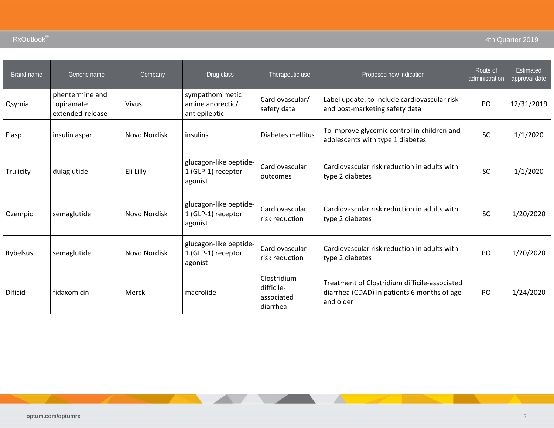| Brand name | Generic name                                      | Company      | Drug class                                              | Therapeutic use                                     | Proposed new indication                                                                                   | Route of<br>administration | Estimated<br>approval date |
|------------|---------------------------------------------------|--------------|---------------------------------------------------------|-----------------------------------------------------|-----------------------------------------------------------------------------------------------------------|----------------------------|----------------------------|
| Qsymia     | phentermine and<br>topiramate<br>extended-release | Vivus        | sympathomimetic<br>amine anorectic/<br>antiepileptic    | Cardiovascular/<br>safety data                      | Label update: to include cardiovascular risk<br>and post-marketing safety data                            | PO                         | 12/31/2019                 |
| Fiasp      | insulin aspart                                    | Novo Nordisk | insulins                                                | Diabetes mellitus                                   | To improve glycemic control in children and<br>adolescents with type 1 diabetes                           | <b>SC</b>                  | 1/1/2020                   |
| Trulicity  | dulaglutide                                       | Eli Lilly    | glucagon-like peptide-<br>1 (GLP-1) receptor<br>agonist | Cardiovascular<br>outcomes                          | Cardiovascular risk reduction in adults with<br>type 2 diabetes                                           | <b>SC</b>                  | 1/1/2020                   |
| Ozempic    | semaglutide                                       | Novo Nordisk | glucagon-like peptide-<br>1 (GLP-1) receptor<br>agonist | Cardiovascular<br>risk reduction                    | Cardiovascular risk reduction in adults with<br>type 2 diabetes                                           | <b>SC</b>                  | 1/20/2020                  |
| Rybelsus   | semaglutide                                       | Novo Nordisk | glucagon-like peptide-<br>1 (GLP-1) receptor<br>agonist | Cardiovascular<br>risk reduction                    | Cardiovascular risk reduction in adults with<br>type 2 diabetes                                           | PO                         | 1/20/2020                  |
| Dificid    | fidaxomicin                                       | Merck        | macrolide                                               | Clostridium<br>difficile-<br>associated<br>diarrhea | Treatment of Clostridium difficile-associated<br>diarrhea (CDAD) in patients 6 months of age<br>and older | <b>PO</b>                  | 1/24/2020                  |

and the state of the con-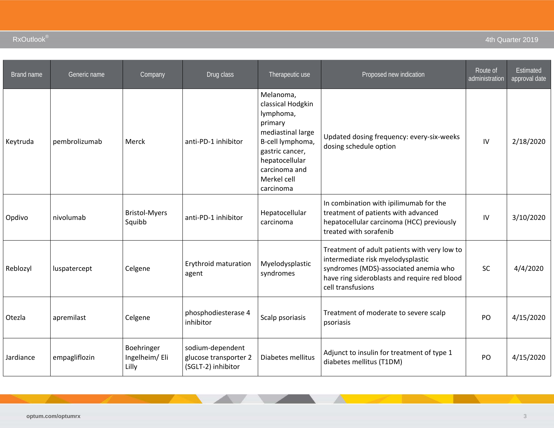| Brand name | Generic name  | Company                              | Drug class                                                      | Therapeutic use                                                                                                                                                                   | Proposed new indication                                                                                                                                                                         | Route of<br>administration | Estimated<br>approval date |
|------------|---------------|--------------------------------------|-----------------------------------------------------------------|-----------------------------------------------------------------------------------------------------------------------------------------------------------------------------------|-------------------------------------------------------------------------------------------------------------------------------------------------------------------------------------------------|----------------------------|----------------------------|
| Keytruda   | pembrolizumab | Merck                                | anti-PD-1 inhibitor                                             | Melanoma,<br>classical Hodgkin<br>lymphoma,<br>primary<br>mediastinal large<br>B-cell lymphoma,<br>gastric cancer,<br>hepatocellular<br>carcinoma and<br>Merkel cell<br>carcinoma | Updated dosing frequency: every-six-weeks<br>dosing schedule option                                                                                                                             | IV                         | 2/18/2020                  |
| Opdivo     | nivolumab     | <b>Bristol-Myers</b><br>Squibb       | anti-PD-1 inhibitor                                             | Hepatocellular<br>carcinoma                                                                                                                                                       | In combination with ipilimumab for the<br>treatment of patients with advanced<br>hepatocellular carcinoma (HCC) previously<br>treated with sorafenib                                            | IV                         | 3/10/2020                  |
| Reblozyl   | luspatercept  | Celgene                              | Erythroid maturation<br>agent                                   | Myelodysplastic<br>syndromes                                                                                                                                                      | Treatment of adult patients with very low to<br>intermediate risk myelodysplastic<br>syndromes (MDS)-associated anemia who<br>have ring sideroblasts and require red blood<br>cell transfusions | <b>SC</b>                  | 4/4/2020                   |
| Otezla     | apremilast    | Celgene                              | phosphodiesterase 4<br>inhibitor                                | Scalp psoriasis                                                                                                                                                                   | Treatment of moderate to severe scalp<br>psoriasis                                                                                                                                              | PO                         | 4/15/2020                  |
| Jardiance  | empagliflozin | Boehringer<br>Ingelheim/Eli<br>Lilly | sodium-dependent<br>glucose transporter 2<br>(SGLT-2) inhibitor | Diabetes mellitus                                                                                                                                                                 | Adjunct to insulin for treatment of type 1<br>diabetes mellitus (T1DM)                                                                                                                          | PO                         | 4/15/2020                  |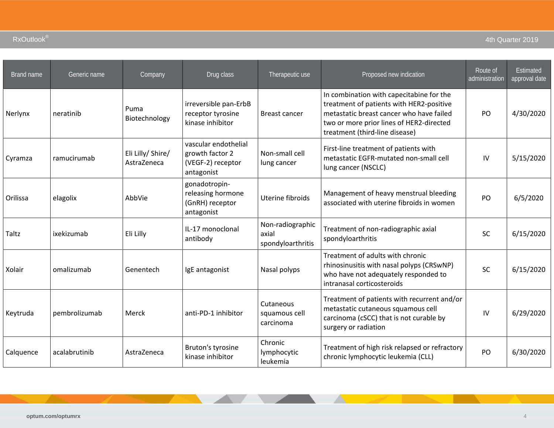| Brand name | Generic name  | Company                          | Drug class                                                                 | Therapeutic use                                | Proposed new indication                                                                                                                                                                                        | Route of<br>administration | <b>Estimated</b><br>approval date |
|------------|---------------|----------------------------------|----------------------------------------------------------------------------|------------------------------------------------|----------------------------------------------------------------------------------------------------------------------------------------------------------------------------------------------------------------|----------------------------|-----------------------------------|
| Nerlynx    | neratinib     | Puma<br>Biotechnology            | irreversible pan-ErbB<br>receptor tyrosine<br>kinase inhibitor             | <b>Breast cancer</b>                           | In combination with capecitabine for the<br>treatment of patients with HER2-positive<br>metastatic breast cancer who have failed<br>two or more prior lines of HER2-directed<br>treatment (third-line disease) | PO                         | 4/30/2020                         |
| Cyramza    | ramucirumab   | Eli Lilly/ Shire/<br>AstraZeneca | vascular endothelial<br>growth factor 2<br>(VEGF-2) receptor<br>antagonist | Non-small cell<br>lung cancer                  | First-line treatment of patients with<br>metastatic EGFR-mutated non-small cell<br>lung cancer (NSCLC)                                                                                                         | IV                         | 5/15/2020                         |
| Orilissa   | elagolix      | AbbVie                           | gonadotropin-<br>releasing hormone<br>(GnRH) receptor<br>antagonist        | Uterine fibroids                               | Management of heavy menstrual bleeding<br>associated with uterine fibroids in women                                                                                                                            | PO                         | 6/5/2020                          |
| Taltz      | ixekizumab    | Eli Lilly                        | IL-17 monoclonal<br>antibody                                               | Non-radiographic<br>axial<br>spondyloarthritis | Treatment of non-radiographic axial<br>spondyloarthritis                                                                                                                                                       | <b>SC</b>                  | 6/15/2020                         |
| Xolair     | omalizumab    | Genentech                        | IgE antagonist                                                             | Nasal polyps                                   | Treatment of adults with chronic<br>rhinosinusitis with nasal polyps (CRSwNP)<br>who have not adequately responded to<br>intranasal corticosteroids                                                            | <b>SC</b>                  | 6/15/2020                         |
| Keytruda   | pembrolizumab | Merck                            | anti-PD-1 inhibitor                                                        | Cutaneous<br>squamous cell<br>carcinoma        | Treatment of patients with recurrent and/or<br>metastatic cutaneous squamous cell<br>carcinoma (cSCC) that is not curable by<br>surgery or radiation                                                           | $\mathsf{IV}$              | 6/29/2020                         |
| Calquence  | acalabrutinib | AstraZeneca                      | Bruton's tyrosine<br>kinase inhibitor                                      | Chronic<br>lymphocytic<br>leukemia             | Treatment of high risk relapsed or refractory<br>chronic lymphocytic leukemia (CLL)                                                                                                                            | PO                         | 6/30/2020                         |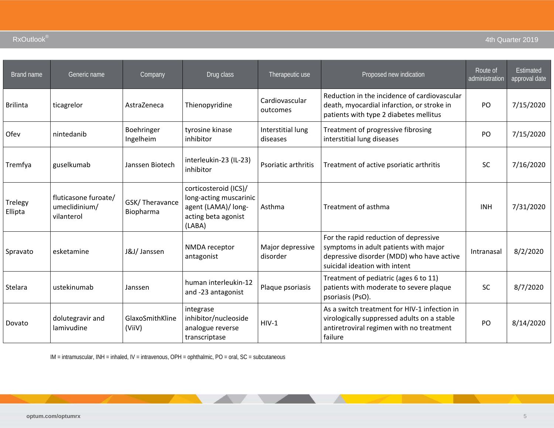| Brand name         | Generic name                                        | Company                     | Drug class                                                                                              | Therapeutic use               | Proposed new indication                                                                                                                                      | Route of<br>administration | Estimated<br>approval date |
|--------------------|-----------------------------------------------------|-----------------------------|---------------------------------------------------------------------------------------------------------|-------------------------------|--------------------------------------------------------------------------------------------------------------------------------------------------------------|----------------------------|----------------------------|
| <b>Brilinta</b>    | ticagrelor                                          | AstraZeneca                 | Thienopyridine                                                                                          | Cardiovascular<br>outcomes    | Reduction in the incidence of cardiovascular<br>death, myocardial infarction, or stroke in<br>patients with type 2 diabetes mellitus                         | PO                         | 7/15/2020                  |
| Ofev               | nintedanib                                          | Boehringer<br>Ingelheim     | tyrosine kinase<br>inhibitor                                                                            | Interstitial lung<br>diseases | Treatment of progressive fibrosing<br>interstitial lung diseases                                                                                             | PO                         | 7/15/2020                  |
| Tremfya            | guselkumab                                          | Janssen Biotech             | interleukin-23 (IL-23)<br>inhibitor                                                                     | Psoriatic arthritis           | Treatment of active psoriatic arthritis                                                                                                                      | <b>SC</b>                  | 7/16/2020                  |
| Trelegy<br>Ellipta | fluticasone furoate/<br>umeclidinium/<br>vilanterol | GSK/Theravance<br>Biopharma | corticosteroid (ICS)/<br>long-acting muscarinic<br>agent (LAMA)/ long-<br>acting beta agonist<br>(LABA) | Asthma                        | Treatment of asthma                                                                                                                                          | <b>INH</b>                 | 7/31/2020                  |
| Spravato           | esketamine                                          | J&J/ Janssen                | NMDA receptor<br>antagonist                                                                             | Major depressive<br>disorder  | For the rapid reduction of depressive<br>symptoms in adult patients with major<br>depressive disorder (MDD) who have active<br>suicidal ideation with intent | Intranasal                 | 8/2/2020                   |
| Stelara            | ustekinumab                                         | Janssen                     | human interleukin-12<br>and -23 antagonist                                                              | Plaque psoriasis              | Treatment of pediatric (ages 6 to 11)<br>patients with moderate to severe plaque<br>psoriasis (PsO).                                                         | <b>SC</b>                  | 8/7/2020                   |
| Dovato             | dolutegravir and<br>lamivudine                      | GlaxoSmithKline<br>(ViiV)   | integrase<br>inhibitor/nucleoside<br>analogue reverse<br>transcriptase                                  | $HIV-1$                       | As a switch treatment for HIV-1 infection in<br>virologically suppressed adults on a stable<br>antiretroviral regimen with no treatment<br>failure           | PO                         | 8/14/2020                  |

IM = intramuscular, INH = inhaled, IV = intravenous, OPH = ophthalmic, PO = oral, SC = subcutaneous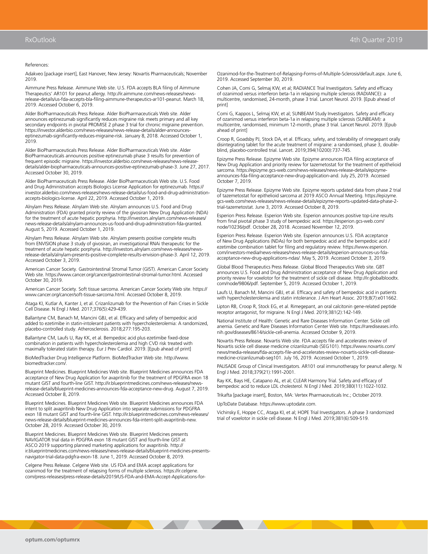References:

Adakveo [package insert], East Hanover, New Jersey: Novartis Pharmaceuticals; November 2019.

Aimmune Press Release. Aimmune Web site. U.S. FDA accepts BLA filing of Aimmune Therapeutics' AR101 for peanut allergy. http://ir.aimmune.com/news-releases/newsrelease-details/us-fda-accepts-bla-filing-aimmune-therapeutics-ar101-peanut. March 18, 2019. Accessed October 6, 2019.

Alder BioPharmaceuticals Press Release. Alder BioPharmaceuticals Web site. Alder announces eptinezumab significantly reduces migraine risk meets primary and all key secondary endpoints in pivotal PROMISE 2 phase 3 trial for chronic migraine prevention. https://investor.alderbio.com/news-releases/news-release-details/alder-announceseptinezumab-significantly-reduces-migraine-risk. January 8, 2018. Accessed October 1, 2019.

Alder BioPharmaceuticals Press Release. Alder BioPharmaceuticals Web site. Alder BioPharmaceuticals announces positive eptinezumab phase 3 results for prevention of frequent episodic migraine. https://investor.alderbio.com/news-releases/news-releasedetails/alder-biopharmaceuticals-announces-positive-eptinezumab-phase-3. June 27, 2017. Accessed October 30, 2019.

Alder BioPharmaceuticals Press Release. Alder BioPharmaceuticals Web site. U.S. Food and Drug Administration accepts Biologics License Application for eptinezumab. https:// investor.alderbio.com/news-releases/news-release-details/us-food-and-drug-administrationaccepts-biologics-license. April 22, 2019. Accessed October 1, 2019.

Alnylam Press Release. Alnylam Web site. Alnylam announces U.S. Food and Drug Administration (FDA) granted priority review of the givosiran New Drug Application (NDA) for the treatment of acute hepatic porphyria. http://investors.alnylam.com/news-releases/ news-release-details/alnylam-announces-us-food-and-drug-administration-fda-granted. August 5, 2019. Accessed October 1, 2019.

Alnylam Press Release. Alnylam Web site. Alnylam presents positive complete results from ENVISION phase 3 study of givosiran, an investigational RNAi therapeutic for the treatment of acute hepatic porphyria. http://investors.alnylam.com/news-releases/newsrelease-details/alnylam-presents-positive-complete-results-envision-phase-3. April 12, 2019. Accessed October 3, 2019.

American Cancer Society. Gastrointestinal Stromal Tumor (GIST). American Cancer Society Web site. https://www.cancer.org/cancer/gastrointestinal-stromal-tumor.html. Accessed October 30, 2019.

American Cancer Society. Soft tissue sarcoma. American Cancer Society Web site. https:// www.cancer.org/cancer/soft-tissue-sarcoma.html. Accessed October 8, 2019.

Ataga KI, Kutlar A, Kanter J, et al. Crizanlizumab for the Prevention of Pain Crises in Sickle Cell Disease. N Engl J Med. 2017;376(5):429-439.

Ballantyne CM, Banach M, Mancini GBJ, et al. Efficacy and safety of bempedoic acid added to ezetimibe in statin-intolerant patients with hypercholesterolemia: A randomized, placebo-controlled study. Atherosclerosis. 2018;277:195-203.

Ballantyne CM, Laufs U, Ray KK, et al. Bempedoic acid plus ezetimibe fixed-dose combination in patients with hypercholesterolemia and high CVD risk treated with maximally tolerated statin therapy. Eur J Prev Cardiol. 2019. [Epub ahead of print]

BioMedTracker Drug Intelligence Platform. BioMedTracker Web site. http://www. biomedtracker.com/.

Blueprint Medicines. Blueprint Medicines Web site. Blueprint Medicines announces FDA acceptance of New Drug Application for avapritinib for the treatment of PDGFRA exon 18 mutant GIST and fourth-line GIST. http://ir.blueprintmedicines.com/news-releases/newsrelease-details/blueprint-medicines-announces-fda-acceptance-new-drug. August 7, 2019. Accessed October 8, 2019.

Blueprint Medicines. Blueprint Medicines Web site. Blueprint Medicines announces FDA intent to split avapritinib New Drug Application into separate submissions for PDGFRA exon 18 mutant GIST and fourth-line GIST. http://ir.blueprintmedicines.com/news-releases/ news-release-details/blueprint-medicines-announces-fda-intent-split-avapritinib-new. October 28, 2019. Accessed October 30, 2019.

Blueprint Medicines. Blueprint Medicines Web site. Blueprint Medicines presents NAVIGATOR trial data in PDGFRA exon 18 mutant GIST and fourth-line GIST at ASCO 2019 supporting planned marketing applications for avapritinib. http:// ir.blueprintmedicines.com/news-releases/news-release-details/blueprint-medicines-presentsnavigator-trial-data-pdgfra-exon-18. June 1, 2019. Accessed October 8, 2019.

Celgene Press Release. Celgene Web site. US FDA and EMA accept applications for ozanimod for the treatment of relapsing forms of multiple sclerosis. https://ir.celgene. com/press-releases/press-release-details/2019/US-FDA-and-EMA-Accept-Applications-forOzanimod-for-the-Treatment-of-Relapsing-Forms-of-Multiple-Sclerosis/default.aspx. June 6, 2019. Accessed September 30, 2019.

Cohen JA, Comi G, Selmaj KW, et al; RADIANCE Trial Investigators. Safety and efficacy of ozanimod versus interferon beta-1a in relapsing multiple sclerosis (RADIANCE): a multicentre, randomised, 24-month, phase 3 trial. Lancet Neurol. 2019. [Epub ahead of print]

Comi G, Kappos L, Selmaj KW, et al; SUNBEAM Study Investigators. Safety and efficacy of ozanimod versus interferon beta-1a in relapsing multiple sclerosis (SUNBEAM): a multicentre, randomised, minimum 12-month, phase 3 trial. Lancet Neurol. 2019. [Epub ahead of print]

Croop R, Goadsby PJ, Stock DA, et al. Efficacy, safety, and tolerability of rimegepant orally disintegrating tablet for the acute treatment of migraine: a randomised, phase 3, doubleblind, placebo-controlled trial. Lancet. 2019;394(10200):737-745.

Epizyme Press Release. Epizyme Web site. Epizyme announces FDA filing acceptance of New Drug Application and priority review for tazemetostat for the treatment of epithelioid sarcoma. https://epizyme.gcs-web.com/news-releases/news-release-details/epizymeannounces-fda-filing-acceptance-new-drug-application-and. July 25, 2019. Accessed October 7, 2019.

Epizyme Press Release. Epizyme Web site. Epizyme reports updated data from phase 2 trial of tazemetostat for epithelioid sarcoma at 2019 ASCO Annual Meeting. https://epizyme. gcs-web.com/news-releases/news-release-details/epizyme-reports-updated-data-phase-2 trial-tazemetostat. June 3, 2019. Accessed October 8, 2019.

Esperion Press Release. Esperion Web site. Esperion announces positive top-Line results from final pivotal phase 3 study of bempedoic acid. https://esperion.gcs-web.com/ node/10236/pdf. October 28, 2018. Accessed November 12, 2019.

Esperion Press Release. Esperion Web site. Esperion announces U.S. FDA acceptance of New Drug Applications (NDAs) for both bempedoic acid and the bempedoic acid / ezetimibe combination tablet for filing and regulatory review. https://www.esperion. com/investors-media/news-releases/news-release-details/esperion-announces-us-fdaacceptance-new-drug-applications-ndas/. May 5, 2019. Accessed October 3, 2019.

Global Blood Therapeutics Press Release. Global Blood Therapeutics Web site. GBT announces U.S. Food and Drug Administration acceptance of New Drug Application and priority review for voxelotor for the treatment of sickle cell disease. http://ir.globalbloodtx. com/node/9806/pdf. September 5, 2019. Accessed October 1, 2019.

Laufs U, Banach M, Mancini GBJ, et al. Efficacy and safety of bempedoic acid in patients with hypercholesterolemia and statin intolerance. J Am Heart Assoc. 2019;8(7):e011662.

Lipton RB, Croop R, Stock EG, et al. Rimegepant, an oral calcitonin gene-related peptide receptor antagonist, for migraine. N Engl J Med. 2019;381(2):142-149.

National Institute of Health: Genetic and Rare Diseases Information Center. Sickle cell anemia. Genetic and Rare Diseases Information Center Web site. https://rarediseases.info. nih.gov/diseases/8614/sickle-cell-anemia. Accessed October 9, 2019.

Novartis Press Release. Novartis Web site. FDA accepts file and accelerates review of Novartis sickle cell disease medicine crizanlizumab (SEG101). https://www.novartis.com/ news/media-releases/fda-accepts-file-and-accelerates-review-novartis-sickle-cell-diseasemedicine-crizanlizumab-seg101. July 16, 2019. Accessed October 1, 2019.

PALISADE Group of Clinical Investigators. AR101 oral immunotherapy for peanut allergy. N Engl J Med. 2018;379(21):1991-2001.

Ray KK, Bays HE, Catapano AL, et al; CLEAR Harmony Trial. Safety and efficacy of bempedoic acid to reduce LDL cholesterol. N Engl J Med. 2019;380(11):1022-1032.

Trikafta [package insert], Boston, MA: Vertex Pharmaceuticals Inc.; October 2019.

UpToDate Database. https://www.uptodate.com.

Vichinsky E, Hoppe CC, Ataga KI, et al; HOPE Trial Investigators. A phase 3 randomized trial of voxelotor in sickle cell disease. N Engl J Med. 2019;381(6):509-519.